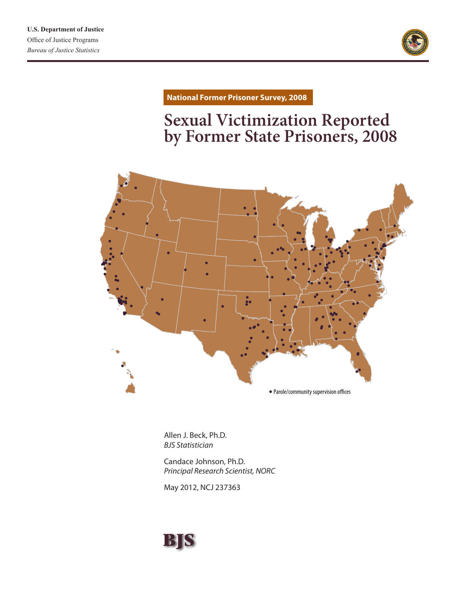

**National Former Prisoner Survey, 2008**

# **Sexual Victimization Reported by Former State Prisoners, 2008**



Allen J. Beck, Ph.D. *BJS Statistician*

Candace Johnson, Ph.D. *Principal Research Scientist, NORC* 

May 2012, NCJ 237363

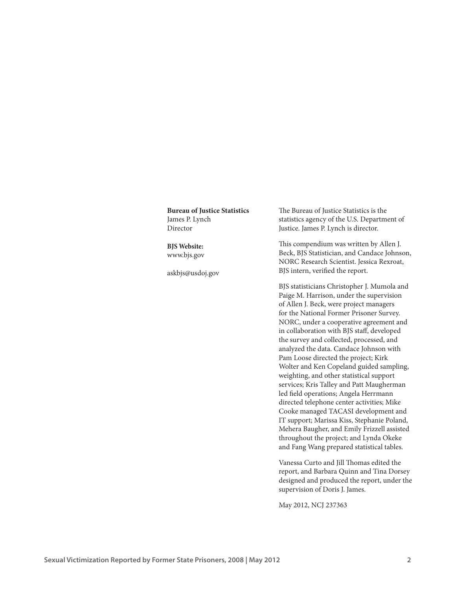| <b>Bureau of Justice Statistics</b><br>James P. Lynch  | The Bureau of Justice Statistics is the<br>statistics agency of the U.S. Department of                                                                                                                                                                                                                                                                                                                                                                                                                                                                                                                                             |
|--------------------------------------------------------|------------------------------------------------------------------------------------------------------------------------------------------------------------------------------------------------------------------------------------------------------------------------------------------------------------------------------------------------------------------------------------------------------------------------------------------------------------------------------------------------------------------------------------------------------------------------------------------------------------------------------------|
| Director                                               | Justice. James P. Lynch is director.                                                                                                                                                                                                                                                                                                                                                                                                                                                                                                                                                                                               |
| <b>BJS</b> Website:<br>www.bjs.gov<br>askbjs@usdoj.gov | This compendium was written by Allen J.<br>Beck, BJS Statistician, and Candace Johnson,<br>NORC Research Scientist. Jessica Rexroat,<br>BJS intern, verified the report.                                                                                                                                                                                                                                                                                                                                                                                                                                                           |
|                                                        | BJS statisticians Christopher J. Mumola and<br>Paige M. Harrison, under the supervision<br>of Allen J. Beck, were project managers<br>for the National Former Prisoner Survey.<br>NORC, under a cooperative agreement and<br>in collaboration with BJS staff, developed<br>the survey and collected, processed, and<br>analyzed the data. Candace Johnson with<br>Pam Loose directed the project; Kirk<br>Wolter and Ken Copeland guided sampling,<br>weighting, and other statistical support<br>services; Kris Talley and Patt Maugherman<br>led field operations; Angela Herrmann<br>directed telephone center activities; Mike |

askbjs

Vanessa Curto and Jill Thomas edited the report, and Barbara Quinn and Tina Dorsey designed and produced the report, under the supervision of Doris J. James.

Cooke managed TACASI development and IT support; Marissa Kiss, Stephanie Poland, Mehera Baugher, and Emily Frizzell assisted throughout the project; and Lynda Okeke and Fang Wang prepared statistical tables.

May 2012, NCJ 237363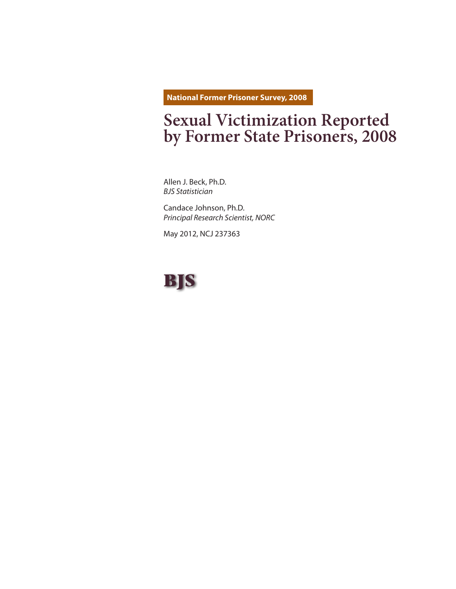**National Former Prisoner Survey, 2008**

# **Sexual Victimization Reported by Former State Prisoners, 2008**

Allen J. Beck, Ph.D. *BJS Statistician*

Candace Johnson, Ph.D. *Principal Research Scientist, NORC* 

May 2012, NCJ 237363

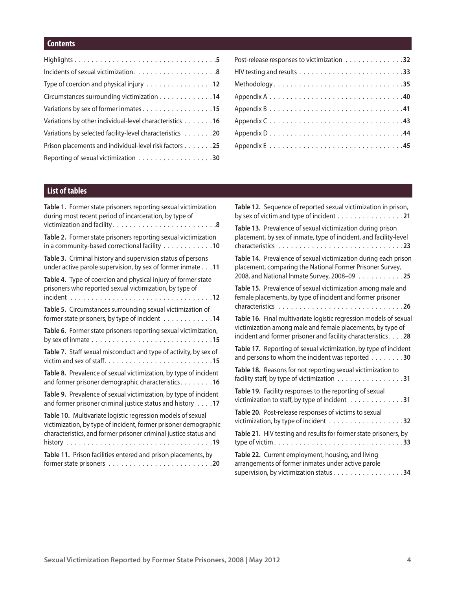## **Contents**

| Type of coercion and physical injury 12                  |
|----------------------------------------------------------|
| Circumstances surrounding victimization 14               |
| Variations by sex of former inmates15                    |
| Variations by other individual-level characteristics 16  |
| Variations by selected facility-level characteristics 20 |
| Prison placements and individual-level risk factors 25   |
|                                                          |

| Post-release responses to victimization 32 |  |
|--------------------------------------------|--|
|                                            |  |
| Methodology35                              |  |
|                                            |  |
|                                            |  |
|                                            |  |
|                                            |  |
|                                            |  |

# **List of tables**

| Table 1. Former state prisoners reporting sexual victimization                                                                                                        | Table 12. Sequence of reported sexual victimization in prison,                                                                                     |  |  |  |
|-----------------------------------------------------------------------------------------------------------------------------------------------------------------------|----------------------------------------------------------------------------------------------------------------------------------------------------|--|--|--|
| during most recent period of incarceration, by type of                                                                                                                | by sex of victim and type of incident 21                                                                                                           |  |  |  |
|                                                                                                                                                                       | Table 13. Prevalence of sexual victimization during prison                                                                                         |  |  |  |
| Table 2. Former state prisoners reporting sexual victimization                                                                                                        | placement, by sex of inmate, type of incident, and facility-level                                                                                  |  |  |  |
| in a community-based correctional facility 10                                                                                                                         |                                                                                                                                                    |  |  |  |
| Table 3. Criminal history and supervision status of persons                                                                                                           | Table 14. Prevalence of sexual victimization during each prison                                                                                    |  |  |  |
| under active parole supervision, by sex of former inmate 11                                                                                                           | placement, comparing the National Former Prisoner Survey,                                                                                          |  |  |  |
| Table 4. Type of coercion and physical injury of former state                                                                                                         | 2008, and National Inmate Survey, 2008-09 25                                                                                                       |  |  |  |
| prisoners who reported sexual victimization, by type of                                                                                                               | Table 15. Prevalence of sexual victimization among male and                                                                                        |  |  |  |
|                                                                                                                                                                       | female placements, by type of incident and former prisoner                                                                                         |  |  |  |
| <b>Table 5.</b> Circumstances surrounding sexual victimization of                                                                                                     |                                                                                                                                                    |  |  |  |
| former state prisoners, by type of incident 14                                                                                                                        | Table 16. Final multivariate logistic regression models of sexual<br>victimization among male and female placements, by type of                    |  |  |  |
| Table 6. Former state prisoners reporting sexual victimization,<br>by sex of inmate $\ldots \ldots \ldots \ldots \ldots \ldots \ldots \ldots \ldots \ldots \ldots 15$ | incident and former prisoner and facility characteristics. 28                                                                                      |  |  |  |
| Table 7. Staff sexual misconduct and type of activity, by sex of                                                                                                      | Table 17. Reporting of sexual victimization, by type of incident                                                                                   |  |  |  |
|                                                                                                                                                                       | and persons to whom the incident was reported 30                                                                                                   |  |  |  |
| Table 8. Prevalence of sexual victimization, by type of incident                                                                                                      | Table 18. Reasons for not reporting sexual victimization to                                                                                        |  |  |  |
| and former prisoner demographic characteristics. 16                                                                                                                   | facility staff, by type of victimization 31                                                                                                        |  |  |  |
| Table 9. Prevalence of sexual victimization, by type of incident                                                                                                      | Table 19. Facility responses to the reporting of sexual                                                                                            |  |  |  |
| and former prisoner criminal justice status and history $\dots$ .17                                                                                                   | victimization to staff, by type of incident 31                                                                                                     |  |  |  |
| Table 10. Multivariate logistic regression models of sexual                                                                                                           | Table 20. Post-release responses of victims to sexual                                                                                              |  |  |  |
| victimization, by type of incident, former prisoner demographic                                                                                                       |                                                                                                                                                    |  |  |  |
| characteristics, and former prisoner criminal justice status and                                                                                                      | Table 21. HIV testing and results for former state prisoners, by                                                                                   |  |  |  |
|                                                                                                                                                                       |                                                                                                                                                    |  |  |  |
| Table 11. Prison facilities entered and prison placements, by                                                                                                         | Table 22. Current employment, housing, and living<br>arrangements of former inmates under active parole<br>supervision, by victimization status 34 |  |  |  |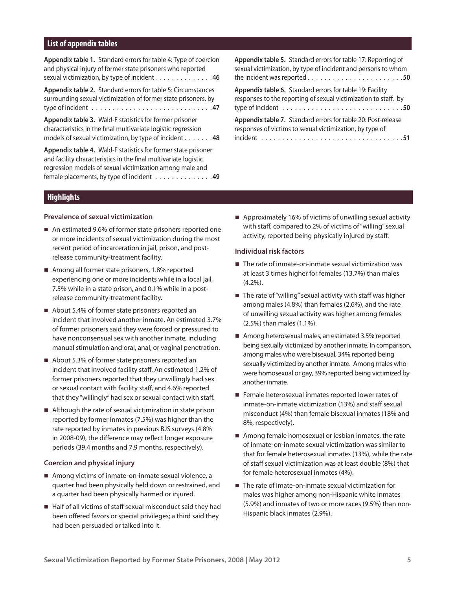## **List of appendix tables**

| <b>Appendix table 1.</b> Standard errors for table 4: Type of coercion                                                                                                                       | <b>Appendix table 5.</b> Standard errors for table 17: Reporting of |
|----------------------------------------------------------------------------------------------------------------------------------------------------------------------------------------------|---------------------------------------------------------------------|
| and physical injury of former state prisoners who reported                                                                                                                                   | sexual victimization, by type of incident and persons to whom       |
| sexual victimization, by type of incident46                                                                                                                                                  |                                                                     |
| Appendix table 2. Standard errors for table 5: Circumstances                                                                                                                                 | Appendix table 6. Standard errors for table 19: Facility            |
| surrounding sexual victimization of former state prisoners, by                                                                                                                               | responses to the reporting of sexual victimization to staff, by     |
|                                                                                                                                                                                              |                                                                     |
| <b>Appendix table 3.</b> Wald-F statistics for former prisoner                                                                                                                               | Appendix table 7. Standard errors for table 20: Post-release        |
| characteristics in the final multivariate logistic regression                                                                                                                                | responses of victims to sexual victimization, by type of            |
| models of sexual victimization, by type of incident 48                                                                                                                                       |                                                                     |
| Appendix table 4. Wald-F statistics for former state prisoner<br>and facility characteristics in the final multivariate logistic<br>regression models of sexual victimization among male and |                                                                     |

#### **Highlights**

#### **Prevalence of sexual victimization**

■ An estimated 9.6% of former state prisoners reported one or more incidents of sexual victimization during the most recent period of incarceration in jail, prison, and postrelease community-treatment facility.

female placements, by type of incident  $\dots \dots \dots \dots$ 

- Among all former state prisoners, 1.8% reported experiencing one or more incidents while in a local jail, 7.5% while in a state prison, and 0.1% while in a postrelease community-treatment facility.
- About 5.4% of former state prisoners reported an incident that involved another inmate. An estimated 3.7% of former prisoners said they were forced or pressured to have nonconsensual sex with another inmate, including manual stimulation and oral, anal, or vaginal penetration.
- About 5.3% of former state prisoners reported an incident that involved facility staff. An estimated 1.2% of former prisoners reported that they unwillingly had sex or sexual contact with facility staff, and 4.6% reported that they "willingly" had sex or sexual contact with staff.
- Although the rate of sexual victimization in state prison reported by former inmates (7.5%) was higher than the rate reported by inmates in previous BJS surveys (4.8% in 2008-09), the difference may reflect longer exposure periods (39.4 months and 7.9 months, respectively).

#### **Coercion and physical injury**

- Among victims of inmate-on-inmate sexual violence, a quarter had been physically held down or restrained, and a quarter had been physically harmed or injured.
- Half of all victims of staff sexual misconduct said they had been offered favors or special privileges; a third said they had been persuaded or talked into it.

■ Approximately 16% of victims of unwilling sexual activity with staff, compared to 2% of victims of "willing" sexual activity, reported being physically injured by staff.

#### **Individual risk factors**

- The rate of inmate-on-inmate sexual victimization was at least 3 times higher for females (13.7%) than males (4.2%).
- $\blacksquare$  The rate of "willing" sexual activity with staff was higher among males (4.8%) than females (2.6%), and the rate of unwilling sexual activity was higher among females (2.5%) than males (1.1%).
- Among heterosexual males, an estimated 3.5% reported being sexually victimized by another inmate. In comparison, among males who were bisexual, 34% reported being sexually victimized by another inmate. Among males who were homosexual or gay, 39% reported being victimized by another inmate.
- Female heterosexual inmates reported lower rates of inmate-on-inmate victimization (13%) and staff sexual misconduct (4%) than female bisexual inmates (18% and 8%, respectively).
- Among female homosexual or lesbian inmates, the rate of inmate-on-inmate sexual victimization was similar to that for female heterosexual inmates (13%), while the rate of staff sexual victimization was at least double (8%) that for female heterosexual inmates (4%).
- The rate of imate-on-inmate sexual victimization for males was higher among non-Hispanic white inmates (5.9%) and inmates of two or more races (9.5%) than non-Hispanic black inmates (2.9%).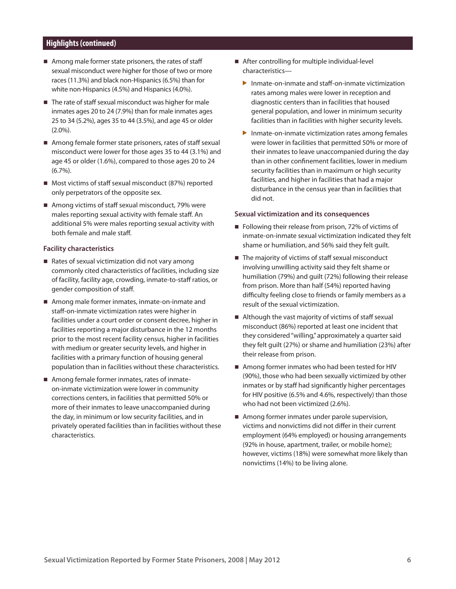## **Highlights (continued))**

- Among male former state prisoners, the rates of staff sexual misconduct were higher for those of two or more races (11.3%) and black non-Hispanics (6.5%) than for white non-Hispanics (4.5%) and Hispanics (4.0%).
- The rate of staff sexual misconduct was higher for male inmates ages 20 to 24 (7.9%) than for male inmates ages 25 to 34 (5.2%), ages 35 to 44 (3.5%), and age 45 or older (2.0%).
- Among female former state prisoners, rates of staff sexual misconduct were lower for those ages 35 to 44 (3.1%) and age 45 or older (1.6%), compared to those ages 20 to 24 (6.7%).
- Most victims of staff sexual misconduct (87%) reported only perpetrators of the opposite sex.
- Among victims of staff sexual misconduct, 79% were males reporting sexual activity with female staff. An additional 5% were males reporting sexual activity with both female and male staff.

#### **Facility characteristics**

- Rates of sexual victimization did not vary among commonly cited characteristics of facilities, including size of facility, facility age, crowding, inmate-to-staff ratios, or gender composition of staff.
- Among male former inmates, inmate-on-inmate and staff-on-inmate victimization rates were higher in facilities under a court order or consent decree, higher in facilities reporting a major disturbance in the 12 months prior to the most recent facility census, higher in facilities with medium or greater security levels, and higher in facilities with a primary function of housing general population than in facilities without these characteristics.
- Among female former inmates, rates of inmateon-inmate victimization were lower in community corrections centers, in facilities that permitted 50% or more of their inmates to leave unaccompanied during the day, in minimum or low security facilities, and in privately operated facilities than in facilities without these characteristics.
- After controlling for multiple individual-level characteristics—
	- $\blacktriangleright$  Inmate-on-inmate and staff-on-inmate victimization rates among males were lower in reception and diagnostic centers than in facilities that housed general population, and lower in minimum security facilities than in facilities with higher security levels.
	- $\blacktriangleright$  Inmate-on-inmate victimization rates among females were lower in facilities that permitted 50% or more of their inmates to leave unaccompanied during the day than in other confinement facilities, lower in medium security facilities than in maximum or high security facilities, and higher in facilities that had a major disturbance in the census year than in facilities that did not.

#### **Sexual victimization and its consequences**

- Following their release from prison, 72% of victims of inmate-on-inmate sexual victimization indicated they felt shame or humiliation, and 56% said they felt guilt.
- The majority of victims of staff sexual misconduct involving unwilling activity said they felt shame or humiliation (79%) and guilt (72%) following their release from prison. More than half (54%) reported having difficulty feeling close to friends or family members as a result of the sexual victimization.
- Although the vast majority of victims of staff sexual misconduct (86%) reported at least one incident that they considered "willing," approximately a quarter said they felt guilt (27%) or shame and humiliation (23%) after their release from prison.
- Among former inmates who had been tested for HIV (90%), those who had been sexually victimized by other inmates or by staff had significantly higher percentages for HIV positive (6.5% and 4.6%, respectively) than those who had not been victimized (2.6%).
- $\blacksquare$  Among former inmates under parole supervision, victims and nonvictims did not differ in their current employment (64% employed) or housing arrangements (92% in house, apartment, trailer, or mobile home); however, victims (18%) were somewhat more likely than nonvictims (14%) to be living alone.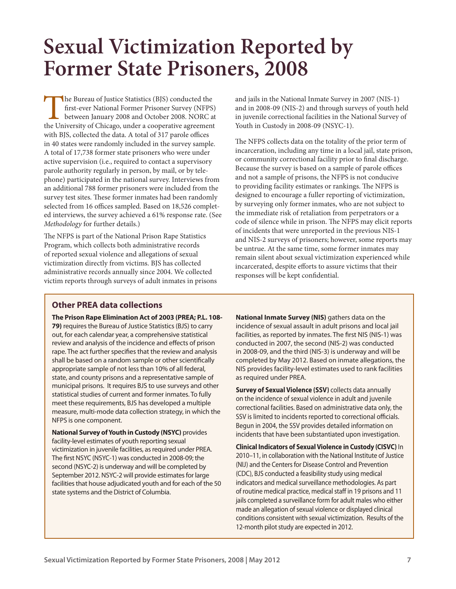# **Sexual Victimization Reported by Former State Prisoners, 2008**

The Bureau of Justice Statistics (BJS) conducted the first-ever National Former Prisoner Survey (NFPS) between January 2008 and October 2008. NORC at the University of Chicago, under a cooperative agreement with BJS, collected the data. A total of 317 parole offices in 40 states were randomly included in the survey sample. A total of 17,738 former state prisoners who were under active supervision (i.e., required to contact a supervisory parole authority regularly in person, by mail, or by telephone) participated in the national survey. Interviews from an additional 788 former prisoners were included from the survey test sites. These former inmates had been randomly selected from 16 offices sampled. Based on 18,526 completed interviews, the survey achieved a 61% response rate. (See *Methodology* for further details.)

The NFPS is part of the National Prison Rape Statistics Program, which collects both administrative records of reported sexual violence and allegations of sexual victimization directly from victims. BJS has collected administrative records annually since 2004. We collected victim reports through surveys of adult inmates in prisons and jails in the National Inmate Survey in 2007 (NIS-1) and in 2008-09 (NIS-2) and through surveys of youth held in juvenile correctional facilities in the National Survey of Youth in Custody in 2008-09 (NSYC-1).

The NFPS collects data on the totality of the prior term of incarceration, including any time in a local jail, state prison, or community correctional facility prior to final discharge. Because the survey is based on a sample of parole offices and not a sample of prisons, the NFPS is not conducive to providing facility estimates or rankings. The NFPS is designed to encourage a fuller reporting of victimization, by surveying only former inmates, who are not subject to the immediate risk of retaliation from perpetrators or a code of silence while in prison. The NFPS may elicit reports of incidents that were unreported in the previous NIS-1 and NIS-2 surveys of prisoners; however, some reports may be untrue. At the same time, some former inmates may remain silent about sexual victimization experienced while incarcerated, despite efforts to assure victims that their responses will be kept confidential.

# **Other PREA data collections**

**The Prison Rape Elimination Act of 2003 (PREA; P.L. 108- 79)** requires the Bureau of Justice Statistics (BJS) to carry out, for each calendar year, a comprehensive statistical review and analysis of the incidence and effects of prison rape. The act further specifies that the review and analysis shall be based on a random sample or other scientifically appropriate sample of not less than 10% of all federal, state, and county prisons and a representative sample of municipal prisons. It requires BJS to use surveys and other statistical studies of current and former inmates. To fully meet these requirements, BJS has developed a multiple measure, multi-mode data collection strategy, in which the NFPS is one component.

**National Survey of Youth in Custody (NSYC)** provides facility-level estimates of youth reporting sexual victimization in juvenile facilities, as required under PREA. The first NSYC (NSYC-1) was conducted in 2008-09; the second (NSYC-2) is underway and will be completed by September 2012. NSYC-2 will provide estimates for large facilities that house adjudicated youth and for each of the 50 state systems and the District of Columbia.

**National Inmate Survey (NIS)** gathers data on the incidence of sexual assault in adult prisons and local jail facilities, as reported by inmates. The first NIS (NIS-1) was conducted in 2007, the second (NIS-2) was conducted in 2008-09, and the third (NIS-3) is underway and will be completed by May 2012. Based on inmate allegations, the NIS provides facility-level estimates used to rank facilities as required under PREA.

**Survey of Sexual Violence (SSV)** collects data annually on the incidence of sexual violence in adult and juvenile correctional facilities. Based on administrative data only, the SSV is limited to incidents reported to correctional officials. Begun in 2004, the SSV provides detailed information on incidents that have been substantiated upon investigation.

**Clinical Indicators of Sexual Violence in Custody (CISVC)** In 2010–11, in collaboration with the National Institute of Justice (NIJ) and the Centers for Disease Control and Prevention (CDC), BJS conducted a feasibility study using medical indicators and medical surveillance methodologies. As part of routine medical practice, medical staff in 19 prisons and 11 jails completed a surveillance form for adult males who either made an allegation of sexual violence or displayed clinical conditions consistent with sexual victimization. Results of the 12-month pilot study are expected in 2012.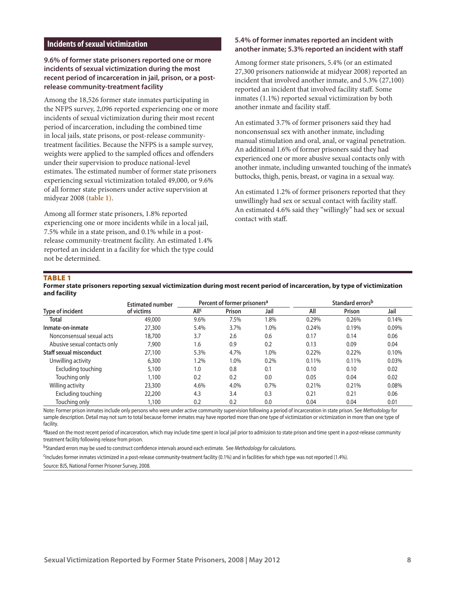## **Incidents of sexual victimization**

#### **9.6% of former state prisoners reported one or more incidents of sexual victimization during the most recent period of incarceration in jail, prison, or a postrelease community-treatment facility**

Among the 18,526 former state inmates participating in the NFPS survey, 2,096 reported experiencing one or more incidents of sexual victimization during their most recent period of incarceration, including the combined time in local jails, state prisons, or post-release communitytreatment facilities. Because the NFPS is a sample survey, weights were applied to the sampled offices and offenders under their supervision to produce national-level estimates. The estimated number of former state prisoners experiencing sexual victimization totaled 49,000, or 9.6% of all former state prisoners under active supervision at midyear 2008 **(table 1)**.

Among all former state prisoners, 1.8% reported experiencing one or more incidents while in a local jail, 7.5% while in a state prison, and 0.1% while in a postrelease community-treatment facility. An estimated 1.4% reported an incident in a facility for which the type could not be determined.

#### **5.4% of former inmates reported an incident with another inmate; 5.3% reported an incident with staff**

Among former state prisoners, 5.4% (or an estimated 27,300 prisoners nationwide at midyear 2008) reported an incident that involved another inmate, and 5.3% (27,100) reported an incident that involved facility staff. Some inmates (1.1%) reported sexual victimization by both another inmate and facility staff.

An estimated 3.7% of former prisoners said they had nonconsensual sex with another inmate, including manual stimulation and oral, anal, or vaginal penetration. An additional 1.6% of former prisoners said they had experienced one or more abusive sexual contacts only with another inmate, including unwanted touching of the inmate's buttocks, thigh, penis, breast, or vagina in a sexual way.

An estimated 1.2% of former prisoners reported that they unwillingly had sex or sexual contact with facility staff. An estimated 4.6% said they "willingly" had sex or sexual contact with staff.

#### **TABLE 1**

**Former state prisoners reporting sexual victimization during most recent period of incarceration, by type of victimization and facility**

|                              | <b>Estimated number</b> |                        | Percent of former prisoners <sup>a</sup> |      |       | Standard errors <sup>b</sup> |       |
|------------------------------|-------------------------|------------------------|------------------------------------------|------|-------|------------------------------|-------|
| Type of incident             | of victims              | <b>All<sup>c</sup></b> | Prison                                   | Jail | All   | Prison                       | Jail  |
| Total                        | 49,000                  | 9.6%                   | 7.5%                                     | .8%  | 0.29% | 0.26%                        | 0.14% |
| Inmate-on-inmate             | 27,300                  | 5.4%                   | 3.7%                                     | 1.0% | 0.24% | 0.19%                        | 0.09% |
| Nonconsensual sexual acts    | 18,700                  | 3.7                    | 2.6                                      | 0.6  | 0.17  | 0.14                         | 0.06  |
| Abusive sexual contacts only | 7.900                   | 1.6                    | 0.9                                      | 0.2  | 0.13  | 0.09                         | 0.04  |
| Staff sexual misconduct      | 27,100                  | 5.3%                   | 4.7%                                     | 1.0% | 0.22% | 0.22%                        | 0.10% |
| Unwilling activity           | 6,300                   | 1.2%                   | 1.0%                                     | 0.2% | 0.11% | $0.11\%$                     | 0.03% |
| Excluding touching           | 5,100                   | 1.0                    | 0.8                                      | 0.1  | 0.10  | 0.10                         | 0.02  |
| Touching only                | 1.100                   | 0.2                    | 0.2                                      | 0.0  | 0.05  | 0.04                         | 0.02  |
| Willing activity             | 23,300                  | 4.6%                   | 4.0%                                     | 0.7% | 0.21% | 0.21%                        | 0.08% |
| Excluding touching           | 22,200                  | 4.3                    | 3.4                                      | 0.3  | 0.21  | 0.21                         | 0.06  |
| Touching only                | 1,100                   | 0.2                    | 0.2                                      | 0.0  | 0.04  | 0.04                         | 0.01  |

Note: Former prison inmates include only persons who were under active community supervision following a period of incarceration in state prison. See *Methodology* for sample description. Detail may not sum to total because former inmates may have reported more than one type of victimization or victimization in more than one type of facility.

<sup>a</sup>Based on the most recent period of incarceration, which may include time spent in local jail prior to admission to state prison and time spent in a post-release community treatment facility following release from prison.

bStandard errors may be used to construct confidence intervals around each estimate. See *Methodology* for calculations.

cIncludes former inmates victimized in a post-release community-treatment facility (0.1%) and in facilities for which type was not reported (1.4%).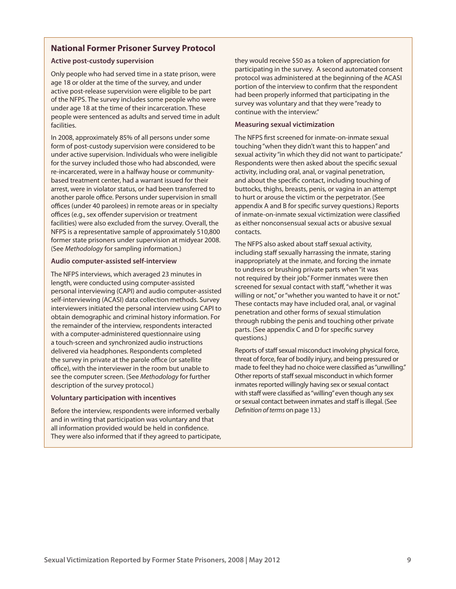## **National Former Prisoner Survey Protocol**

#### **Active post-custody supervision**

Only people who had served time in a state prison, were age 18 or older at the time of the survey, and under active post-release supervision were eligible to be part of the NFPS. The survey includes some people who were under age 18 at the time of their incarceration. These people were sentenced as adults and served time in adult facilities.

In 2008, approximately 85% of all persons under some form of post-custody supervision were considered to be under active supervision. Individuals who were ineligible for the survey included those who had absconded, were re-incarcerated, were in a halfway house or communitybased treatment center, had a warrant issued for their arrest, were in violator status, or had been transferred to another parole office. Persons under supervision in small offices (under 40 parolees) in remote areas or in specialty offices (e.g., sex offender supervision or treatment facilities) were also excluded from the survey. Overall, the NFPS is a representative sample of approximately 510,800 former state prisoners under supervision at midyear 2008. (See *Methodology* for sampling information.)

#### **Audio computer-assisted self-interview**

The NFPS interviews, which averaged 23 minutes in length, were conducted using computer-assisted personal interviewing (CAPI) and audio computer-assisted self-interviewing (ACASI) data collection methods. Survey interviewers initiated the personal interview using CAPI to obtain demographic and criminal history information. For the remainder of the interview, respondents interacted with a computer-administered questionnaire using a touch-screen and synchronized audio instructions delivered via headphones. Respondents completed the survey in private at the parole office (or satellite office), with the interviewer in the room but unable to see the computer screen. (See *Methodology* for further description of the survey protocol.)

#### **Voluntary participation with incentives**

Before the interview, respondents were informed verbally and in writing that participation was voluntary and that all information provided would be held in confidence. They were also informed that if they agreed to participate,

they would receive \$50 as a token of appreciation for participating in the survey. A second automated consent protocol was administered at the beginning of the ACASI portion of the interview to confirm that the respondent had been properly informed that participating in the survey was voluntary and that they were "ready to continue with the interview."

#### **Measuring sexual victimization**

The NFPS first screened for inmate-on-inmate sexual touching "when they didn't want this to happen" and sexual activity "in which they did not want to participate." Respondents were then asked about the specific sexual activity, including oral, anal, or vaginal penetration, and about the specific contact, including touching of buttocks, thighs, breasts, penis, or vagina in an attempt to hurt or arouse the victim or the perpetrator. (See appendix A and B for specific survey questions.) Reports of inmate-on-inmate sexual victimization were classified as either nonconsensual sexual acts or abusive sexual contacts.

The NFPS also asked about staff sexual activity, including staff sexually harrassing the inmate, staring inappropriately at the inmate, and forcing the inmate to undress or brushing private parts when "it was not required by their job." Former inmates were then screened for sexual contact with staff, "whether it was willing or not," or "whether you wanted to have it or not." These contacts may have included oral, anal, or vaginal penetration and other forms of sexual stimulation through rubbing the penis and touching other private parts. (See appendix C and D for specific survey questions.)

Reports of staff sexual misconduct involving physical force, threat of force, fear of bodily injury, and being pressured or made to feel they had no choice were classified as "unwilling." Other reports of staff sexual misconduct in which former inmates reported willingly having sex or sexual contact with staff were classified as "willing" even though any sex or sexual contact between inmates and staff is illegal. (See *Definition of terms on page 13.)*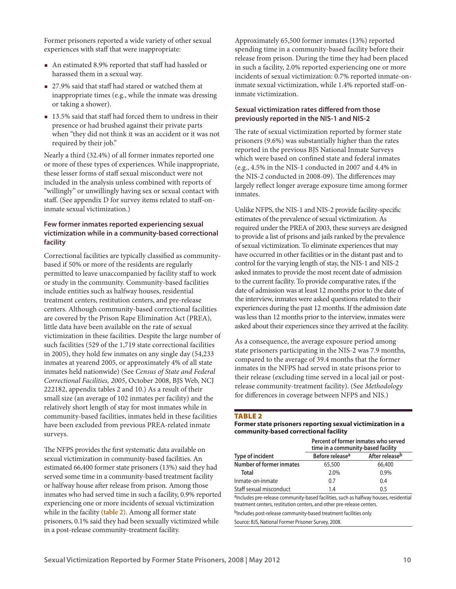Former prisoners reported a wide variety of other sexual experiences with staff that were inappropriate:

- An estimated 8.9% reported that staff had hassled or harassed them in a sexual way.
- 27.9% said that staff had stared or watched them at inappropriate times (e.g., while the inmate was dressing or taking a shower).
- 13.5% said that staff had forced them to undress in their presence or had brushed against their private parts when "they did not think it was an accident or it was not required by their job."

Nearly a third (32.4%) of all former inmates reported one or more of these types of experiences. While inappropriate, these lesser forms of staff sexual misconduct were not included in the analysis unless combined with reports of "willingly" or unwillingly having sex or sexual contact with staff. (See appendix D for survey items related to staff-oninmate sexual victimization.)

## **Few former inmates reported experiencing sexual victimization while in a community-based correctional facility**

Correctional facilities are typically classified as communitybased if 50% or more of the residents are regularly permitted to leave unaccompanied by facility staff to work or study in the community. Community-based facilities include entities such as halfway houses, residential treatment centers, restitution centers, and pre-release centers. Although community-based correctional facilities are covered by the Prison Rape Elimination Act (PREA), little data have been available on the rate of sexual victimization in these facilities. Despite the large number of such facilities (529 of the 1,719 state correctional facilities in 2005), they hold few inmates on any single day (54,233 inmates at yearend 2005, or approximately 4% of all state inmates held nationwide) (See *Census of State and Federal Correctional Facilities, 2005*, October 2008, BJS Web, NCJ 222182, appendix tables 2 and 10.) As a result of their small size (an average of 102 inmates per facility) and the relatively short length of stay for most inmates while in community-based facilities, inmates held in these facilities have been excluded from previous PREA-related inmate surveys.

The NFPS provides the first systematic data available on sexual victimization in community-based facilities. An estimated 66,400 former state prisoners (13%) said they had served some time in a community-based treatment facility or halfway house after release from prison. Among those inmates who had served time in such a facility, 0.9% reported experiencing one or more incidents of sexual victimization while in the facility **(table 2)**. Among all former state prisoners, 0.1% said they had been sexually victimized while in a post-release community-treatment facility.

Approximately 65,500 former inmates (13%) reported spending time in a community-based facility before their release from prison. During the time they had been placed in such a facility, 2.0% reported experiencing one or more incidents of sexual victimization: 0.7% reported inmate-oninmate sexual victimization, while 1.4% reported staff-oninmate victimization.

## **Sexual victimization rates differed from those previously reported in the NIS-1 and NIS-2**

The rate of sexual victimization reported by former state prisoners (9.6%) was substantially higher than the rates reported in the previous BJS National Inmate Surveys which were based on confined state and federal inmates (e.g., 4.5% in the NIS-1 conducted in 2007 and 4.4% in the NIS-2 conducted in 2008-09). The differences may largely reflect longer average exposure time among former inmates.

Unlike NFPS, the NIS-1 and NIS-2 provide facility-specific estimates of the prevalence of sexual victimization. As required under the PREA of 2003, these surveys are designed to provide a list of prisons and jails ranked by the prevalence of sexual victimization. To eliminate experiences that may have occurred in other facilities or in the distant past and to control for the varying length of stay, the NIS-1 and NIS-2 asked inmates to provide the most recent date of admission to the current facility. To provide comparative rates, if the date of admission was at least 12 months prior to the date of the interview, inmates were asked questions related to their experiences during the past 12 months. If the admission date was less than 12 months prior to the interview, inmates were asked about their experiences since they arrived at the facility.

As a consequence, the average exposure period among state prisoners participating in the NIS-2 was 7.9 months, compared to the average of 39.4 months that the former inmates in the NFPS had served in state prisons prior to their release (excluding time served in a local jail or postrelease community-treatment facility). (See *Methodology* for differences in coverage between NFPS and NIS.)

#### **TABLE 2**

#### **Former state prisoners reporting sexual victimization in a community-based correctional facility**

|                          | Percent of former inmates who served<br>time in a community-based facility |                            |  |
|--------------------------|----------------------------------------------------------------------------|----------------------------|--|
| Type of incident         | Before release <sup>a</sup>                                                | After release <sup>b</sup> |  |
| Number of former inmates | 65,500                                                                     | 66,400                     |  |
| Total                    | 2.0%                                                                       | 0.9%                       |  |
| Inmate-on-inmate         | 07                                                                         | 0.4                        |  |
| Staff sexual misconduct  | 1.4                                                                        | 0.5                        |  |

aIncludes pre-release community-based facilities, such as halfway houses, residential treatment centers, restitution centers, and other pre-release centers.

bIncludes post-release community-based treatment facilities only.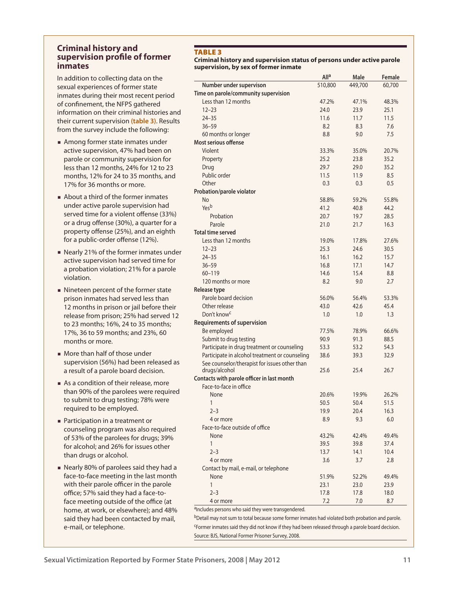## **Criminal history and supervision profile of former inmates**

In addition to collecting data on the sexual experiences of former state inmates during their most recent period of confinement, the NFPS gathered information on their criminal histories and their current supervision **(table 3)**. Results from the survey include the following:

- **Among former state inmates under** active supervision, 47% had been on parole or community supervision for less than 12 months, 24% for 12 to 23 months, 12% for 24 to 35 months, and 17% for 36 months or more.
- About a third of the former inmates under active parole supervision had served time for a violent offense (33%) or a drug offense (30%), a quarter for a property offense (25%), and an eighth for a public-order offense (12%).
- Nearly 21% of the former inmates under active supervision had served time for a probation violation; 21% for a parole violation.
- Nineteen percent of the former state prison inmates had served less than 12 months in prison or jail before their release from prison; 25% had served 12 to 23 months; 16%, 24 to 35 months; 17%, 36 to 59 months; and 23%, 60 months or more.
- **More than half of those under** supervision (56%) had been released as a result of a parole board decision.
- As a condition of their release, more than 90% of the parolees were required to submit to drug testing; 78% were required to be employed.
- **Participation in a treatment or** counseling program was also required of 53% of the parolees for drugs; 39% for alcohol; and 26% for issues other than drugs or alcohol.
- Nearly 80% of parolees said they had a face-to-face meeting in the last month with their parole officer in the parole office; 57% said they had a face-toface meeting outside of the office (at home, at work, or elsewhere); and 48% said they had been contacted by mail, e-mail, or telephone.

## TARI F 3

#### **Criminal history and supervision status of persons under active parole supervision, by sex of former inmate**

|                                                                | All <sup>a</sup> | Male    | Female |
|----------------------------------------------------------------|------------------|---------|--------|
| Number under supervison                                        | 510,800          | 449,700 | 60,700 |
| Time on parole/community supervision                           |                  |         |        |
| Less than 12 months                                            | 47.2%            | 47.1%   | 48.3%  |
| $12 - 23$                                                      | 24.0             | 23.9    | 25.1   |
| $24 - 35$                                                      | 11.6             | 11.7    | 11.5   |
| $36 - 59$                                                      | 8.2              | 8.3     | 7.6    |
| 60 months or longer                                            | 8.8              | 9.0     | 7.5    |
| Most serious offense                                           |                  |         |        |
| Violent                                                        | 33.3%            | 35.0%   | 20.7%  |
| Property                                                       | 25.2             | 23.8    | 35.2   |
| Drug                                                           | 29.7             | 29.0    | 35.2   |
| Public order                                                   | 11.5             | 11.9    | 8.5    |
| Other                                                          | 0.3              | 0.3     | 0.5    |
| Probation/parole violator                                      |                  |         |        |
| <b>No</b>                                                      | 58.8%            | 59.2%   | 55.8%  |
| Yesb                                                           | 41.2             | 40.8    | 44.2   |
| Probation                                                      | 20.7             | 19.7    | 28.5   |
| Parole                                                         | 21.0             | 21.7    | 16.3   |
| <b>Total time served</b>                                       |                  |         |        |
| Less than 12 months                                            | 19.0%            | 17.8%   | 27.6%  |
| $12 - 23$                                                      | 25.3             | 24.6    | 30.5   |
| $24 - 35$                                                      | 16.1             | 16.2    | 15.7   |
| $36 - 59$                                                      | 16.8             | 17.1    | 14.7   |
| $60 - 119$                                                     | 14.6             | 15.4    | 8.8    |
| 120 months or more                                             | 8.2              | 9.0     | 2.7    |
| Release type                                                   |                  |         |        |
| Parole board decision                                          | 56.0%            | 56.4%   | 53.3%  |
| Other release                                                  | 43.0             | 42.6    | 45.4   |
| Don't know <sup>c</sup>                                        | 1.0              | 1.0     | 1.3    |
| <b>Requirements of supervision</b>                             |                  |         |        |
| Be employed                                                    | 77.5%            | 78.9%   | 66.6%  |
| Submit to drug testing                                         | 90.9             | 91.3    | 88.5   |
| Participate in drug treatment or counseling                    | 53.3             | 53.2    | 54.3   |
| Participate in alcohol treatment or counseling                 | 38.6             | 39.3    | 32.9   |
|                                                                |                  |         |        |
| See counselor/therapist for issues other than<br>drugs/alcohol | 25.6             | 25.4    | 26.7   |
| Contacts with parole officer in last month                     |                  |         |        |
| Face-to-face in office                                         |                  |         |        |
| None                                                           | 20.6%            | 19.9%   | 26.2%  |
| 1                                                              | 50.5             | 50.4    | 51.5   |
| $2 - 3$                                                        | 19.9             | 20.4    | 16.3   |
| 4 or more                                                      | 8.9              | 9.3     | 6.0    |
| Face-to-face outside of office                                 |                  |         |        |
| None                                                           | 43.2%            | 42.4%   | 49.4%  |
| 1                                                              | 39.5             | 39.8    | 37.4   |
| $2 - 3$                                                        | 13.7             | 14.1    | 10.4   |
|                                                                |                  |         |        |
| 4 or more                                                      | 3.6              | 3.7     | 2.8    |
| Contact by mail, e-mail, or telephone                          |                  |         |        |
| None                                                           | 51.9%            | 52.2%   | 49.4%  |
| 1                                                              | 23.1             | 23.0    | 23.9   |
| $2 - 3$                                                        | 17.8             | 17.8    | 18.0   |
| 4 or more                                                      | 7.2              | 7.0     | 8.7    |

aIncludes persons who said they were transgendered.

bDetail may not sum to total because some former inmates had violated both probation and parole. cFormer inmates said they did not know if they had been released through a parole board decision. Source: BJS, National Former Prisoner Survey, 2008.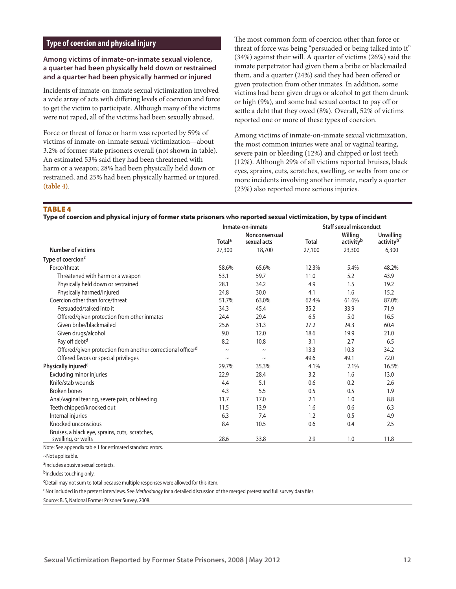## **Type of coercion and physical injury**

#### **Among victims of inmate-on-inmate sexual violence, a quarter had been physically held down or restrained and a quarter had been physically harmed or injured**

Incidents of inmate-on-inmate sexual victimization involved a wide array of acts with differing levels of coercion and force to get the victim to participate. Although many of the victims were not raped, all of the victims had been sexually abused.

Force or threat of force or harm was reported by 59% of victims of inmate-on-inmate sexual victimization—about 3.2% of former state prisoners overall (not shown in table). An estimated 53% said they had been threatened with harm or a weapon; 28% had been physically held down or restrained, and 25% had been physically harmed or injured. **(table 4)**.

The most common form of coercion other than force or threat of force was being "persuaded or being talked into it" (34%) against their will. A quarter of victims (26%) said the inmate perpetrator had given them a bribe or blackmailed them, and a quarter (24%) said they had been offered or given protection from other inmates. In addition, some victims had been given drugs or alcohol to get them drunk or high (9%), and some had sexual contact to pay off or settle a debt that they owed (8%). Overall, 52% of victims reported one or more of these types of coercion.

Among victims of inmate-on-inmate sexual victimization, the most common injuries were anal or vaginal tearing, severe pain or bleeding (12%) and chipped or lost teeth (12%). Although 29% of all victims reported bruises, black eyes, sprains, cuts, scratches, swelling, or welts from one or more incidents involving another inmate, nearly a quarter (23%) also reported more serious injuries.

**TABLE 4** 

**Type of coercion and physical injury of former state prisoners who reported sexual victimization, by type of incident**

|                                                                                                                                                         | Inmate-on-inmate   |                              | <b>Staff sexual misconduct</b> |                                  |                               |
|---------------------------------------------------------------------------------------------------------------------------------------------------------|--------------------|------------------------------|--------------------------------|----------------------------------|-------------------------------|
|                                                                                                                                                         | Total <sup>a</sup> | Nonconsensual<br>sexual acts | <b>Total</b>                   | Willing<br>activity <sup>b</sup> | <b>Unwilling</b><br>activityb |
| <b>Number of victims</b>                                                                                                                                | 27,300             | 18,700                       | 27,100                         | 23,300                           | 6,300                         |
| Type of coercion <sup>c</sup>                                                                                                                           |                    |                              |                                |                                  |                               |
| Force/threat                                                                                                                                            | 58.6%              | 65.6%                        | 12.3%                          | 5.4%                             | 48.2%                         |
| Threatened with harm or a weapon                                                                                                                        | 53.1               | 59.7                         | 11.0                           | 5.2                              | 43.9                          |
| Physically held down or restrained                                                                                                                      | 28.1               | 34.2                         | 4.9                            | 1.5                              | 19.2                          |
| Physically harmed/injured                                                                                                                               | 24.8               | 30.0                         | 4.1                            | 1.6                              | 15.2                          |
| Coercion other than force/threat                                                                                                                        | 51.7%              | 63.0%                        | 62.4%                          | 61.6%                            | 87.0%                         |
| Persuaded/talked into it                                                                                                                                | 34.3               | 45.4                         | 35.2                           | 33.9                             | 71.9                          |
| Offered/given protection from other inmates                                                                                                             | 24.4               | 29.4                         | 6.5                            | 5.0                              | 16.5                          |
| Given bribe/blackmailed                                                                                                                                 | 25.6               | 31.3                         | 27.2                           | 24.3                             | 60.4                          |
| Given drugs/alcohol                                                                                                                                     | 9.0                | 12.0                         | 18.6                           | 19.9                             | 21.0                          |
| Pay off debt <sup>d</sup>                                                                                                                               | 8.2                | 10.8                         | 3.1                            | 2.7                              | 6.5                           |
| Offered/given protection from another correctional officerd                                                                                             | $\sim$             | $\tilde{}$                   | 13.3                           | 10.3                             | 34.2                          |
| Offered favors or special privileges                                                                                                                    | $\sim$             | $\sim$                       | 49.6                           | 49.1                             | 72.0                          |
| Physically injured <sup>c</sup>                                                                                                                         | 29.7%              | 35.3%                        | 4.1%                           | 2.1%                             | 16.5%                         |
| Excluding minor injuries                                                                                                                                | 22.9               | 28.4                         | 3.2                            | 1.6                              | 13.0                          |
| Knife/stab wounds                                                                                                                                       | 4.4                | 5.1                          | 0.6                            | 0.2                              | 2.6                           |
| <b>Broken bones</b>                                                                                                                                     | 4.3                | 5.5                          | 0.5                            | 0.5                              | 1.9                           |
| Anal/vaginal tearing, severe pain, or bleeding                                                                                                          | 11.7               | 17.0                         | 2.1                            | 1.0                              | 8.8                           |
| Teeth chipped/knocked out                                                                                                                               | 11.5               | 13.9                         | 1.6                            | 0.6                              | 6.3                           |
| Internal injuries                                                                                                                                       | 6.3                | 7.4                          | 1.2                            | 0.5                              | 4.9                           |
| Knocked unconscious                                                                                                                                     | 8.4                | 10.5                         | 0.6                            | 0.4                              | 2.5                           |
| Bruises, a black eye, sprains, cuts, scratches,<br>swelling, or welts<br>Maria - Cara con concelho e del confederazione del città della degli sulla con | 28.6               | 33.8                         | 2.9                            | 1.0                              | 11.8                          |

Note: See appendix table 1 for estimated standard errors.

a<sub>Includes</sub> abusive sexual contacts.

bIncludes touching only.

cDetail may not sum to total because multiple responses were allowed for this item.

dNot included in the pretest interviews. See *Methodology* for a detailed discussion of the merged pretest and full survey data files.

<sup>~</sup>Not applicable.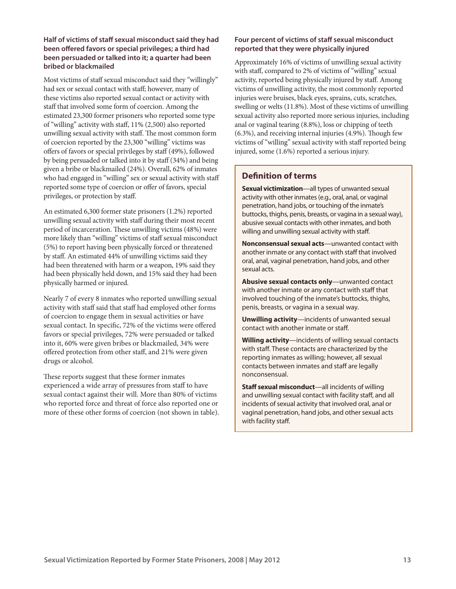## **Half of victims of staff sexual misconduct said they had been offered favors or special privileges; a third had been persuaded or talked into it; a quarter had been bribed or blackmailed**

Most victims of staff sexual misconduct said they "willingly" had sex or sexual contact with staff; however, many of these victims also reported sexual contact or activity with staff that involved some form of coercion. Among the estimated 23,300 former prisoners who reported some type of "willing" activity with staff, 11% (2,500) also reported unwilling sexual activity with staff. The most common form of coercion reported by the 23,300 "willing" victims was offers of favors or special privileges by staff (49%), followed by being persuaded or talked into it by staff (34%) and being given a bribe or blackmailed (24%). Overall, 62% of inmates who had engaged in "willing" sex or sexual activity with staff reported some type of coercion or offer of favors, special privileges, or protection by staff.

An estimated 6,300 former state prisoners (1.2%) reported unwilling sexual activity with staff during their most recent period of incarceration. These unwilling victims (48%) were more likely than "willing" victims of staff sexual misconduct (5%) to report having been physically forced or threatened by staff. An estimated 44% of unwilling victims said they had been threatened with harm or a weapon, 19% said they had been physically held down, and 15% said they had been physically harmed or injured.

Nearly 7 of every 8 inmates who reported unwilling sexual activity with staff said that staff had employed other forms of coercion to engage them in sexual activities or have sexual contact. In specific, 72% of the victims were offered favors or special privileges, 72% were persuaded or talked into it, 60% were given bribes or blackmailed, 34% were offered protection from other staff, and 21% were given drugs or alcohol.

These reports suggest that these former inmates experienced a wide array of pressures from staff to have sexual contact against their will. More than 80% of victims who reported force and threat of force also reported one or more of these other forms of coercion (not shown in table).

## **Four percent of victims of staff sexual misconduct reported that they were physically injured**

Approximately 16% of victims of unwilling sexual activity with staff, compared to 2% of victims of "willing" sexual activity, reported being physically injured by staff. Among victims of unwilling activity, the most commonly reported injuries were bruises, black eyes, sprains, cuts, scratches, swelling or welts (11.8%). Most of these victims of unwilling sexual activity also reported more serious injuries, including anal or vaginal tearing (8.8%), loss or chipping of teeth (6.3%), and receiving internal injuries (4.9%). Though few victims of "willing" sexual activity with staff reported being injured, some (1.6%) reported a serious injury.

# **Definition of terms**

**Sexual victimization**—all types of unwanted sexual activity with other inmates (e.g., oral, anal, or vaginal penetration, hand jobs, or touching of the inmate's buttocks, thighs, penis, breasts, or vagina in a sexual way), abusive sexual contacts with other inmates, and both willing and unwilling sexual activity with staff.

**Nonconsensual sexual acts**—unwanted contact with another inmate or any contact with staff that involved oral, anal, vaginal penetration, hand jobs, and other sexual acts.

**Abusive sexual contacts only**—unwanted contact with another inmate or any contact with staff that involved touching of the inmate's buttocks, thighs, penis, breasts, or vagina in a sexual way.

**Unwilling activity**—incidents of unwanted sexual contact with another inmate or staff.

**Willing activity**—incidents of willing sexual contacts with staff. These contacts are characterized by the reporting inmates as willing; however, all sexual contacts between inmates and staff are legally nonconsensual.

**Staff sexual misconduct**—all incidents of willing and unwilling sexual contact with facility staff, and all incidents of sexual activity that involved oral, anal or vaginal penetration, hand jobs, and other sexual acts with facility staff.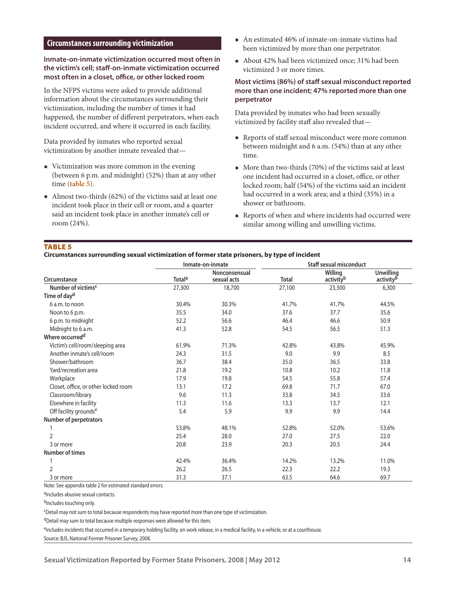## **Circumstances surrounding victimization**

## **Inmate-on-inmate victimization occurred most often in the victim's cell; staff-on-inmate victimization occurred most often in a closet, office, or other locked room**

In the NFPS victims were asked to provide additional information about the circumstances surrounding their victimization, including the number of times it had happened, the number of different perpetrators, when each incident occurred, and where it occurred in each facility.

Data provided by inmates who reported sexual victimization by another inmate revealed that—

- Victimization was more common in the evening (between 6 p.m. and midnight) (52%) than at any other time **(table 5)**.
- Almost two-thirds (62%) of the victims said at least one incident took place in their cell or room, and a quarter said an incident took place in another inmate's cell or room (24%).
- An estimated 46% of inmate-on-inmate victims had been victimized by more than one perpetrator.
- About 42% had been victimized once; 31% had been victimized 3 or more times.

## **Most victims (86%) of staff sexual misconduct reported more than one incident; 47% reported more than one perpetrator**

Data provided by inmates who had been sexually victimized by facility staff also revealed that—

- Reports of staff sexual misconduct were more common between midnight and 6 a.m. (54%) than at any other time.
- More than two-thirds (70%) of the victims said at least one incident had occurred in a closet, office, or other locked room; half (54%) of the victims said an incident had occurred in a work area; and a third (35%) in a shower or bathroom.
- Reports of when and where incidents had occurred were similar among willing and unwilling victims.

## TABLE<sub>5</sub>

#### **Circumstances surrounding sexual victimization of former state prisoners, by type of incident**

|                                      |                           | Inmate-on-inmate             |        | <b>Staff sexual misconduct</b>   |                                           |
|--------------------------------------|---------------------------|------------------------------|--------|----------------------------------|-------------------------------------------|
| Circumstance                         | <b>Total</b> <sup>a</sup> | Nonconsensual<br>sexual acts | Total  | Willing<br>activity <sup>b</sup> | <b>Unwilling</b><br>activity <sup>b</sup> |
| Number of victims <sup>c</sup>       | 27,300                    | 18,700                       | 27,100 | 23,300                           | 6,300                                     |
| Time of day <sup>d</sup>             |                           |                              |        |                                  |                                           |
| 6 a.m. to noon                       | 30.4%                     | 30.3%                        | 41.7%  | 41.7%                            | 44.5%                                     |
| Noon to 6 p.m.                       | 35.5                      | 34.0                         | 37.6   | 37.7                             | 35.6                                      |
| 6 p.m. to midnight                   | 52.2                      | 56.6                         | 46.4   | 46.6                             | 50.9                                      |
| Midnight to 6 a.m.                   | 41.3                      | 52.8                         | 54.5   | 56.5                             | 51.3                                      |
| Where occurred <sup>d</sup>          |                           |                              |        |                                  |                                           |
| Victim's cell/room/sleeping area     | 61.9%                     | 71.3%                        | 42.8%  | 43.8%                            | 45.9%                                     |
| Another inmate's cell/room           | 24.3                      | 31.5                         | 9.0    | 9.9                              | 8.5                                       |
| Shower/bathroom                      | 36.7                      | 38.4                         | 35.0   | 36.5                             | 33.8                                      |
| Yard/recreation area                 | 21.8                      | 19.2                         | 10.8   | 10.2                             | 11.8                                      |
| Workplace                            | 17.9                      | 19.8                         | 54.5   | 55.8                             | 57.4                                      |
| Closet, office, or other locked room | 13.1                      | 17.2                         | 69.8   | 71.7                             | 67.0                                      |
| Classroom/library                    | 9.6                       | 11.3                         | 33.8   | 34.5                             | 33.6                                      |
| Elsewhere in facility                | 11.3                      | 11.6                         | 13.3   | 13.7                             | 12.1                                      |
| Off facility grounds <sup>e</sup>    | 5.4                       | 5.9                          | 9.9    | 9.9                              | 14.4                                      |
| Number of perpetrators               |                           |                              |        |                                  |                                           |
|                                      | 53.8%                     | 48.1%                        | 52.8%  | 52.0%                            | 53.6%                                     |
| $\overline{2}$                       | 25.4                      | 28.0                         | 27.0   | 27.5                             | 22.0                                      |
| 3 or more                            | 20.8                      | 23.9                         | 20.3   | 20.5                             | 24.4                                      |
| <b>Number of times</b>               |                           |                              |        |                                  |                                           |
|                                      | 42.4%                     | 36.4%                        | 14.2%  | 13.2%                            | 11.0%                                     |
| 2                                    | 26.2                      | 26.5                         | 22.3   | 22.2                             | 19.3                                      |
| 3 or more                            | 31.3                      | 37.1                         | 63.5   | 64.6                             | 69.7                                      |

Note: See appendix table 2 for estimated standard errors.

aIncludes abusive sexual contacts.

bIncludes touching only.

cDetail may not sum to total because respondents may have reported more than one type of victimization.

dDetail may sum to total because multiple responses were allowed for this item.

eIncludes incidents that occurred in a temporary holding facility, on work release, in a medical facility, in a vehicle, or at a courthouse.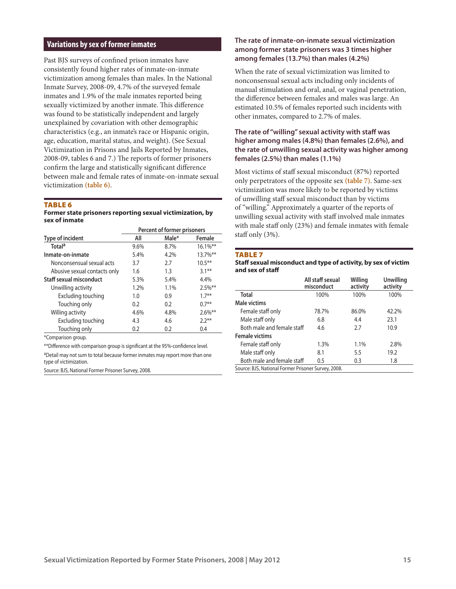## **Variations by sex of former inmates**

Past BJS surveys of confined prison inmates have consistently found higher rates of inmate-on-inmate victimization among females than males. In the National Inmate Survey, 2008-09, 4.7% of the surveyed female inmates and 1.9% of the male inmates reported being sexually victimized by another inmate. This difference was found to be statistically independent and largely unexplained by covariation with other demographic characteristics (e.g., an inmate's race or Hispanic origin, age, education, marital status, and weight). (See Sexual Victimization in Prisons and Jails Reported by Inmates, 2008-09, tables 6 and 7.) The reports of former prisoners confirm the large and statistically significant difference between male and female rates of inmate-on-inmate sexual victimization **(table 6)**.

#### TABLE<sub>6</sub>

**Former state prisoners reporting sexual victimization, by sex of inmate**

|                              | Percent of former prisoners |       |             |
|------------------------------|-----------------------------|-------|-------------|
| Type of incident             | All                         | Male* | Female      |
| Total <sup>a</sup>           | 9.6%                        | 8.7%  | $16.1\%$ ** |
| Inmate-on-inmate             | 5.4%                        | 4.2%  | $13.7\%$ ** |
| Nonconsensual sexual acts    | 3.7                         | 2.7   | $10.5***$   |
| Abusive sexual contacts only | 1.6                         | 1.3   | $3.1***$    |
| Staff sexual misconduct      | 5.3%                        | 5.4%  | 4.4%        |
| Unwilling activity           | 1.2%                        | 1.1%  | $2.5\%$ **  |
| Excluding touching           | 1.0                         | 0.9   | $17***$     |
| Touching only                | 0.2                         | 0.2   | $0.7***$    |
| Willing activity             | 4.6%                        | 4.8%  | $2.6\%$ **  |
| Excluding touching           | 4.3                         | 4.6   | $2.2**$     |
| Touching only                | 0.2                         | 0.2   | 0.4         |
|                              |                             |       |             |

\*Comparison group.

\*\*Difference with comparison group is significant at the 95%-confidence level.

aDetail may not sum to total because former inmates may report more than one type of victimization.

Source: BJS, National Former Prisoner Survey, 2008.

#### **The rate of inmate-on-inmate sexual victimization among former state prisoners was 3 times higher among females (13.7%) than males (4.2%)**

When the rate of sexual victimization was limited to nonconsensual sexual acts including only incidents of manual stimulation and oral, anal, or vaginal penetration, the difference between females and males was large. An estimated 10.5% of females reported such incidents with other inmates, compared to 2.7% of males.

## **The rate of "willing" sexual activity with staff was higher among males (4.8%) than females (2.6%), and the rate of unwilling sexual activity was higher among females (2.5%) than males (1.1%)**

Most victims of staff sexual misconduct (87%) reported only perpetrators of the opposite sex **(table 7)**. Same-sex victimization was more likely to be reported by victims of unwilling staff sexual misconduct than by victims of "willing." Approximately a quarter of the reports of unwilling sexual activity with staff involved male inmates with male staff only (23%) and female inmates with female staff only (3%).

#### TABLE<sub>7</sub>

| Staff sexual misconduct and type of activity, by sex of victim |  |
|----------------------------------------------------------------|--|
| and sex of staff                                               |  |

|                                                     | All staff sexual<br>misconduct | Willing<br>activity | Unwilling<br>activity |  |  |  |  |
|-----------------------------------------------------|--------------------------------|---------------------|-----------------------|--|--|--|--|
| <b>Total</b>                                        | 100%                           | 100%                | 100%                  |  |  |  |  |
| Male victims                                        |                                |                     |                       |  |  |  |  |
| Female staff only                                   | 78.7%                          | 86.0%               | 42.2%                 |  |  |  |  |
| Male staff only                                     | 6.8                            | 4.4                 | 23.1                  |  |  |  |  |
| Both male and female staff                          | 4.6                            | 2.7                 | 10.9                  |  |  |  |  |
| <b>Female victims</b>                               |                                |                     |                       |  |  |  |  |
| Female staff only                                   | 1.3%                           | 1.1%                | 2.8%                  |  |  |  |  |
| Male staff only                                     | 8.1                            | 5.5                 | 19.2                  |  |  |  |  |
| Both male and female staff                          | 0.5                            | 0.3                 | 1.8                   |  |  |  |  |
| Source: BJS, National Former Prisoner Survey, 2008. |                                |                     |                       |  |  |  |  |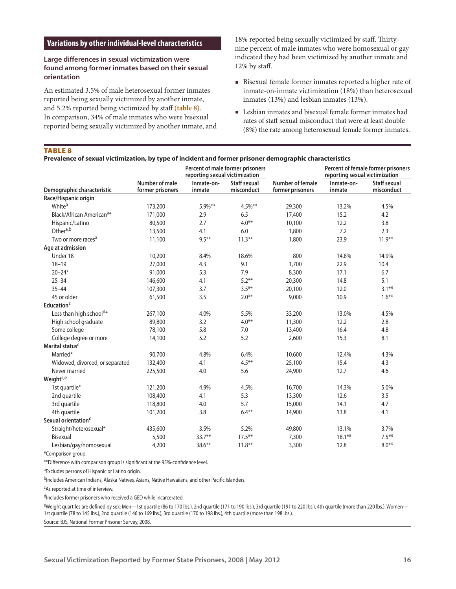#### **Variations by other individual-level characteristics**

## **Large differences in sexual victimization were found among former inmates based on their sexual orientation**

An estimated 3.5% of male heterosexual former inmates reported being sexually victimized by another inmate, and 5.2% reported being victimized by staff **(table 8)**. In comparison, 34% of male inmates who were bisexual reported being sexually victimized by another inmate, and

18% reported being sexually victimized by staff. Thirtynine percent of male inmates who were homosexual or gay indicated they had been victimized by another inmate and 12% by staff.

- Bisexual female former inmates reported a higher rate of inmate-on-inmate victimization (18%) than heterosexual inmates (13%) and lesbian inmates (13%).
- Lesbian inmates and bisexual female former inmates had rates of staff sexual misconduct that were at least double (8%) the rate among heterosexual female former inmates.

## Table 8

| Prevalence of sexual victimization, by type of incident and former prisoner demographic characteristics |  |  |  |
|---------------------------------------------------------------------------------------------------------|--|--|--|
|---------------------------------------------------------------------------------------------------------|--|--|--|

|                                      |                                    | Percent of male former prisoners<br>reporting sexual victimization |                                   |                                      | reporting sexual victimization | Percent of female former prisoners |
|--------------------------------------|------------------------------------|--------------------------------------------------------------------|-----------------------------------|--------------------------------------|--------------------------------|------------------------------------|
| Demographic characteristic           | Number of male<br>former prisoners | Inmate-on-<br>inmate                                               | <b>Staff sexual</b><br>misconduct | Number of female<br>former prisoners | Inmate-on-<br>inmate           | Staff sexual<br>misconduct         |
| Race/Hispanic origin                 |                                    |                                                                    |                                   |                                      |                                |                                    |
| White <sup>a</sup>                   | 173,200                            | $5.9\%$ **                                                         | 4.5%**                            | 29,300                               | 13.2%                          | 4.5%                               |
| Black/African American <sup>a*</sup> | 171,000                            | 2.9                                                                | 6.5                               | 17,400                               | 15.2                           | 4.2                                |
| Hispanic/Latino                      | 80,500                             | 2.7                                                                | $4.0**$                           | 10,100                               | 12.2                           | 3.8                                |
| Othera,b                             | 13,500                             | 4.1                                                                | 6.0                               | 1,800                                | 7.2                            | 2.3                                |
| Two or more races <sup>a</sup>       | 11,100                             | $9.5***$                                                           | $11.3***$                         | 1,800                                | 23.9                           | $11.9***$                          |
| Age at admission                     |                                    |                                                                    |                                   |                                      |                                |                                    |
| Under 18                             | 10,200                             | 8.4%                                                               | 18.6%                             | 800                                  | 14.8%                          | 14.9%                              |
| $18 - 19$                            | 27,000                             | 4.3                                                                | 9.1                               | 1,700                                | 22.9                           | 10.4                               |
| $20 - 24*$                           | 91,000                             | 5.3                                                                | 7.9                               | 8,300                                | 17.1                           | 6.7                                |
| $25 - 34$                            | 146,600                            | 4.1                                                                | $5.2**$                           | 20,300                               | 14.8                           | 5.1                                |
| $35 - 44$                            | 107,300                            | 3.7                                                                | $3.5***$                          | 20,100                               | 12.0                           | $3.1***$                           |
| 45 or older                          | 61,500                             | 3.5                                                                | $2.0***$                          | 9,000                                | 10.9                           | $1.6***$                           |
| Education <sup>c</sup>               |                                    |                                                                    |                                   |                                      |                                |                                    |
| Less than high school <sup>d*</sup>  | 267,100                            | 4.0%                                                               | 5.5%                              | 33,200                               | 13.0%                          | 4.5%                               |
| High school graduate                 | 89,800                             | 3.2                                                                | $4.0**$                           | 11,300                               | 12.2                           | 2.8                                |
| Some college                         | 78,100                             | 5.8                                                                | 7.0                               | 13,400                               | 16.4                           | 4.8                                |
| College degree or more               | 14,100                             | 5.2                                                                | 5.2                               | 2,600                                | 15.3                           | 8.1                                |
| Marital status <sup>c</sup>          |                                    |                                                                    |                                   |                                      |                                |                                    |
| Married*                             | 90,700                             | 4.8%                                                               | 6.4%                              | 10,600                               | 12.4%                          | 4.3%                               |
| Widowed, divorced, or separated      | 132,400                            | 4.1                                                                | $4.5***$                          | 25,100                               | 15.4                           | 4.3                                |
| Never married                        | 225,500                            | 4.0                                                                | 5.6                               | 24,900                               | 12.7                           | 4.6                                |
| Weight <sup>c,e</sup>                |                                    |                                                                    |                                   |                                      |                                |                                    |
| 1st quartile*                        | 121,200                            | 4.9%                                                               | 4.5%                              | 16,700                               | 14.3%                          | 5.0%                               |
| 2nd quartile                         | 108,400                            | 4.1                                                                | 5.3                               | 13,300                               | 12.6                           | 3.5                                |
| 3rd quartile                         | 118,800                            | 4.0                                                                | 5.7                               | 15,000                               | 14.1                           | 4.7                                |
| 4th quartile                         | 101,200                            | 3.8                                                                | $6.4**$                           | 14,900                               | 13.8                           | 4.1                                |
| Sexual orientation <sup>c</sup>      |                                    |                                                                    |                                   |                                      |                                |                                    |
| Straight/heterosexual*               | 435,600                            | 3.5%                                                               | 5.2%                              | 49,800                               | 13.1%                          | 3.7%                               |
| Bisexual                             | 5,500                              | $33.7***$                                                          | $17.5***$                         | 7,300                                | $18.1***$                      | $7.5***$                           |
| Lesbian/gay/homosexual               | 4,200                              | $38.6***$                                                          | $11.8***$                         | 3,300                                | 12.8                           | $8.0**$                            |

\*Comparison group.

\*\*Difference with comparison group is significant at the 95%-confidence level.

aExcludes persons of Hispanic or Latino origin.

bIncludes American Indians, Alaska Natives, Asians, Native Hawaiians, and other Pacific Islanders.

cAs reported at time of interview.

dIncludes former prisoners who received a GED while incarcerated.

eWeight quartiles are defined by sex: Men—1st quartile (86 to 170 lbs.), 2nd quartile (171 to 190 lbs.), 3rd quartile (191 to 220 lbs.), 4th quartile (more than 220 lbs.). Women— 1st quartile (78 to 145 lbs.), 2nd quartile (146 to 169 lbs.), 3rd quartile (170 to 198 lbs.), 4th quartile (more than 198 lbs.).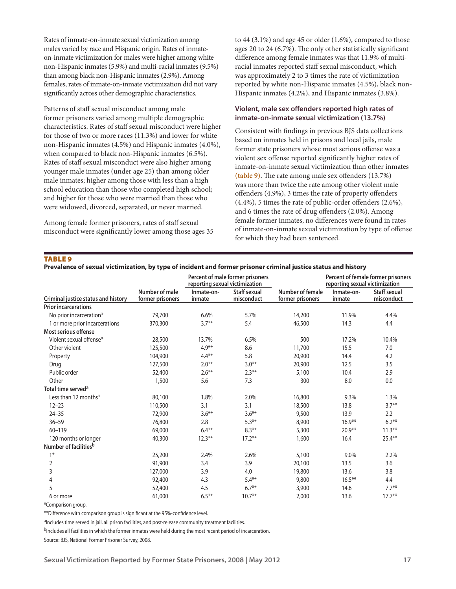Rates of inmate-on-inmate sexual victimization among males varied by race and Hispanic origin. Rates of inmateon-inmate victimization for males were higher among white non-Hispanic inmates (5.9%) and multi-racial inmates (9.5%) than among black non-Hispanic inmates (2.9%). Among females, rates of inmate-on-inmate victimization did not vary significantly across other demographic characteristics.

Patterns of staff sexual misconduct among male former prisoners varied among multiple demographic characteristics. Rates of staff sexual misconduct were higher for those of two or more races (11.3%) and lower for white non-Hispanic inmates (4.5%) and Hispanic inmates (4.0%), when compared to black non-Hispanic inmates (6.5%). Rates of staff sexual misconduct were also higher among younger male inmates (under age 25) than among older male inmates; higher among those with less than a high school education than those who completed high school; and higher for those who were married than those who were widowed, divorced, separated, or never married.

Among female former prisoners, rates of staff sexual misconduct were significantly lower among those ages 35 to 44 (3.1%) and age 45 or older (1.6%), compared to those ages 20 to 24 (6.7%). The only other statistically significant difference among female inmates was that 11.9% of multiracial inmates reported staff sexual misconduct, which was approximately 2 to 3 times the rate of victimization reported by white non-Hispanic inmates (4.5%), black non-Hispanic inmates (4.2%), and Hispanic inmates (3.8%).

#### **Violent, male sex offenders reported high rates of inmate-on-inmate sexual victimization (13.7%)**

Consistent with findings in previous BJS data collections based on inmates held in prisons and local jails, male former state prisoners whose most serious offense was a violent sex offense reported significantly higher rates of inmate-on-inmate sexual victimization than other inmates **(table 9)**. The rate among male sex offenders (13.7%) was more than twice the rate among other violent male offenders (4.9%), 3 times the rate of property offenders (4.4%), 5 times the rate of public-order offenders (2.6%), and 6 times the rate of drug offenders (2.0%). Among female former inmates, no differences were found in rates of inmate-on-inmate sexual victimization by type of offense for which they had been sentenced.

#### Table 9

| Prevalence of sexual victimization, by type of incident and former prisoner criminal justice status and history |  |  |  |
|-----------------------------------------------------------------------------------------------------------------|--|--|--|
|                                                                                                                 |  |  |  |

|                                     |                                    | reporting sexual victimization | Percent of male former prisoners  |                                      | reporting sexual victimization | Percent of female former prisoners |
|-------------------------------------|------------------------------------|--------------------------------|-----------------------------------|--------------------------------------|--------------------------------|------------------------------------|
| Criminal justice status and history | Number of male<br>former prisoners | Inmate-on-<br>inmate           | <b>Staff sexual</b><br>misconduct | Number of female<br>former prisoners | Inmate-on-<br>inmate           | <b>Staff sexual</b><br>misconduct  |
| <b>Prior incarcerations</b>         |                                    |                                |                                   |                                      |                                |                                    |
| No prior incarceration*             | 79,700                             | 6.6%                           | 5.7%                              | 14,200                               | 11.9%                          | 4.4%                               |
| 1 or more prior incarcerations      | 370,300                            | $3.7**$                        | 5.4                               | 46,500                               | 14.3                           | 4.4                                |
| Most serious offense                |                                    |                                |                                   |                                      |                                |                                    |
| Violent sexual offense*             | 28,500                             | 13.7%                          | 6.5%                              | 500                                  | 17.2%                          | 10.4%                              |
| Other violent                       | 125,500                            | $4.9**$                        | 8.6                               | 11,700                               | 15.5                           | 7.0                                |
| Property                            | 104,900                            | $4.4**$                        | 5.8                               | 20,900                               | 14.4                           | 4.2                                |
| Drug                                | 127,500                            | $2.0**$                        | $3.0***$                          | 20,900                               | 12.5                           | 3.5                                |
| Public order                        | 52,400                             | $2.6***$                       | $2.3***$                          | 5,100                                | 10.4                           | 2.9                                |
| Other                               | 1,500                              | 5.6                            | 7.3                               | 300                                  | 8.0                            | 0.0                                |
| Total time served <sup>a</sup>      |                                    |                                |                                   |                                      |                                |                                    |
| Less than 12 months*                | 80,100                             | 1.8%                           | 2.0%                              | 16,800                               | 9.3%                           | 1.3%                               |
| $12 - 23$                           | 110,500                            | 3.1                            | 3.1                               | 18,500                               | 13.8                           | $3.7***$                           |
| $24 - 35$                           | 72,900                             | $3.6***$                       | $3.6***$                          | 9,500                                | 13.9                           | 2.2                                |
| $36 - 59$                           | 76,800                             | 2.8                            | $5.3***$                          | 8,900                                | $16.9**$                       | $6.2**$                            |
| 60-119                              | 69,000                             | $6.4**$                        | $8.3***$                          | 5,300                                | $20.9**$                       | $11.3***$                          |
| 120 months or longer                | 40,300                             | $12.3***$                      | $17.2***$                         | 1,600                                | 16.4                           | $25.4***$                          |
| Number of facilities <sup>b</sup>   |                                    |                                |                                   |                                      |                                |                                    |
| $1*$                                | 25,200                             | 2.4%                           | 2.6%                              | 5,100                                | 9.0%                           | 2.2%                               |
| 2                                   | 91,900                             | 3.4                            | 3.9                               | 20,100                               | 13.5                           | 3.6                                |
| 3                                   | 127,000                            | 3.9                            | 4.0                               | 19,800                               | 13.6                           | 3.8                                |
| 4                                   | 92,400                             | 4.3                            | $5.4**$                           | 9,800                                | $16.5***$                      | 4.4                                |
| 5                                   | 52,400                             | 4.5                            | $6.7***$                          | 3,900                                | 14.6                           | $7.7**$                            |
| 6 or more                           | 61,000                             | $6.5***$                       | $10.7**$                          | 2,000                                | 13.6                           | $17.7***$                          |

\*Comparison group.

\*\*Difference with comparison group is significant at the 95%-confidence level.

aIncludes time served in jail, all prison facilities, and post-release community treatment facilities.

bIncludes all facilities in which the former inmates were held during the most recent period of incarceration.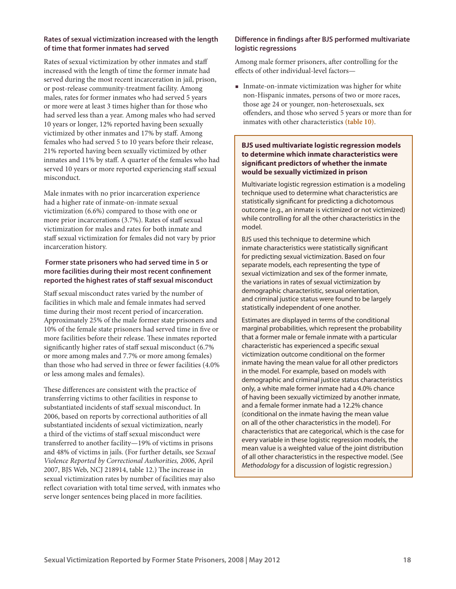## **Rates of sexual victimization increased with the length of time that former inmates had served**

Rates of sexual victimization by other inmates and staff increased with the length of time the former inmate had served during the most recent incarceration in jail, prison, or post-release community-treatment facility. Among males, rates for former inmates who had served 5 years or more were at least 3 times higher than for those who had served less than a year. Among males who had served 10 years or longer, 12% reported having been sexually victimized by other inmates and 17% by staff. Among females who had served 5 to 10 years before their release, 21% reported having been sexually victimized by other inmates and 11% by staff. A quarter of the females who had served 10 years or more reported experiencing staff sexual misconduct.

Male inmates with no prior incarceration experience had a higher rate of inmate-on-inmate sexual victimization (6.6%) compared to those with one or more prior incarcerations (3.7%). Rates of staff sexual victimization for males and rates for both inmate and staff sexual victimization for females did not vary by prior incarceration history.

## **Former state prisoners who had served time in 5 or more facilities during their most recent confinement reported the highest rates of staff sexual misconduct**

Staff sexual misconduct rates varied by the number of facilities in which male and female inmates had served time during their most recent period of incarceration. Approximately 25% of the male former state prisoners and 10% of the female state prisoners had served time in five or more facilities before their release. These inmates reported significantly higher rates of staff sexual misconduct (6.7% or more among males and 7.7% or more among females) than those who had served in three or fewer facilities (4.0% or less among males and females).

These differences are consistent with the practice of transferring victims to other facilities in response to substantiated incidents of staff sexual misconduct. In 2006, based on reports by correctional authorities of all substantiated incidents of sexual victimization, nearly a third of the victims of staff sexual misconduct were transferred to another facility—19% of victims in prisons and 48% of victims in jails. (For further details, see S*exual Violence Reported by Correctional Authorities, 2006*, April 2007, BJS Web, NCJ 218914, table 12.) The increase in sexual victimization rates by number of facilities may also reflect covariation with total time served, with inmates who serve longer sentences being placed in more facilities.

## **Difference in findings after BJS performed multivariate logistic regressions**

Among male former prisoners, after controlling for the effects of other individual-level factors—

**Inmate-on-inmate victimization was higher for white** non-Hispanic inmates, persons of two or more races, those age 24 or younger, non-heterosexuals, sex offenders, and those who served 5 years or more than for inmates with other characteristics **(table 10)**.

## **BJS used multivariate logistic regression models to determine which inmate characteristics were significant predictors of whether the inmate would be sexually victimized in prison**

Multivariate logistic regression estimation is a modeling technique used to determine what characteristics are statistically significant for predicting a dichotomous outcome (e.g., an inmate is victimized or not victimized) while controlling for all the other characteristics in the model.

BJS used this technique to determine which inmate characteristics were statistically significant for predicting sexual victimization. Based on four separate models, each representing the type of sexual victimization and sex of the former inmate, the variations in rates of sexual victimization by demographic characteristic, sexual orientation, and criminal justice status were found to be largely statistically independent of one another.

Estimates are displayed in terms of the conditional marginal probabilities, which represent the probability that a former male or female inmate with a particular characteristic has experienced a specific sexual victimization outcome conditional on the former inmate having the mean value for all other predictors in the model. For example, based on models with demographic and criminal justice status characteristics only, a white male former inmate had a 4.0% chance of having been sexually victimized by another inmate, and a female former inmate had a 12.2% chance (conditional on the inmate having the mean value on all of the other characteristics in the model). For characteristics that are categorical, which is the case for every variable in these logistic regression models, the mean value is a weighted value of the joint distribution of all other characteristics in the respective model. (See *Methodology* for a discussion of logistic regression.)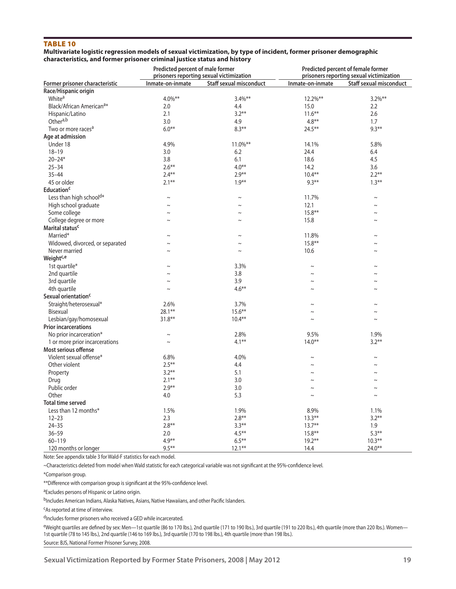## Table 10

#### **Multivariate logistic regression models of sexual victimization, by type of incident, former prisoner demographic characteristics, and former prisoner criminal justice status and history**

|                                      | Predicted percent of male former | prisoners reporting sexual victimization |                  | Predicted percent of female former<br>prisoners reporting sexual victimization |
|--------------------------------------|----------------------------------|------------------------------------------|------------------|--------------------------------------------------------------------------------|
| Former prisoner characteristic       | Inmate-on-inmate                 | <b>Staff sexual misconduct</b>           | Inmate-on-inmate | Staff sexual misconduct                                                        |
| Race/Hispanic origin                 |                                  |                                          |                  |                                                                                |
| White <sup>a</sup>                   | $4.0\%**$                        | $3.4\%$ **                               | 12.2%**          | $3.2\%$ **                                                                     |
| Black/African American <sup>a*</sup> | 2.0                              | 4.4                                      | 15.0             | 2.2                                                                            |
| Hispanic/Latino                      | 2.1                              | $3.2***$                                 | $11.6***$        | 2.6                                                                            |
| Othera,b                             | 3.0                              | 4.9                                      | $4.8**$          | 1.7                                                                            |
| Two or more races <sup>a</sup>       | $6.0**$                          | $8.3**$                                  | $24.5***$        | $9.3***$                                                                       |
| Age at admission                     |                                  |                                          |                  |                                                                                |
| Under 18                             | 4.9%                             | 11.0%**                                  | 14.1%            | 5.8%                                                                           |
| $18 - 19$                            | 3.0                              | 6.2                                      | 24.4             | 6.4                                                                            |
| $20 - 24*$                           | 3.8                              | 6.1                                      | 18.6             | 4.5                                                                            |
| $25 - 34$                            | $2.6***$                         | $4.0**$                                  | 14.2             | 3.6                                                                            |
| $35 - 44$                            | $2.4***$                         | $2.9**$                                  | $10.4***$        | $2.2***$                                                                       |
|                                      |                                  |                                          | $9.3***$         |                                                                                |
| 45 or older                          | $2.1***$                         | $1.9***$                                 |                  | $1.3***$                                                                       |
| <b>Education<sup>c</sup></b>         |                                  |                                          |                  |                                                                                |
| Less than high schoold*              | $\sim$                           | $\sim$                                   | 11.7%            | $\sim$                                                                         |
| High school graduate                 | $\sim$                           | $\sim$                                   | 12.1             | $\tilde{\phantom{a}}$                                                          |
| Some college                         | $\sim$                           | $\sim$                                   | $15.8***$        | $\sim$                                                                         |
| College degree or more               | $\sim$                           | $\sim$                                   | 15.8             | $\sim$                                                                         |
| Marital status <sup>c</sup>          |                                  |                                          |                  |                                                                                |
| Married*                             | $\sim$                           | $\sim$                                   | 11.8%            | $\tilde{}$                                                                     |
| Widowed, divorced, or separated      | $\sim$                           | $\sim$                                   | $15.8***$        | $\sim$                                                                         |
| Never married                        | $\sim$                           | $\sim$                                   | 10.6             | $\sim$                                                                         |
| Weight <sup>c,e</sup>                |                                  |                                          |                  |                                                                                |
| 1st quartile*                        | $\sim$                           | 3.3%                                     | $\sim$           | $\tilde{\phantom{a}}$                                                          |
| 2nd quartile                         | $\sim$                           | 3.8                                      | $\sim$           | $\sim$                                                                         |
| 3rd quartile                         | $\sim$                           | 3.9                                      | $\sim$           | $\tilde{}$                                                                     |
| 4th quartile                         | $\sim$                           | $4.6***$                                 | $\sim$           | $\sim$                                                                         |
| Sexual orientation <sup>c</sup>      |                                  |                                          |                  |                                                                                |
| Straight/heterosexual*               | 2.6%                             | 3.7%                                     | $\sim$           | $\tilde{\phantom{a}}$                                                          |
| Bisexual                             | $28.1***$                        | $15.6***$                                | $\sim$           | $\sim$                                                                         |
| Lesbian/gay/homosexual               | $31.8**$                         | $10.4***$                                | $\sim$           | $\sim$                                                                         |
| <b>Prior incarcerations</b>          |                                  |                                          |                  |                                                                                |
| No prior incarceration*              | $\sim$                           | 2.8%                                     | 9.5%             | 1.9%                                                                           |
| 1 or more prior incarcerations       | $\sim$                           | $4.1***$                                 | $14.0***$        | $3.2***$                                                                       |
| Most serious offense                 |                                  |                                          |                  |                                                                                |
| Violent sexual offense*              | 6.8%                             | 4.0%                                     | $\sim$           | $\sim$                                                                         |
| Other violent                        | $2.5***$                         | 4.4                                      | $\sim$           | $\sim$                                                                         |
| Property                             | $3.2**$                          | 5.1                                      | $\sim$           | $\sim$                                                                         |
| Drug                                 | $2.1***$                         | 3.0                                      | $\sim$           | $\sim$                                                                         |
| Public order                         | $2.9***$                         | 3.0                                      | $\sim$           | $\sim$                                                                         |
| Other                                |                                  |                                          |                  | $\sim$                                                                         |
|                                      | 4.0                              | 5.3                                      | $\sim$           |                                                                                |
| <b>Total time served</b>             |                                  |                                          |                  |                                                                                |
| Less than 12 months*                 | 1.5%                             | 1.9%                                     | 8.9%             | 1.1%                                                                           |
| $12 - 23$                            | 2.3                              | $2.8***$                                 | $13.3***$        | $3.2***$                                                                       |
| $24 - 35$                            | $2.8***$                         | $3.3***$                                 | $13.7**$         | 1.9                                                                            |
| $36 - 59$                            | 2.0                              | $4.5***$                                 | $15.8**$         | $5.3***$                                                                       |
| 60-119                               | $4.9**$                          | $6.5***$                                 | $19.2**$         | $10.3***$                                                                      |
| 120 months or longer                 | $9.5***$                         | $12.1***$                                | 14.4             | $24.0**$                                                                       |

Note: See appendix table 3 for Wald-F statistics for each model.

~Characteristics deleted from model when Wald statistic for each categorical variable was not significant at the 95%-confidence level.

\*\*Difference with comparison group is significant at the 95%-confidence level.

aExcludes persons of Hispanic or Latino origin.

bIncludes American Indians, Alaska Natives, Asians, Native Hawaiians, and other Pacific Islanders.

cAs reported at time of interview.

dIncludes former prisoners who received a GED while incarcerated.

eWeight quartiles are defined by sex: Men-1st quartile (86 to 170 lbs.), 2nd quartile (171 to 190 lbs.), 3rd quartile (191 to 220 lbs.), 4th quartile (more than 220 lbs.). Women-1st quartile (78 to 145 lbs.), 2nd quartile (146 to 169 lbs.), 3rd quartile (170 to 198 lbs.), 4th quartile (more than 198 lbs.).

<sup>\*</sup>Comparison group.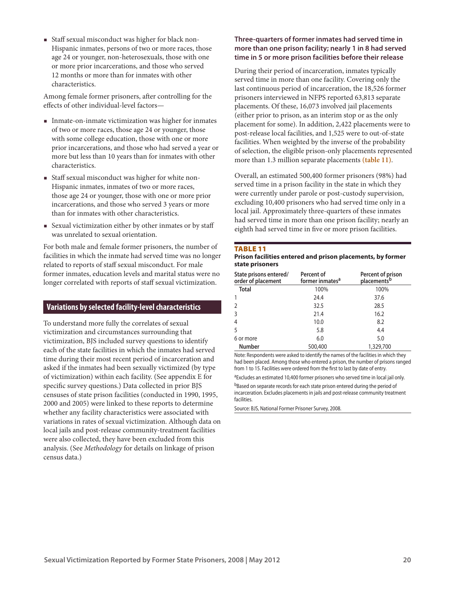Staff sexual misconduct was higher for black non-Hispanic inmates, persons of two or more races, those age 24 or younger, non-heterosexuals, those with one or more prior incarcerations, and those who served 12 months or more than for inmates with other characteristics.

Among female former prisoners, after controlling for the effects of other individual-level factors—

- Inmate-on-inmate victimization was higher for inmates of two or more races, those age 24 or younger, those with some college education, those with one or more prior incarcerations, and those who had served a year or more but less than 10 years than for inmates with other characteristics.
- Staff sexual misconduct was higher for white non-Hispanic inmates, inmates of two or more races, those age 24 or younger, those with one or more prior incarcerations, and those who served 3 years or more than for inmates with other characteristics.
- Sexual victimization either by other inmates or by staff was unrelated to sexual orientation.

For both male and female former prisoners, the number of facilities in which the inmate had served time was no longer related to reports of staff sexual misconduct. For male former inmates, education levels and marital status were no longer correlated with reports of staff sexual victimization.

## **Variations by selected facility-level characteristics**

To understand more fully the correlates of sexual victimization and circumstances surrounding that victimization, BJS included survey questions to identify each of the state facilities in which the inmates had served time during their most recent period of incarceration and asked if the inmates had been sexually victimized (by type of victimization) within each facility. (See appendix E for specific survey questions.) Data collected in prior BJS censuses of state prison facilities (conducted in 1990, 1995, 2000 and 2005) were linked to these reports to determine whether any facility characteristics were associated with variations in rates of sexual victimization. Although data on local jails and post-release community-treatment facilities were also collected, they have been excluded from this analysis. (See *Methodology* for details on linkage of prison census data.)

## **Three-quarters of former inmates had served time in more than one prison facility; nearly 1 in 8 had served time in 5 or more prison facilities before their release**

During their period of incarceration, inmates typically served time in more than one facility. Covering only the last continuous period of incarceration, the 18,526 former prisoners interviewed in NFPS reported 63,813 separate placements. Of these, 16,073 involved jail placements (either prior to prison, as an interim stop or as the only placement for some). In addition, 2,422 placements were to post-release local facilities, and 1,525 were to out-of-state facilities. When weighted by the inverse of the probability of selection, the eligible prison-only placements represented more than 1.3 million separate placements **(table 11)**.

Overall, an estimated 500,400 former prisoners (98%) had served time in a prison facility in the state in which they were currently under parole or post-custody supervision, excluding 10,400 prisoners who had served time only in a local jail. Approximately three-quarters of these inmates had served time in more than one prison facility; nearly an eighth had served time in five or more prison facilities.

#### Table 11

#### **Prison facilities entered and prison placements, by former state prisoners**

| State prisons entered/<br>order of placement | Percent of<br>former inmates <sup>a</sup> | Percent of prison<br>placements <sup>b</sup> |
|----------------------------------------------|-------------------------------------------|----------------------------------------------|
| <b>Total</b>                                 | 100%                                      | 100%                                         |
|                                              | 24.4                                      | 37.6                                         |
| $\overline{2}$                               | 32.5                                      | 28.5                                         |
| $\overline{3}$                               | 21.4                                      | 16.2                                         |
| $\overline{4}$                               | 10.0                                      | 8.2                                          |
| 5                                            | 5.8                                       | 4.4                                          |
| 6 or more                                    | 6.0                                       | 5.0                                          |
| <b>Number</b>                                | 500,400                                   | 1,329,700                                    |

Note: Respondents were asked to identify the names of the facilities in which they had been placed. Among those who entered a prison, the number of prisons ranged from 1 to 15. Facilities were ordered from the first to last by date of entry.

aExcludes an estimated 10,400 former prisoners who served time in local jail only. bBased on separate records for each state prison entered during the period of incarceration. Excludes placements in jails and post-release community treatment facilities.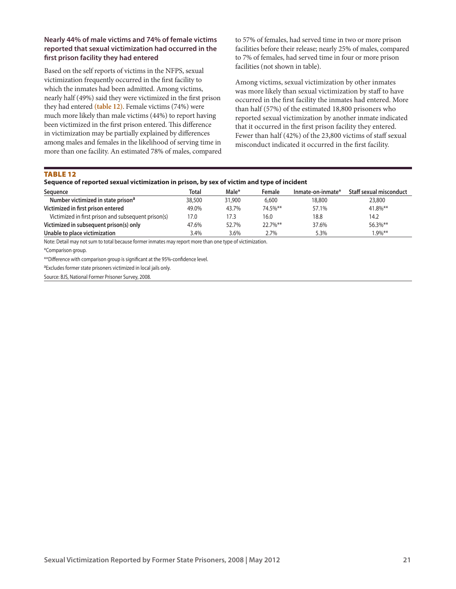## **Nearly 44% of male victims and 74% of female victims reported that sexual victimization had occurred in the first prison facility they had entered**

Based on the self reports of victims in the NFPS, sexual victimization frequently occurred in the first facility to which the inmates had been admitted. Among victims, nearly half (49%) said they were victimized in the first prison they had entered **(table 12)**. Female victims (74%) were much more likely than male victims (44%) to report having been victimized in the first prison entered. This difference in victimization may be partially explained by differences among males and females in the likelihood of serving time in more than one facility. An estimated 78% of males, compared to 57% of females, had served time in two or more prison facilities before their release; nearly 25% of males, compared to 7% of females, had served time in four or more prison facilities (not shown in table).

Among victims, sexual victimization by other inmates was more likely than sexual victimization by staff to have occurred in the first facility the inmates had entered. More than half (57%) of the estimated 18,800 prisoners who reported sexual victimization by another inmate indicated that it occurred in the first prison facility they entered. Fewer than half (42%) of the 23,800 victims of staff sexual misconduct indicated it occurred in the first facility.

TABLE 12

|  |  | Sequence of reported sexual victimization in prison, by sex of victim and type of incident |  |
|--|--|--------------------------------------------------------------------------------------------|--|
|  |  |                                                                                            |  |

| Sequence                                            | <b>Total</b> | Male*  | Female  | Inmate-on-inmate* | Staff sexual misconduct |
|-----------------------------------------------------|--------------|--------|---------|-------------------|-------------------------|
| Number victimized in state prison <sup>a</sup>      | 38,500       | 31,900 | 6,600   | 18,800            | 23,800                  |
| Victimized in first prison entered                  | 49.0%        | 43.7%  | 74.5%** | 57.1%             | 41.8%**                 |
| Victimized in first prison and subsequent prison(s) | 17.0         | 17.3   | 16.0    | 18.8              | 14.2                    |
| Victimized in subsequent prison(s) only             | 47.6%        | 52.7%  | 22.7%** | 37.6%             | 56.3%**                 |
| Unable to place victimization                       | 3.4%         | 3.6%   | 2.7%    | 5.3%              | $1.9\%$ **              |

Note: Detail may not sum to total because former inmates may report more than one type of victimization.

\*Comparison group.

\*\*Difference with comparison group is significant at the 95%-confidence level.

aExcludes former state prisoners victimized in local jails only.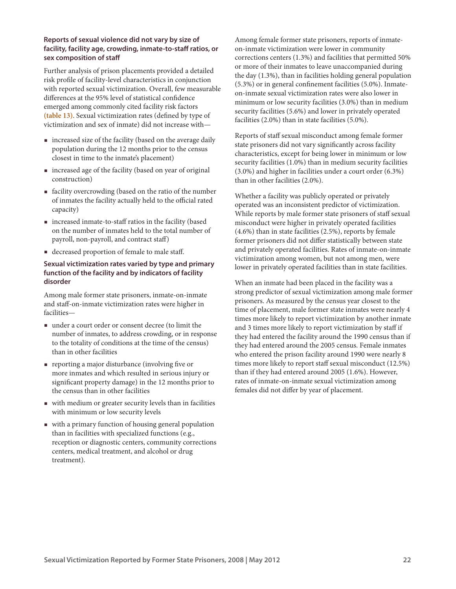#### **Reports of sexual violence did not vary by size of facility, facility age, crowding, inmate-to-staff ratios, or sex composition of staff**

Further analysis of prison placements provided a detailed risk profile of facility-level characteristics in conjunction with reported sexual victimization. Overall, few measurable differences at the 95% level of statistical confidence emerged among commonly cited facility risk factors **(table 13)**. Sexual victimization rates (defined by type of victimization and sex of inmate) did not increase with—

- increased size of the facility (based on the average daily population during the 12 months prior to the census closest in time to the inmate's placement)
- increased age of the facility (based on year of original construction)
- facility overcrowding (based on the ratio of the number of inmates the facility actually held to the official rated capacity)
- increased inmate-to-staff ratios in the facility (based on the number of inmates held to the total number of payroll, non-payroll, and contract staff)
- decreased proportion of female to male staff.

## **Sexual victimization rates varied by type and primary function of the facility and by indicators of facility disorder**

Among male former state prisoners, inmate-on-inmate and staff-on-inmate victimization rates were higher in facilities—

- under a court order or consent decree (to limit the number of inmates, to address crowding, or in response to the totality of conditions at the time of the census) than in other facilities
- reporting a major disturbance (involving five or more inmates and which resulted in serious injury or significant property damage) in the 12 months prior to the census than in other facilities
- with medium or greater security levels than in facilities with minimum or low security levels
- with a primary function of housing general population than in facilities with specialized functions (e.g., reception or diagnostic centers, community corrections centers, medical treatment, and alcohol or drug treatment).

Among female former state prisoners, reports of inmateon-inmate victimization were lower in community corrections centers (1.3%) and facilities that permitted 50% or more of their inmates to leave unaccompanied during the day (1.3%), than in facilities holding general population (5.3%) or in general confinement facilities (5.0%). Inmateon-inmate sexual victimization rates were also lower in minimum or low security facilities (3.0%) than in medium security facilities (5.6%) and lower in privately operated facilities (2.0%) than in state facilities (5.0%).

Reports of staff sexual misconduct among female former state prisoners did not vary significantly across facility characteristics, except for being lower in minimum or low security facilities (1.0%) than in medium security facilities (3.0%) and higher in facilities under a court order (6.3%) than in other facilities (2.0%).

Whether a facility was publicly operated or privately operated was an inconsistent predictor of victimization. While reports by male former state prisoners of staff sexual misconduct were higher in privately operated facilities (4.6%) than in state facilities (2.5%), reports by female former prisoners did not differ statistically between state and privately operated facilities. Rates of inmate-on-inmate victimization among women, but not among men, were lower in privately operated facilities than in state facilities.

When an inmate had been placed in the facility was a strong predictor of sexual victimization among male former prisoners. As measured by the census year closest to the time of placement, male former state inmates were nearly 4 times more likely to report victimization by another inmate and 3 times more likely to report victimization by staff if they had entered the facility around the 1990 census than if they had entered around the 2005 census. Female inmates who entered the prison facility around 1990 were nearly 8 times more likely to report staff sexual misconduct (12.5%) than if they had entered around 2005 (1.6%). However, rates of inmate-on-inmate sexual victimization among females did not differ by year of placement.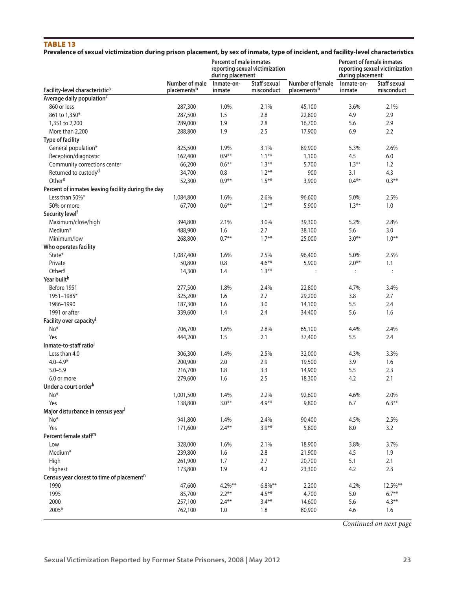# TABLE 13

|  |  | Prevalence of sexual victimization during prison placement, by sex of inmate, type of incident, and facility-level characteristics |  |
|--|--|------------------------------------------------------------------------------------------------------------------------------------|--|
|  |  |                                                                                                                                    |  |

|                                                       |                               | <b>Percent of male inmates</b><br>during placement | reporting sexual victimization    |                                 | <b>Percent of female inmates</b><br>reporting sexual victimization<br>during placement |                            |
|-------------------------------------------------------|-------------------------------|----------------------------------------------------|-----------------------------------|---------------------------------|----------------------------------------------------------------------------------------|----------------------------|
| Facility-level characteristic <sup>a</sup>            | Number of male<br>placementsb | Inmate-on-<br>inmate                               | <b>Staff sexual</b><br>misconduct | Number of female<br>placementsb | Inmate-on-<br>inmate                                                                   | Staff sexual<br>misconduct |
| Average daily population <sup>c</sup>                 |                               |                                                    |                                   |                                 |                                                                                        |                            |
| 860 or less                                           | 287,300                       | 1.0%                                               | 2.1%                              | 45,100                          | 3.6%                                                                                   | 2.1%                       |
| 861 to 1,350*                                         | 287,500                       | 1.5                                                | 2.8                               | 22,800                          | 4.9                                                                                    | 2.9                        |
| 1,351 to 2,200                                        | 289,000                       | 1.9                                                | 2.8                               | 16,700                          | 5.6                                                                                    | 2.9                        |
| More than 2,200                                       | 288,800                       | 1.9                                                | 2.5                               | 17,900                          | 6.9                                                                                    | 2.2                        |
| <b>Type of facility</b>                               |                               |                                                    |                                   |                                 |                                                                                        |                            |
| General population*                                   | 825,500                       | 1.9%                                               | 3.1%                              | 89,900                          | 5.3%                                                                                   | 2.6%                       |
| Reception/diagnostic                                  | 162,400                       | $0.9**$                                            | $1.1***$                          | 1,100                           | 4.5                                                                                    | $6.0\,$                    |
| Community corrections center                          | 66,200                        | $0.6***$                                           | $1.3***$                          | 5,700                           | $1.3***$                                                                               | 1.2                        |
| Returned to custody <sup>d</sup>                      | 34,700                        | 0.8                                                | $1.2***$                          | 900                             | 3.1                                                                                    | 4.3                        |
| Othere                                                | 52,300                        | $0.9**$                                            | $1.5***$                          | 3,900                           | $0.4**$                                                                                | $0.3***$                   |
| Percent of inmates leaving facility during the day    |                               |                                                    |                                   |                                 |                                                                                        |                            |
| Less than 50%*                                        | 1,084,800                     | 1.6%                                               | 2.6%                              | 96,600                          | 5.0%                                                                                   | 2.5%                       |
| 50% or more                                           | 67,700                        | $0.6***$                                           | $1.2***$                          | 5,900                           | $1.3***$                                                                               | $1.0\,$                    |
| Security level <sup>f</sup>                           |                               |                                                    |                                   |                                 |                                                                                        |                            |
| Maximum/close/high                                    | 394,800                       | 2.1%                                               | 3.0%                              | 39,300                          | 5.2%                                                                                   | 2.8%                       |
| Medium*                                               | 488,900                       | 1.6                                                | 2.7                               | 38,100                          | 5.6                                                                                    | 3.0                        |
| Minimum/low                                           | 268,800                       | $0.7**$                                            | $1.7***$                          | 25,000                          | $3.0**$                                                                                | $1.0***$                   |
| Who operates facility                                 |                               |                                                    |                                   |                                 |                                                                                        |                            |
| State*                                                | 1,087,400                     | 1.6%                                               | 2.5%                              | 96,400                          | 5.0%                                                                                   | 2.5%                       |
| Private                                               | 50,800                        | 0.8                                                | $4.6***$                          | 5,900                           | $2.0**$                                                                                | 1.1                        |
| Other <sup>g</sup>                                    | 14,300                        | 1.4                                                | $1.3***$                          | $\vdots$                        | $\ddot{\cdot}$                                                                         | $\vdots$                   |
| Year builth                                           |                               |                                                    |                                   |                                 |                                                                                        |                            |
| Before 1951                                           | 277,500                       | 1.8%                                               | 2.4%                              | 22,800                          | 4.7%                                                                                   | 3.4%                       |
| 1951-1985*                                            | 325,200                       | 1.6                                                | 2.7                               | 29,200                          | 3.8                                                                                    | 2.7                        |
| 1986-1990                                             | 187,300                       | 1.6                                                | 3.0                               | 14,100                          | 5.5                                                                                    | 2.4                        |
| 1991 or after                                         | 339,600                       | 1.4                                                | 2.4                               | 34,400                          | 5.6                                                                                    | 1.6                        |
| Facility over capacity <sup>i</sup>                   |                               |                                                    |                                   |                                 |                                                                                        |                            |
| No*                                                   | 706,700                       | 1.6%                                               | 2.8%                              | 65,100                          | 4.4%                                                                                   | 2.4%                       |
| Yes                                                   | 444,200                       | 1.5                                                | 2.1                               |                                 | 5.5                                                                                    | 2.4                        |
| Inmate-to-staff ratio                                 |                               |                                                    |                                   | 37,400                          |                                                                                        |                            |
|                                                       |                               |                                                    |                                   |                                 |                                                                                        |                            |
| Less than 4.0                                         | 306,300                       | 1.4%                                               | 2.5%                              | 32,000                          | 4.3%                                                                                   | 3.3%                       |
| $4.0 - 4.9*$                                          | 200,900                       | 2.0                                                | 2.9                               | 19,500                          | 3.9                                                                                    | 1.6                        |
| $5.0 - 5.9$<br>6.0 or more                            | 216,700                       | 1.8<br>1.6                                         | 3.3<br>2.5                        | 14,900                          | 5.5                                                                                    | 2.3<br>2.1                 |
| Under a court order <sup>k</sup>                      | 279,600                       |                                                    |                                   | 18,300                          | 4.2                                                                                    |                            |
|                                                       |                               |                                                    |                                   |                                 |                                                                                        |                            |
| No*                                                   | 1,001,500                     | 1.4%                                               | 2.2%                              | 92,600                          | 4.6%                                                                                   | 2.0%                       |
| Yes                                                   | 138,800                       | $3.0**$                                            | $4.9**$                           | 9,800                           | 6.7                                                                                    | $6.3***$                   |
| Major disturbance in census year <sup>l</sup>         |                               |                                                    |                                   |                                 |                                                                                        |                            |
| No*                                                   | 941,800                       | 1.4%                                               | 2.4%                              | 90,400                          | 4.5%                                                                                   | 2.5%                       |
| Yes                                                   | 171,600                       | $2.4***$                                           | $3.9**$                           | 5,800                           | 8.0                                                                                    | 3.2                        |
| Percent female staff <sup>m</sup>                     |                               |                                                    |                                   |                                 |                                                                                        |                            |
| Low                                                   | 328,000                       | 1.6%                                               | 2.1%                              | 18,900                          | 3.8%                                                                                   | 3.7%                       |
| Medium*                                               | 239,800                       | 1.6                                                | 2.8                               | 21,900                          | 4.5                                                                                    | 1.9                        |
| High                                                  | 261,900                       | $1.7\,$                                            | 2.7                               | 20,700                          | 5.1                                                                                    | 2.1                        |
| Highest                                               | 173,800                       | 1.9                                                | 4.2                               | 23,300                          | 4.2                                                                                    | 2.3                        |
| Census year closest to time of placement <sup>n</sup> |                               |                                                    |                                   |                                 |                                                                                        |                            |
| 1990                                                  | 47,600                        | $4.2%***$                                          | $6.8\%$ **                        | 2,200                           | 4.2%                                                                                   | 12.5%**                    |
| 1995                                                  | 85,700                        | $2.2***$                                           | $4.5***$                          | 4,700                           | $5.0\,$                                                                                | $6.7**$                    |
| 2000                                                  | 257,100                       | $2.4***$                                           | $3.4**$                           | 14,600                          | 5.6                                                                                    | $4.3***$                   |
| 2005*                                                 | 762,100                       | 1.0                                                | 1.8                               | 80,900                          | 4.6                                                                                    | 1.6                        |

*Continued on next page*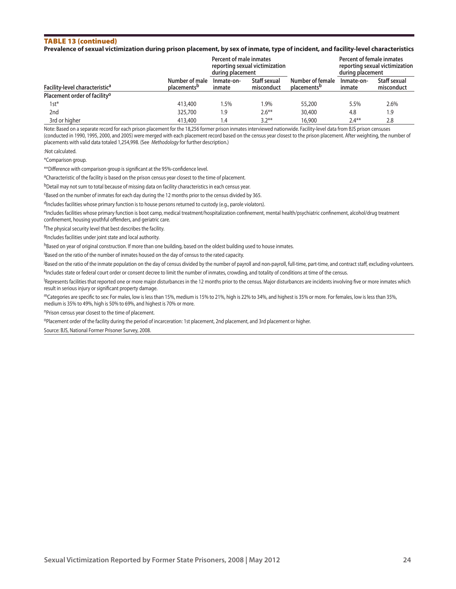#### Table 13 (continued)

#### **Prevalence of sexual victimization during prison placement, by sex of inmate, type of incident, and facility-level characteristics**

|                                            |                                           | Percent of male inmates<br>during placement | reporting sexual victimization |                                             | Percent of female inmates<br>reporting sexual victimization<br>during placement |                            |
|--------------------------------------------|-------------------------------------------|---------------------------------------------|--------------------------------|---------------------------------------------|---------------------------------------------------------------------------------|----------------------------|
| Facility-level characteristic <sup>a</sup> | Number of male<br>placements <sup>b</sup> | Inmate-on-<br>inmate                        | Staff sexual<br>misconduct     | Number of female<br>placements <sup>b</sup> | Inmate-on-<br>inmate                                                            | Staff sexual<br>misconduct |
| Placement order of facility <sup>o</sup>   |                                           |                                             |                                |                                             |                                                                                 |                            |
| 1st*                                       | 413,400                                   | 5%،                                         | l.9%                           | 55,200                                      | 5.5%                                                                            | 2.6%                       |
| 2nd                                        | 325,700                                   | 1.9                                         | $2.6***$                       | 30,400                                      | 4.8                                                                             | 1.9                        |
| 3rd or higher                              | 413,400                                   | 1.4                                         | $3.2***$                       | 16,900                                      | $2.4***$                                                                        | 2.8                        |

Note: Based on a separate record for each prison placement for the 18,256 former prison inmates interviewed nationwide. Facility-level data from BJS prison censuses (conducted in 1990, 1995, 2000, and 2005) were merged with each placement record based on the census year closest to the prison placement. After weighting, the number of placements with valid data totaled 1,254,998. (See *Methodology* for further description.)

:Not calculated.

\*Comparison group.

\*\*Difference with comparison group is significant at the 95%-confidence level.

<sup>a</sup>Characteristic of the facility is based on the prison census year closest to the time of placement.

bDetail may not sum to total because of missing data on facility characteristics in each census year.

cBased on the number of inmates for each day during the 12 months prior to the census divided by 365.

<sup>d</sup>Includes facilities whose primary function is to house persons returned to custody (e.g., parole violators).

eIncludes facilities whose primary function is boot camp, medical treatment/hospitalization confinement, mental health/psychiatric confinement, alcohol/drug treatment confinement, housing youthful offenders, and geriatric care.

<sup>f</sup>The physical security level that best describes the facility.

9Includes facilities under joint state and local authority.

hBased on year of original construction. If more than one building, based on the oldest building used to house inmates.

<sup>i</sup>Based on the ratio of the number of inmates housed on the day of census to the rated capacity.

j Based on the ratio of the inmate population on the day of census divided by the number of payroll and non-payroll, full-time, part-time, and contract staff, excluding volunteers.

kIncludes state or federal court order or consent decree to limit the number of inmates, crowding, and totality of conditions at time of the census.

<sup>I</sup>Represents facilities that reported one or more major disturbances in the 12 months prior to the census. Major disturbances are incidents involving five or more inmates which result in serious injury or significant property damage.

mCategories are specific to sex: For males, low is less than 15%, medium is 15% to 21%, high is 22% to 34%, and highest is 35% or more. For females, low is less than 35%, medium is 35% to 49%, high is 50% to 69%, and highest is 70% or more.

nPrison census year closest to the time of placement.

oPlacement order of the facility during the period of incarceration: 1st placement, 2nd placement, and 3rd placement or higher.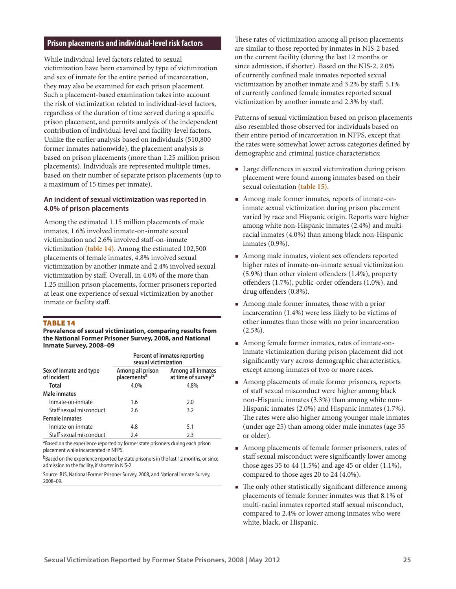## **Prison placements and individual-level risk factors**

While individual-level factors related to sexual victimization have been examined by type of victimization and sex of inmate for the entire period of incarceration, they may also be examined for each prison placement. Such a placement-based examination takes into account the risk of victimization related to individual-level factors, regardless of the duration of time served during a specific prison placement, and permits analysis of the independent contribution of individual-level and facility-level factors. Unlike the earlier analysis based on individuals (510,800 former inmates nationwide), the placement analysis is based on prison placements (more than 1.25 million prison placements). Individuals are represented multiple times, based on their number of separate prison placements (up to a maximum of 15 times per inmate).

#### **An incident of sexual victimization was reported in 4.0% of prison placements**

Among the estimated 1.15 million placements of male inmates, 1.6% involved inmate-on-inmate sexual victimization and 2.6% involved staff-on-inmate victimization **(table 14)**. Among the estimated 102,500 placements of female inmates, 4.8% involved sexual victimization by another inmate and 2.4% involved sexual victimization by staff. Overall, in 4.0% of the more than 1.25 million prison placements, former prisoners reported at least one experience of sexual victimization by another inmate or facility staff.

#### Table 14

**Prevalence of sexual victimization, comparing results from the National Former Prisoner Survey, 2008, and National Inmate Survey, 2008–09**

|                                       | Percent of inmates reporting<br>sexual victimization |                                                     |  |
|---------------------------------------|------------------------------------------------------|-----------------------------------------------------|--|
| Sex of inmate and type<br>of incident | Among all prison<br>placements <sup>a</sup>          | Among all inmates<br>at time of survey <sup>b</sup> |  |
| Total                                 | 4.0%                                                 | 4.8%                                                |  |
| Male inmates                          |                                                      |                                                     |  |
| Inmate-on-inmate                      | 1.6                                                  | 2.0                                                 |  |
| Staff sexual misconduct               | 2.6                                                  | 3.2                                                 |  |
| <b>Female inmates</b>                 |                                                      |                                                     |  |
| Inmate-on-inmate                      | 4.8                                                  | 5.1                                                 |  |
| Staff sexual misconduct               | 2.4                                                  | 2.3                                                 |  |

aBased on the experience reported by former state prisoners during each prison placement while incarcerated in NFPS.

bBased on the experience reported by state prisoners in the last 12 months, or since admission to the facility, if shorter in NIS-2.

Source: BJS, National Former Prisoner Survey, 2008, and National Inmate Survey, 2008–09.

These rates of victimization among all prison placements are similar to those reported by inmates in NIS-2 based on the current facility (during the last 12 months or since admission, if shorter). Based on the NIS-2, 2.0% of currently confined male inmates reported sexual victimization by another inmate and 3.2% by staff; 5.1% of currently confined female inmates reported sexual victimization by another inmate and 2.3% by staff.

Patterns of sexual victimization based on prison placements also resembled those observed for individuals based on their entire period of incarceration in NFPS, except that the rates were somewhat lower across categories defined by demographic and criminal justice characteristics:

- Large differences in sexual victimization during prison placement were found among inmates based on their sexual orientation **(table 15)**.
- Among male former inmates, reports of inmate-oninmate sexual victimization during prison placement varied by race and Hispanic origin. Reports were higher among white non-Hispanic inmates (2.4%) and multiracial inmates (4.0%) than among black non-Hispanic inmates (0.9%).
- Among male inmates, violent sex offenders reported higher rates of inmate-on-inmate sexual victimization (5.9%) than other violent offenders (1.4%), property offenders (1.7%), public-order offenders (1.0%), and drug offenders (0.8%).
- Among male former inmates, those with a prior incarceration (1.4%) were less likely to be victims of other inmates than those with no prior incarceration  $(2.5\%)$ .
- Among female former inmates, rates of inmate-oninmate victimization during prison placement did not significantly vary across demographic characteristics, except among inmates of two or more races.
- Among placements of male former prisoners, reports of staff sexual misconduct were higher among black non-Hispanic inmates (3.3%) than among white non-Hispanic inmates (2.0%) and Hispanic inmates (1.7%). The rates were also higher among younger male inmates (under age 25) than among older male inmates (age 35 or older).
- Among placements of female former prisoners, rates of staff sexual misconduct were significantly lower among those ages 35 to 44 (1.5%) and age 45 or older (1.1%), compared to those ages 20 to 24 (4.0%).
- The only other statistically significant difference among placements of female former inmates was that 8.1% of multi-racial inmates reported staff sexual misconduct, compared to 2.4% or lower among inmates who were white, black, or Hispanic.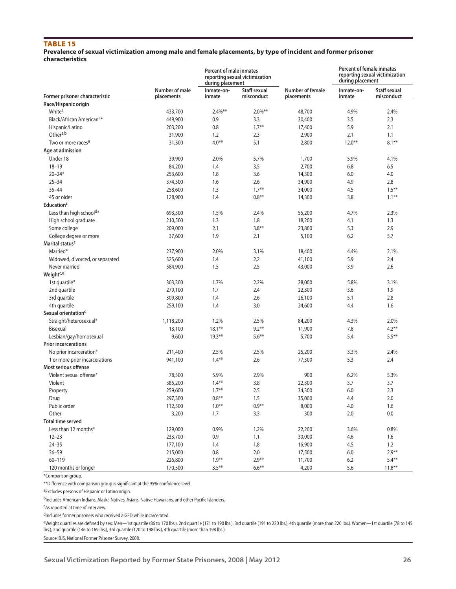## Table 15

#### **Prevalence of sexual victimization among male and female placements, by type of incident and former prisoner characteristics**

| Number of male<br><b>Staff sexual</b><br>Number of female<br>Inmate-on-<br>Staff sexual<br>Inmate-on-<br>Former prisoner characteristic<br>misconduct<br>misconduct<br>placements<br>inmate<br>placements<br>inmate<br>Race/Hispanic origin<br>White <sup>a</sup><br>$2.4\%**$<br>$2.0\%***$<br>4.9%<br>433,700<br>48,700<br>2.4%<br>Black/African American <sup>a*</sup><br>2.3<br>449,900<br>0.9<br>3.3<br>30,400<br>3.5<br>$1.7***$<br>Hispanic/Latino<br>0.8<br>5.9<br>2.1<br>203,200<br>17,400<br>Othera,b<br>1.2<br>31,900<br>2.3<br>2,900<br>2.1<br>1.1<br>$4.0***$<br>$12.0**$<br>$8.1***$<br>Two or more races <sup>a</sup><br>5.1<br>2,800<br>31,300<br>Age at admission<br>Under 18<br>2.0%<br>5.7%<br>39,900<br>1,700<br>5.9%<br>4.1%<br>$18 - 19$<br>3.5<br>84,200<br>1.4<br>2,700<br>6.8<br>6.5<br>$20 - 24*$<br>3.6<br>253,600<br>1.8<br>14,300<br>6.0<br>4.0<br>$25 - 34$<br>4.9<br>374,300<br>1.6<br>2.6<br>34,900<br>2.8<br>$1.7***$<br>$1.5***$<br>$35 - 44$<br>1.3<br>4.5<br>258,600<br>34,000<br>45 or older<br>1.4<br>$0.8**$<br>3.8<br>$1.1***$<br>128,900<br>14,300<br><b>Education<sup>c</sup></b><br>Less than high school <sup>d*</sup><br>1.5%<br>693,300<br>2.4%<br>55,200<br>4.7%<br>2.3%<br>1.3<br>1.8<br>1.3<br>High school graduate<br>210,500<br>18,200<br>4.1<br>$3.8**$<br>Some college<br>209,000<br>2.1<br>23,800<br>5.3<br>2.9<br>College degree or more<br>1.9<br>2.1<br>6.2<br>5.7<br>37,600<br>5,100<br>Marital status <sup>c</sup><br>Married*<br>2.0%<br>237,900<br>3.1%<br>18,400<br>4.4%<br>2.1%<br>Widowed, divorced, or separated<br>1.4<br>2.2<br>5.9<br>2.4<br>325,600<br>41,100<br>Never married<br>2.5<br>3.9<br>2.6<br>584,900<br>1.5<br>43,000<br>Weight <sup>c,e</sup><br>1st quartile*<br>1.7%<br>2.2%<br>303,300<br>28,000<br>5.8%<br>3.1%<br>279,100<br>1.7<br>2.4<br>3.6<br>1.9<br>2nd quartile<br>22,300<br>3rd quartile<br>2.6<br>2.8<br>309,800<br>1.4<br>26,100<br>5.1<br>4th quartile<br>1.4<br>3.0<br>1.6<br>259,100<br>24,600<br>4.4<br>Sexual orientation <sup>c</sup><br>Straight/heterosexual*<br>1,118,200<br>1.2%<br>2.5%<br>4.3%<br>84,200<br>2.0%<br>Bisexual<br>$18.1***$<br>$9.2***$<br>7.8<br>$4.2**$<br>13,100<br>11,900<br>Lesbian/gay/homosexual<br>9,600<br>$19.3***$<br>$5.6***$<br>5,700<br>5.4<br>$5.5***$<br><b>Prior incarcerations</b><br>2.5%<br>No prior incarceration*<br>211,400<br>2.5%<br>25,200<br>3.3%<br>2.4%<br>$1.4***$<br>2.6<br>5.3<br>2.4<br>1 or more prior incarcerations<br>77,300<br>941,100<br>Most serious offense<br>Violent sexual offense*<br>2.9%<br>78,300<br>5.9%<br>900<br>6.2%<br>5.3%<br>$1.4***$<br>3.8<br>3.7<br>3.7<br>Violent<br>385,200<br>22,300<br>$1.7***$<br>2.5<br>34,300<br>6.0<br>2.3<br>259,600<br>Property<br>$0.8***$<br>297,300<br>1.5<br>35,000<br>4.4<br>2.0<br>Drug<br>$1.0***$<br>$0.9**$<br>Public order<br>112,500<br>8,000<br>4.0<br>1.6<br>Other<br>3,200<br>1.7<br>300<br>3.3<br>2.0<br>0.0<br><b>Total time served</b><br>Less than 12 months*<br>129,000<br>0.9%<br>1.2%<br>22,200<br>0.8%<br>3.6%<br>$12 - 23$<br>233,700<br>0.9<br>1.1<br>30,000<br>1.6<br>4.6<br>$24 - 35$<br>177,100<br>1.4<br>1.8<br>16,900<br>4.5<br>1.2<br>$36 - 59$<br>0.8<br>$2.9***$<br>215,000<br>2.0<br>6.0<br>17,500<br>$1.9***$<br>$2.9***$<br>$60 - 119$<br>$5.4**$<br>226,800<br>11,700<br>6.2 |                      |         | <b>Percent of male inmates</b><br>during placement | reporting sexual victimization |       | <b>Percent of female inmates</b><br>reporting sexual victimization<br>during placement |          |
|------------------------------------------------------------------------------------------------------------------------------------------------------------------------------------------------------------------------------------------------------------------------------------------------------------------------------------------------------------------------------------------------------------------------------------------------------------------------------------------------------------------------------------------------------------------------------------------------------------------------------------------------------------------------------------------------------------------------------------------------------------------------------------------------------------------------------------------------------------------------------------------------------------------------------------------------------------------------------------------------------------------------------------------------------------------------------------------------------------------------------------------------------------------------------------------------------------------------------------------------------------------------------------------------------------------------------------------------------------------------------------------------------------------------------------------------------------------------------------------------------------------------------------------------------------------------------------------------------------------------------------------------------------------------------------------------------------------------------------------------------------------------------------------------------------------------------------------------------------------------------------------------------------------------------------------------------------------------------------------------------------------------------------------------------------------------------------------------------------------------------------------------------------------------------------------------------------------------------------------------------------------------------------------------------------------------------------------------------------------------------------------------------------------------------------------------------------------------------------------------------------------------------------------------------------------------------------------------------------------------------------------------------------------------------------------------------------------------------------------------------------------------------------------------------------------------------------------------------------------------------------------------------------------------------------------------------------------------------------------------------------------------------------------------------------------------------------------------------------------------------------------------------------------------------------------------------------------------------------------------------------------------------------------------------------------------------|----------------------|---------|----------------------------------------------------|--------------------------------|-------|----------------------------------------------------------------------------------------|----------|
|                                                                                                                                                                                                                                                                                                                                                                                                                                                                                                                                                                                                                                                                                                                                                                                                                                                                                                                                                                                                                                                                                                                                                                                                                                                                                                                                                                                                                                                                                                                                                                                                                                                                                                                                                                                                                                                                                                                                                                                                                                                                                                                                                                                                                                                                                                                                                                                                                                                                                                                                                                                                                                                                                                                                                                                                                                                                                                                                                                                                                                                                                                                                                                                                                                                                                                                              |                      |         |                                                    |                                |       |                                                                                        |          |
|                                                                                                                                                                                                                                                                                                                                                                                                                                                                                                                                                                                                                                                                                                                                                                                                                                                                                                                                                                                                                                                                                                                                                                                                                                                                                                                                                                                                                                                                                                                                                                                                                                                                                                                                                                                                                                                                                                                                                                                                                                                                                                                                                                                                                                                                                                                                                                                                                                                                                                                                                                                                                                                                                                                                                                                                                                                                                                                                                                                                                                                                                                                                                                                                                                                                                                                              |                      |         |                                                    |                                |       |                                                                                        |          |
|                                                                                                                                                                                                                                                                                                                                                                                                                                                                                                                                                                                                                                                                                                                                                                                                                                                                                                                                                                                                                                                                                                                                                                                                                                                                                                                                                                                                                                                                                                                                                                                                                                                                                                                                                                                                                                                                                                                                                                                                                                                                                                                                                                                                                                                                                                                                                                                                                                                                                                                                                                                                                                                                                                                                                                                                                                                                                                                                                                                                                                                                                                                                                                                                                                                                                                                              |                      |         |                                                    |                                |       |                                                                                        |          |
|                                                                                                                                                                                                                                                                                                                                                                                                                                                                                                                                                                                                                                                                                                                                                                                                                                                                                                                                                                                                                                                                                                                                                                                                                                                                                                                                                                                                                                                                                                                                                                                                                                                                                                                                                                                                                                                                                                                                                                                                                                                                                                                                                                                                                                                                                                                                                                                                                                                                                                                                                                                                                                                                                                                                                                                                                                                                                                                                                                                                                                                                                                                                                                                                                                                                                                                              |                      |         |                                                    |                                |       |                                                                                        |          |
|                                                                                                                                                                                                                                                                                                                                                                                                                                                                                                                                                                                                                                                                                                                                                                                                                                                                                                                                                                                                                                                                                                                                                                                                                                                                                                                                                                                                                                                                                                                                                                                                                                                                                                                                                                                                                                                                                                                                                                                                                                                                                                                                                                                                                                                                                                                                                                                                                                                                                                                                                                                                                                                                                                                                                                                                                                                                                                                                                                                                                                                                                                                                                                                                                                                                                                                              |                      |         |                                                    |                                |       |                                                                                        |          |
|                                                                                                                                                                                                                                                                                                                                                                                                                                                                                                                                                                                                                                                                                                                                                                                                                                                                                                                                                                                                                                                                                                                                                                                                                                                                                                                                                                                                                                                                                                                                                                                                                                                                                                                                                                                                                                                                                                                                                                                                                                                                                                                                                                                                                                                                                                                                                                                                                                                                                                                                                                                                                                                                                                                                                                                                                                                                                                                                                                                                                                                                                                                                                                                                                                                                                                                              |                      |         |                                                    |                                |       |                                                                                        |          |
|                                                                                                                                                                                                                                                                                                                                                                                                                                                                                                                                                                                                                                                                                                                                                                                                                                                                                                                                                                                                                                                                                                                                                                                                                                                                                                                                                                                                                                                                                                                                                                                                                                                                                                                                                                                                                                                                                                                                                                                                                                                                                                                                                                                                                                                                                                                                                                                                                                                                                                                                                                                                                                                                                                                                                                                                                                                                                                                                                                                                                                                                                                                                                                                                                                                                                                                              |                      |         |                                                    |                                |       |                                                                                        |          |
|                                                                                                                                                                                                                                                                                                                                                                                                                                                                                                                                                                                                                                                                                                                                                                                                                                                                                                                                                                                                                                                                                                                                                                                                                                                                                                                                                                                                                                                                                                                                                                                                                                                                                                                                                                                                                                                                                                                                                                                                                                                                                                                                                                                                                                                                                                                                                                                                                                                                                                                                                                                                                                                                                                                                                                                                                                                                                                                                                                                                                                                                                                                                                                                                                                                                                                                              |                      |         |                                                    |                                |       |                                                                                        |          |
|                                                                                                                                                                                                                                                                                                                                                                                                                                                                                                                                                                                                                                                                                                                                                                                                                                                                                                                                                                                                                                                                                                                                                                                                                                                                                                                                                                                                                                                                                                                                                                                                                                                                                                                                                                                                                                                                                                                                                                                                                                                                                                                                                                                                                                                                                                                                                                                                                                                                                                                                                                                                                                                                                                                                                                                                                                                                                                                                                                                                                                                                                                                                                                                                                                                                                                                              |                      |         |                                                    |                                |       |                                                                                        |          |
|                                                                                                                                                                                                                                                                                                                                                                                                                                                                                                                                                                                                                                                                                                                                                                                                                                                                                                                                                                                                                                                                                                                                                                                                                                                                                                                                                                                                                                                                                                                                                                                                                                                                                                                                                                                                                                                                                                                                                                                                                                                                                                                                                                                                                                                                                                                                                                                                                                                                                                                                                                                                                                                                                                                                                                                                                                                                                                                                                                                                                                                                                                                                                                                                                                                                                                                              |                      |         |                                                    |                                |       |                                                                                        |          |
|                                                                                                                                                                                                                                                                                                                                                                                                                                                                                                                                                                                                                                                                                                                                                                                                                                                                                                                                                                                                                                                                                                                                                                                                                                                                                                                                                                                                                                                                                                                                                                                                                                                                                                                                                                                                                                                                                                                                                                                                                                                                                                                                                                                                                                                                                                                                                                                                                                                                                                                                                                                                                                                                                                                                                                                                                                                                                                                                                                                                                                                                                                                                                                                                                                                                                                                              |                      |         |                                                    |                                |       |                                                                                        |          |
|                                                                                                                                                                                                                                                                                                                                                                                                                                                                                                                                                                                                                                                                                                                                                                                                                                                                                                                                                                                                                                                                                                                                                                                                                                                                                                                                                                                                                                                                                                                                                                                                                                                                                                                                                                                                                                                                                                                                                                                                                                                                                                                                                                                                                                                                                                                                                                                                                                                                                                                                                                                                                                                                                                                                                                                                                                                                                                                                                                                                                                                                                                                                                                                                                                                                                                                              |                      |         |                                                    |                                |       |                                                                                        |          |
|                                                                                                                                                                                                                                                                                                                                                                                                                                                                                                                                                                                                                                                                                                                                                                                                                                                                                                                                                                                                                                                                                                                                                                                                                                                                                                                                                                                                                                                                                                                                                                                                                                                                                                                                                                                                                                                                                                                                                                                                                                                                                                                                                                                                                                                                                                                                                                                                                                                                                                                                                                                                                                                                                                                                                                                                                                                                                                                                                                                                                                                                                                                                                                                                                                                                                                                              |                      |         |                                                    |                                |       |                                                                                        |          |
|                                                                                                                                                                                                                                                                                                                                                                                                                                                                                                                                                                                                                                                                                                                                                                                                                                                                                                                                                                                                                                                                                                                                                                                                                                                                                                                                                                                                                                                                                                                                                                                                                                                                                                                                                                                                                                                                                                                                                                                                                                                                                                                                                                                                                                                                                                                                                                                                                                                                                                                                                                                                                                                                                                                                                                                                                                                                                                                                                                                                                                                                                                                                                                                                                                                                                                                              |                      |         |                                                    |                                |       |                                                                                        |          |
|                                                                                                                                                                                                                                                                                                                                                                                                                                                                                                                                                                                                                                                                                                                                                                                                                                                                                                                                                                                                                                                                                                                                                                                                                                                                                                                                                                                                                                                                                                                                                                                                                                                                                                                                                                                                                                                                                                                                                                                                                                                                                                                                                                                                                                                                                                                                                                                                                                                                                                                                                                                                                                                                                                                                                                                                                                                                                                                                                                                                                                                                                                                                                                                                                                                                                                                              |                      |         |                                                    |                                |       |                                                                                        |          |
|                                                                                                                                                                                                                                                                                                                                                                                                                                                                                                                                                                                                                                                                                                                                                                                                                                                                                                                                                                                                                                                                                                                                                                                                                                                                                                                                                                                                                                                                                                                                                                                                                                                                                                                                                                                                                                                                                                                                                                                                                                                                                                                                                                                                                                                                                                                                                                                                                                                                                                                                                                                                                                                                                                                                                                                                                                                                                                                                                                                                                                                                                                                                                                                                                                                                                                                              |                      |         |                                                    |                                |       |                                                                                        |          |
|                                                                                                                                                                                                                                                                                                                                                                                                                                                                                                                                                                                                                                                                                                                                                                                                                                                                                                                                                                                                                                                                                                                                                                                                                                                                                                                                                                                                                                                                                                                                                                                                                                                                                                                                                                                                                                                                                                                                                                                                                                                                                                                                                                                                                                                                                                                                                                                                                                                                                                                                                                                                                                                                                                                                                                                                                                                                                                                                                                                                                                                                                                                                                                                                                                                                                                                              |                      |         |                                                    |                                |       |                                                                                        |          |
|                                                                                                                                                                                                                                                                                                                                                                                                                                                                                                                                                                                                                                                                                                                                                                                                                                                                                                                                                                                                                                                                                                                                                                                                                                                                                                                                                                                                                                                                                                                                                                                                                                                                                                                                                                                                                                                                                                                                                                                                                                                                                                                                                                                                                                                                                                                                                                                                                                                                                                                                                                                                                                                                                                                                                                                                                                                                                                                                                                                                                                                                                                                                                                                                                                                                                                                              |                      |         |                                                    |                                |       |                                                                                        |          |
|                                                                                                                                                                                                                                                                                                                                                                                                                                                                                                                                                                                                                                                                                                                                                                                                                                                                                                                                                                                                                                                                                                                                                                                                                                                                                                                                                                                                                                                                                                                                                                                                                                                                                                                                                                                                                                                                                                                                                                                                                                                                                                                                                                                                                                                                                                                                                                                                                                                                                                                                                                                                                                                                                                                                                                                                                                                                                                                                                                                                                                                                                                                                                                                                                                                                                                                              |                      |         |                                                    |                                |       |                                                                                        |          |
|                                                                                                                                                                                                                                                                                                                                                                                                                                                                                                                                                                                                                                                                                                                                                                                                                                                                                                                                                                                                                                                                                                                                                                                                                                                                                                                                                                                                                                                                                                                                                                                                                                                                                                                                                                                                                                                                                                                                                                                                                                                                                                                                                                                                                                                                                                                                                                                                                                                                                                                                                                                                                                                                                                                                                                                                                                                                                                                                                                                                                                                                                                                                                                                                                                                                                                                              |                      |         |                                                    |                                |       |                                                                                        |          |
|                                                                                                                                                                                                                                                                                                                                                                                                                                                                                                                                                                                                                                                                                                                                                                                                                                                                                                                                                                                                                                                                                                                                                                                                                                                                                                                                                                                                                                                                                                                                                                                                                                                                                                                                                                                                                                                                                                                                                                                                                                                                                                                                                                                                                                                                                                                                                                                                                                                                                                                                                                                                                                                                                                                                                                                                                                                                                                                                                                                                                                                                                                                                                                                                                                                                                                                              |                      |         |                                                    |                                |       |                                                                                        |          |
|                                                                                                                                                                                                                                                                                                                                                                                                                                                                                                                                                                                                                                                                                                                                                                                                                                                                                                                                                                                                                                                                                                                                                                                                                                                                                                                                                                                                                                                                                                                                                                                                                                                                                                                                                                                                                                                                                                                                                                                                                                                                                                                                                                                                                                                                                                                                                                                                                                                                                                                                                                                                                                                                                                                                                                                                                                                                                                                                                                                                                                                                                                                                                                                                                                                                                                                              |                      |         |                                                    |                                |       |                                                                                        |          |
|                                                                                                                                                                                                                                                                                                                                                                                                                                                                                                                                                                                                                                                                                                                                                                                                                                                                                                                                                                                                                                                                                                                                                                                                                                                                                                                                                                                                                                                                                                                                                                                                                                                                                                                                                                                                                                                                                                                                                                                                                                                                                                                                                                                                                                                                                                                                                                                                                                                                                                                                                                                                                                                                                                                                                                                                                                                                                                                                                                                                                                                                                                                                                                                                                                                                                                                              |                      |         |                                                    |                                |       |                                                                                        |          |
|                                                                                                                                                                                                                                                                                                                                                                                                                                                                                                                                                                                                                                                                                                                                                                                                                                                                                                                                                                                                                                                                                                                                                                                                                                                                                                                                                                                                                                                                                                                                                                                                                                                                                                                                                                                                                                                                                                                                                                                                                                                                                                                                                                                                                                                                                                                                                                                                                                                                                                                                                                                                                                                                                                                                                                                                                                                                                                                                                                                                                                                                                                                                                                                                                                                                                                                              |                      |         |                                                    |                                |       |                                                                                        |          |
|                                                                                                                                                                                                                                                                                                                                                                                                                                                                                                                                                                                                                                                                                                                                                                                                                                                                                                                                                                                                                                                                                                                                                                                                                                                                                                                                                                                                                                                                                                                                                                                                                                                                                                                                                                                                                                                                                                                                                                                                                                                                                                                                                                                                                                                                                                                                                                                                                                                                                                                                                                                                                                                                                                                                                                                                                                                                                                                                                                                                                                                                                                                                                                                                                                                                                                                              |                      |         |                                                    |                                |       |                                                                                        |          |
|                                                                                                                                                                                                                                                                                                                                                                                                                                                                                                                                                                                                                                                                                                                                                                                                                                                                                                                                                                                                                                                                                                                                                                                                                                                                                                                                                                                                                                                                                                                                                                                                                                                                                                                                                                                                                                                                                                                                                                                                                                                                                                                                                                                                                                                                                                                                                                                                                                                                                                                                                                                                                                                                                                                                                                                                                                                                                                                                                                                                                                                                                                                                                                                                                                                                                                                              |                      |         |                                                    |                                |       |                                                                                        |          |
|                                                                                                                                                                                                                                                                                                                                                                                                                                                                                                                                                                                                                                                                                                                                                                                                                                                                                                                                                                                                                                                                                                                                                                                                                                                                                                                                                                                                                                                                                                                                                                                                                                                                                                                                                                                                                                                                                                                                                                                                                                                                                                                                                                                                                                                                                                                                                                                                                                                                                                                                                                                                                                                                                                                                                                                                                                                                                                                                                                                                                                                                                                                                                                                                                                                                                                                              |                      |         |                                                    |                                |       |                                                                                        |          |
|                                                                                                                                                                                                                                                                                                                                                                                                                                                                                                                                                                                                                                                                                                                                                                                                                                                                                                                                                                                                                                                                                                                                                                                                                                                                                                                                                                                                                                                                                                                                                                                                                                                                                                                                                                                                                                                                                                                                                                                                                                                                                                                                                                                                                                                                                                                                                                                                                                                                                                                                                                                                                                                                                                                                                                                                                                                                                                                                                                                                                                                                                                                                                                                                                                                                                                                              |                      |         |                                                    |                                |       |                                                                                        |          |
|                                                                                                                                                                                                                                                                                                                                                                                                                                                                                                                                                                                                                                                                                                                                                                                                                                                                                                                                                                                                                                                                                                                                                                                                                                                                                                                                                                                                                                                                                                                                                                                                                                                                                                                                                                                                                                                                                                                                                                                                                                                                                                                                                                                                                                                                                                                                                                                                                                                                                                                                                                                                                                                                                                                                                                                                                                                                                                                                                                                                                                                                                                                                                                                                                                                                                                                              |                      |         |                                                    |                                |       |                                                                                        |          |
|                                                                                                                                                                                                                                                                                                                                                                                                                                                                                                                                                                                                                                                                                                                                                                                                                                                                                                                                                                                                                                                                                                                                                                                                                                                                                                                                                                                                                                                                                                                                                                                                                                                                                                                                                                                                                                                                                                                                                                                                                                                                                                                                                                                                                                                                                                                                                                                                                                                                                                                                                                                                                                                                                                                                                                                                                                                                                                                                                                                                                                                                                                                                                                                                                                                                                                                              |                      |         |                                                    |                                |       |                                                                                        |          |
|                                                                                                                                                                                                                                                                                                                                                                                                                                                                                                                                                                                                                                                                                                                                                                                                                                                                                                                                                                                                                                                                                                                                                                                                                                                                                                                                                                                                                                                                                                                                                                                                                                                                                                                                                                                                                                                                                                                                                                                                                                                                                                                                                                                                                                                                                                                                                                                                                                                                                                                                                                                                                                                                                                                                                                                                                                                                                                                                                                                                                                                                                                                                                                                                                                                                                                                              |                      |         |                                                    |                                |       |                                                                                        |          |
|                                                                                                                                                                                                                                                                                                                                                                                                                                                                                                                                                                                                                                                                                                                                                                                                                                                                                                                                                                                                                                                                                                                                                                                                                                                                                                                                                                                                                                                                                                                                                                                                                                                                                                                                                                                                                                                                                                                                                                                                                                                                                                                                                                                                                                                                                                                                                                                                                                                                                                                                                                                                                                                                                                                                                                                                                                                                                                                                                                                                                                                                                                                                                                                                                                                                                                                              |                      |         |                                                    |                                |       |                                                                                        |          |
|                                                                                                                                                                                                                                                                                                                                                                                                                                                                                                                                                                                                                                                                                                                                                                                                                                                                                                                                                                                                                                                                                                                                                                                                                                                                                                                                                                                                                                                                                                                                                                                                                                                                                                                                                                                                                                                                                                                                                                                                                                                                                                                                                                                                                                                                                                                                                                                                                                                                                                                                                                                                                                                                                                                                                                                                                                                                                                                                                                                                                                                                                                                                                                                                                                                                                                                              |                      |         |                                                    |                                |       |                                                                                        |          |
|                                                                                                                                                                                                                                                                                                                                                                                                                                                                                                                                                                                                                                                                                                                                                                                                                                                                                                                                                                                                                                                                                                                                                                                                                                                                                                                                                                                                                                                                                                                                                                                                                                                                                                                                                                                                                                                                                                                                                                                                                                                                                                                                                                                                                                                                                                                                                                                                                                                                                                                                                                                                                                                                                                                                                                                                                                                                                                                                                                                                                                                                                                                                                                                                                                                                                                                              |                      |         |                                                    |                                |       |                                                                                        |          |
|                                                                                                                                                                                                                                                                                                                                                                                                                                                                                                                                                                                                                                                                                                                                                                                                                                                                                                                                                                                                                                                                                                                                                                                                                                                                                                                                                                                                                                                                                                                                                                                                                                                                                                                                                                                                                                                                                                                                                                                                                                                                                                                                                                                                                                                                                                                                                                                                                                                                                                                                                                                                                                                                                                                                                                                                                                                                                                                                                                                                                                                                                                                                                                                                                                                                                                                              |                      |         |                                                    |                                |       |                                                                                        |          |
|                                                                                                                                                                                                                                                                                                                                                                                                                                                                                                                                                                                                                                                                                                                                                                                                                                                                                                                                                                                                                                                                                                                                                                                                                                                                                                                                                                                                                                                                                                                                                                                                                                                                                                                                                                                                                                                                                                                                                                                                                                                                                                                                                                                                                                                                                                                                                                                                                                                                                                                                                                                                                                                                                                                                                                                                                                                                                                                                                                                                                                                                                                                                                                                                                                                                                                                              |                      |         |                                                    |                                |       |                                                                                        |          |
|                                                                                                                                                                                                                                                                                                                                                                                                                                                                                                                                                                                                                                                                                                                                                                                                                                                                                                                                                                                                                                                                                                                                                                                                                                                                                                                                                                                                                                                                                                                                                                                                                                                                                                                                                                                                                                                                                                                                                                                                                                                                                                                                                                                                                                                                                                                                                                                                                                                                                                                                                                                                                                                                                                                                                                                                                                                                                                                                                                                                                                                                                                                                                                                                                                                                                                                              |                      |         |                                                    |                                |       |                                                                                        |          |
|                                                                                                                                                                                                                                                                                                                                                                                                                                                                                                                                                                                                                                                                                                                                                                                                                                                                                                                                                                                                                                                                                                                                                                                                                                                                                                                                                                                                                                                                                                                                                                                                                                                                                                                                                                                                                                                                                                                                                                                                                                                                                                                                                                                                                                                                                                                                                                                                                                                                                                                                                                                                                                                                                                                                                                                                                                                                                                                                                                                                                                                                                                                                                                                                                                                                                                                              |                      |         |                                                    |                                |       |                                                                                        |          |
|                                                                                                                                                                                                                                                                                                                                                                                                                                                                                                                                                                                                                                                                                                                                                                                                                                                                                                                                                                                                                                                                                                                                                                                                                                                                                                                                                                                                                                                                                                                                                                                                                                                                                                                                                                                                                                                                                                                                                                                                                                                                                                                                                                                                                                                                                                                                                                                                                                                                                                                                                                                                                                                                                                                                                                                                                                                                                                                                                                                                                                                                                                                                                                                                                                                                                                                              |                      |         |                                                    |                                |       |                                                                                        |          |
|                                                                                                                                                                                                                                                                                                                                                                                                                                                                                                                                                                                                                                                                                                                                                                                                                                                                                                                                                                                                                                                                                                                                                                                                                                                                                                                                                                                                                                                                                                                                                                                                                                                                                                                                                                                                                                                                                                                                                                                                                                                                                                                                                                                                                                                                                                                                                                                                                                                                                                                                                                                                                                                                                                                                                                                                                                                                                                                                                                                                                                                                                                                                                                                                                                                                                                                              |                      |         |                                                    |                                |       |                                                                                        |          |
|                                                                                                                                                                                                                                                                                                                                                                                                                                                                                                                                                                                                                                                                                                                                                                                                                                                                                                                                                                                                                                                                                                                                                                                                                                                                                                                                                                                                                                                                                                                                                                                                                                                                                                                                                                                                                                                                                                                                                                                                                                                                                                                                                                                                                                                                                                                                                                                                                                                                                                                                                                                                                                                                                                                                                                                                                                                                                                                                                                                                                                                                                                                                                                                                                                                                                                                              |                      |         |                                                    |                                |       |                                                                                        |          |
|                                                                                                                                                                                                                                                                                                                                                                                                                                                                                                                                                                                                                                                                                                                                                                                                                                                                                                                                                                                                                                                                                                                                                                                                                                                                                                                                                                                                                                                                                                                                                                                                                                                                                                                                                                                                                                                                                                                                                                                                                                                                                                                                                                                                                                                                                                                                                                                                                                                                                                                                                                                                                                                                                                                                                                                                                                                                                                                                                                                                                                                                                                                                                                                                                                                                                                                              |                      |         |                                                    |                                |       |                                                                                        |          |
|                                                                                                                                                                                                                                                                                                                                                                                                                                                                                                                                                                                                                                                                                                                                                                                                                                                                                                                                                                                                                                                                                                                                                                                                                                                                                                                                                                                                                                                                                                                                                                                                                                                                                                                                                                                                                                                                                                                                                                                                                                                                                                                                                                                                                                                                                                                                                                                                                                                                                                                                                                                                                                                                                                                                                                                                                                                                                                                                                                                                                                                                                                                                                                                                                                                                                                                              |                      |         |                                                    |                                |       |                                                                                        |          |
|                                                                                                                                                                                                                                                                                                                                                                                                                                                                                                                                                                                                                                                                                                                                                                                                                                                                                                                                                                                                                                                                                                                                                                                                                                                                                                                                                                                                                                                                                                                                                                                                                                                                                                                                                                                                                                                                                                                                                                                                                                                                                                                                                                                                                                                                                                                                                                                                                                                                                                                                                                                                                                                                                                                                                                                                                                                                                                                                                                                                                                                                                                                                                                                                                                                                                                                              |                      |         |                                                    |                                |       |                                                                                        |          |
|                                                                                                                                                                                                                                                                                                                                                                                                                                                                                                                                                                                                                                                                                                                                                                                                                                                                                                                                                                                                                                                                                                                                                                                                                                                                                                                                                                                                                                                                                                                                                                                                                                                                                                                                                                                                                                                                                                                                                                                                                                                                                                                                                                                                                                                                                                                                                                                                                                                                                                                                                                                                                                                                                                                                                                                                                                                                                                                                                                                                                                                                                                                                                                                                                                                                                                                              |                      |         |                                                    |                                |       |                                                                                        |          |
|                                                                                                                                                                                                                                                                                                                                                                                                                                                                                                                                                                                                                                                                                                                                                                                                                                                                                                                                                                                                                                                                                                                                                                                                                                                                                                                                                                                                                                                                                                                                                                                                                                                                                                                                                                                                                                                                                                                                                                                                                                                                                                                                                                                                                                                                                                                                                                                                                                                                                                                                                                                                                                                                                                                                                                                                                                                                                                                                                                                                                                                                                                                                                                                                                                                                                                                              |                      |         |                                                    |                                |       |                                                                                        |          |
|                                                                                                                                                                                                                                                                                                                                                                                                                                                                                                                                                                                                                                                                                                                                                                                                                                                                                                                                                                                                                                                                                                                                                                                                                                                                                                                                                                                                                                                                                                                                                                                                                                                                                                                                                                                                                                                                                                                                                                                                                                                                                                                                                                                                                                                                                                                                                                                                                                                                                                                                                                                                                                                                                                                                                                                                                                                                                                                                                                                                                                                                                                                                                                                                                                                                                                                              |                      |         |                                                    |                                |       |                                                                                        |          |
|                                                                                                                                                                                                                                                                                                                                                                                                                                                                                                                                                                                                                                                                                                                                                                                                                                                                                                                                                                                                                                                                                                                                                                                                                                                                                                                                                                                                                                                                                                                                                                                                                                                                                                                                                                                                                                                                                                                                                                                                                                                                                                                                                                                                                                                                                                                                                                                                                                                                                                                                                                                                                                                                                                                                                                                                                                                                                                                                                                                                                                                                                                                                                                                                                                                                                                                              |                      |         |                                                    |                                |       |                                                                                        |          |
|                                                                                                                                                                                                                                                                                                                                                                                                                                                                                                                                                                                                                                                                                                                                                                                                                                                                                                                                                                                                                                                                                                                                                                                                                                                                                                                                                                                                                                                                                                                                                                                                                                                                                                                                                                                                                                                                                                                                                                                                                                                                                                                                                                                                                                                                                                                                                                                                                                                                                                                                                                                                                                                                                                                                                                                                                                                                                                                                                                                                                                                                                                                                                                                                                                                                                                                              | 120 months or longer | 170,500 | $3.5***$                                           | $6.6***$                       | 4,200 | 5.6                                                                                    | $11.8**$ |

\*Comparison group.

\*\*Difference with comparison group is significant at the 95%-confidence level.

aExcludes persons of Hispanic or Latino origin.

bIncludes American Indians, Alaska Natives, Asians, Native Hawaiians, and other Pacific Islanders.

<sup>c</sup>As reported at time of interview.

 $d$ Includes former prisoners who received a GED while incarcerated.

eWeight quartiles are defined by sex: Men—1st quartile (86 to 170 lbs.), 2nd quartile (171 to 190 lbs.), 3rd quartile (191 to 220 lbs.), 4th quartile (more than 220 lbs.). Women—1st quartile (78 to 145 lbs.), 2nd quartile (146 to 169 lbs.), 3rd quartile (170 to 198 lbs.), 4th quartile (more than 198 lbs.).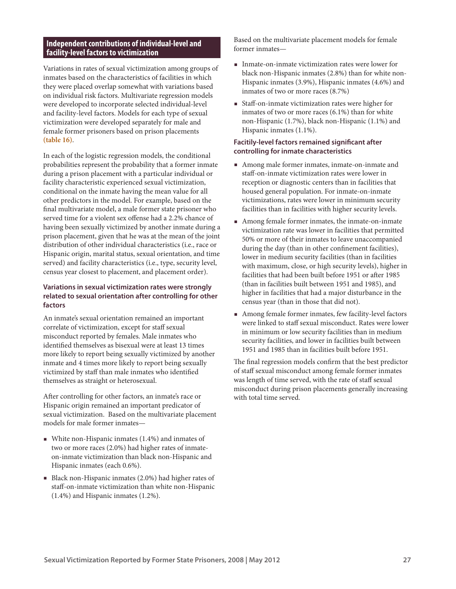## **Independent contributions of individual-level and facility-level factors to victimization**

Variations in rates of sexual victimization among groups of inmates based on the characteristics of facilities in which they were placed overlap somewhat with variations based on individual risk factors. Multivariate regression models were developed to incorporate selected individual-level and facility-level factors. Models for each type of sexual victimization were developed separately for male and female former prisoners based on prison placements **(table 16)**.

In each of the logistic regression models, the conditional probabilities represent the probability that a former inmate during a prison placement with a particular individual or facility characteristic experienced sexual victimization, conditional on the inmate having the mean value for all other predictors in the model. For example, based on the final multivariate model, a male former state prisoner who served time for a violent sex offense had a 2.2% chance of having been sexually victimized by another inmate during a prison placement, given that he was at the mean of the joint distribution of other individual characteristics (i.e., race or Hispanic origin, marital status, sexual orientation, and time served) and facility characteristics (i.e., type, security level, census year closest to placement, and placement order).

## **Variations in sexual victimization rates were strongly related to sexual orientation after controlling for other factors**

An inmate's sexual orientation remained an important correlate of victimization, except for staff sexual misconduct reported by females. Male inmates who identified themselves as bisexual were at least 13 times more likely to report being sexually victimized by another inmate and 4 times more likely to report being sexually victimized by staff than male inmates who identified themselves as straight or heterosexual.

After controlling for other factors, an inmate's race or Hispanic origin remained an important predicator of sexual victimization. Based on the multivariate placement models for male former inmates—

- White non-Hispanic inmates (1.4%) and inmates of two or more races (2.0%) had higher rates of inmateon-inmate victimization than black non-Hispanic and Hispanic inmates (each 0.6%).
- Black non-Hispanic inmates (2.0%) had higher rates of staff-on-inmate victimization than white non-Hispanic (1.4%) and Hispanic inmates (1.2%).

Based on the multivariate placement models for female former inmates—

- $\blacksquare$  Inmate-on-inmate victimization rates were lower for black non-Hispanic inmates (2.8%) than for white non-Hispanic inmates (3.9%), Hispanic inmates (4.6%) and inmates of two or more races (8.7%)
- Staff-on-inmate victimization rates were higher for inmates of two or more races (6.1%) than for white non-Hispanic (1.7%), black non-Hispanic (1.1%) and Hispanic inmates (1.1%).

## **Facitily-level factors remained significant after controlling for inmate characteristics**

- Among male former inmates, inmate-on-inmate and staff-on-inmate victimization rates were lower in reception or diagnostic centers than in facilities that housed general population. For inmate-on-inmate victimizations, rates were lower in minimum security facilities than in facilities with higher security levels.
- Among female former inmates, the inmate-on-inmate victimization rate was lower in facilities that permitted 50% or more of their inmates to leave unaccompanied during the day (than in other confinement facilities), lower in medium security facilities (than in facilities with maximum, close, or high security levels), higher in facilities that had been built before 1951 or after 1985 (than in facilities built between 1951 and 1985), and higher in facilities that had a major disturbance in the census year (than in those that did not).
- Among female former inmates, few facility-level factors were linked to staff sexual misconduct. Rates were lower in minimum or low security facilities than in medium security facilities, and lower in facilities built between 1951 and 1985 than in facilities built before 1951.

The final regression models confirm that the best predictor of staff sexual misconduct among female former inmates was length of time served, with the rate of staff sexual misconduct during prison placements generally increasing with total time served.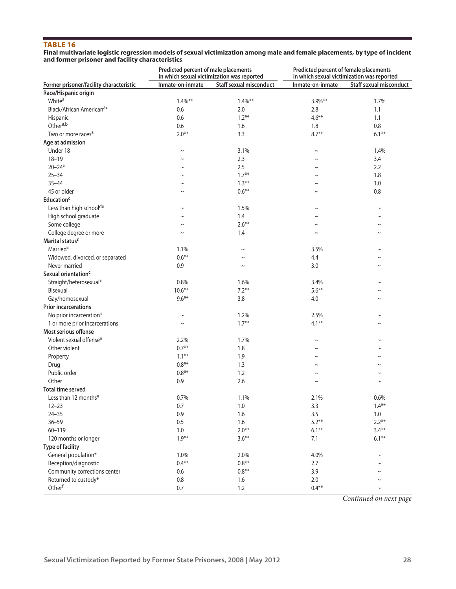#### Table 16

#### **Final multivariate logistic regression models of sexual victimization among male and female placements, by type of incident and former prisoner and facility characteristics**

|                                                        | Predicted percent of male placements<br>in which sexual victimization was reported |                                |                       | Predicted percent of female placements<br>in which sexual victimization was reported |  |  |
|--------------------------------------------------------|------------------------------------------------------------------------------------|--------------------------------|-----------------------|--------------------------------------------------------------------------------------|--|--|
| Former prisoner/facility characteristic                | Inmate-on-inmate                                                                   | <b>Staff sexual misconduct</b> | Inmate-on-inmate      | <b>Staff sexual misconduct</b>                                                       |  |  |
| Race/Hispanic origin                                   |                                                                                    |                                |                       |                                                                                      |  |  |
| White <sup>a</sup>                                     | $1.4\%$ **                                                                         | $1.4\%$ **                     | 3.9%**                | 1.7%                                                                                 |  |  |
| Black/African American <sup>a*</sup>                   | 0.6                                                                                | 2.0                            | 2.8                   | 1.1                                                                                  |  |  |
| Hispanic                                               | 0.6                                                                                | $1.2***$                       | $4.6***$              | 1.1                                                                                  |  |  |
| Othera,b                                               | 0.6                                                                                | 1.6                            | 1.8                   | 0.8                                                                                  |  |  |
| Two or more races <sup>a</sup>                         | $2.0***$                                                                           | 3.3                            | $8.7**$               | $6.1***$                                                                             |  |  |
| Age at admission                                       |                                                                                    |                                |                       |                                                                                      |  |  |
| Under 18                                               | $\sim$                                                                             | 3.1%                           | $\tilde{}$            | 1.4%                                                                                 |  |  |
| $18 - 19$                                              |                                                                                    | 2.3                            | $\tilde{}$            | 3.4                                                                                  |  |  |
| $20 - 24*$                                             | $\sim$                                                                             | 2.5                            | $\tilde{}$            | 2.2                                                                                  |  |  |
| $25 - 34$                                              | $\sim$                                                                             | $1.7***$                       | $\tilde{}$            | 1.8                                                                                  |  |  |
| $35 - 44$                                              | $\sim$                                                                             | $1.3***$                       | $\tilde{\phantom{a}}$ | 1.0                                                                                  |  |  |
| 45 or older                                            | $\sim$                                                                             | $0.6***$                       | $\tilde{}$            | 0.8                                                                                  |  |  |
| <b>Education<sup>c</sup></b>                           |                                                                                    |                                |                       |                                                                                      |  |  |
| Less than high school <sup>d*</sup>                    | $\thicksim$                                                                        | 1.5%                           | $\tilde{\phantom{a}}$ | $\thicksim$                                                                          |  |  |
| High school graduate                                   | $\sim$                                                                             | 1.4                            | $\tilde{\phantom{a}}$ | $\sim$                                                                               |  |  |
| Some college                                           | $\sim$                                                                             | $2.6***$                       | $\sim$                | $\sim$                                                                               |  |  |
| College degree or more                                 | $\sim$                                                                             | 1.4                            | $\tilde{\phantom{a}}$ | $\sim$                                                                               |  |  |
| Marital status <sup>c</sup>                            |                                                                                    |                                |                       |                                                                                      |  |  |
| Married*                                               | 1.1%                                                                               | $\sim$                         | 3.5%                  | $\sim$                                                                               |  |  |
| Widowed, divorced, or separated                        | $0.6***$                                                                           | $\sim$                         | 4.4                   | $\sim$                                                                               |  |  |
| Never married                                          | 0.9                                                                                | $\tilde{}$                     | 3.0                   | $\sim$                                                                               |  |  |
| Sexual orientation <sup>c</sup>                        |                                                                                    |                                |                       |                                                                                      |  |  |
| Straight/heterosexual*                                 | 0.8%                                                                               | 1.6%                           | 3.4%                  | $\sim$                                                                               |  |  |
| Bisexual                                               | $10.6**$                                                                           | $7.2***$                       | $5.6***$              |                                                                                      |  |  |
|                                                        | $9.6***$                                                                           | 3.8                            | 4.0                   | $\sim$                                                                               |  |  |
| Gay/homosexual<br><b>Prior incarcerations</b>          |                                                                                    |                                |                       | $\sim$                                                                               |  |  |
|                                                        |                                                                                    |                                |                       |                                                                                      |  |  |
| No prior incarceration*                                | $\thicksim$                                                                        | 1.2%                           | 2.5%                  | $\sim$                                                                               |  |  |
| 1 or more prior incarcerations<br>Most serious offense | $\sim$                                                                             | $1.7***$                       | $4.1***$              | $\sim$                                                                               |  |  |
|                                                        |                                                                                    |                                |                       |                                                                                      |  |  |
| Violent sexual offense*                                | 2.2%                                                                               | 1.7%                           | $\tilde{}$            | $\sim$                                                                               |  |  |
| Other violent                                          | $0.7***$                                                                           | 1.8                            | $\tilde{\phantom{a}}$ | $\sim$                                                                               |  |  |
| Property                                               | $1.1***$                                                                           | 1.9                            | $\sim$                | $\sim$                                                                               |  |  |
| Drug                                                   | $0.8**$                                                                            | 1.3                            | $\tilde{}$            | $\tilde{}$                                                                           |  |  |
| Public order                                           | $0.8**$                                                                            | 1.2                            |                       |                                                                                      |  |  |
| Other                                                  | 0.9                                                                                | 2.6                            | $\tilde{}$            | $\sim$                                                                               |  |  |
| <b>Total time served</b>                               |                                                                                    |                                |                       |                                                                                      |  |  |
| Less than 12 months*                                   | 0.7%                                                                               | 1.1%                           | 2.1%                  | 0.6%                                                                                 |  |  |
| $12 - 23$                                              | 0.7                                                                                | 1.0                            | 3.3                   | $1.4***$                                                                             |  |  |
| $24 - 35$                                              | 0.9                                                                                | 1.6                            | 3.5                   | 1.0                                                                                  |  |  |
| $36 - 59$                                              | 0.5                                                                                | 1.6                            | $5.2***$              | $2.2**$                                                                              |  |  |
| $60 - 119$                                             | 1.0                                                                                | $2.0***$                       | $6.1***$              | $3.4***$                                                                             |  |  |
| 120 months or longer                                   | $1.9***$                                                                           | $3.6***$                       | 7.1                   | $6.1***$                                                                             |  |  |
| <b>Type of facility</b>                                |                                                                                    |                                |                       |                                                                                      |  |  |
| General population*                                    | 1.0%                                                                               | 2.0%                           | 4.0%                  | $\thicksim$                                                                          |  |  |
| Reception/diagnostic                                   | $0.4**$                                                                            | $0.8**$                        | 2.7                   | $\sim$                                                                               |  |  |
| Community corrections center                           | 0.6                                                                                | $0.8**$                        | 3.9                   | $\tilde{}$                                                                           |  |  |
| Returned to custody <sup>e</sup>                       | $0.8\,$                                                                            | 1.6                            | 2.0                   | $\sim$                                                                               |  |  |
| Otherf                                                 | 0.7                                                                                | 1.2                            | $0.4***$              | $\thicksim$                                                                          |  |  |

*Continued on next page*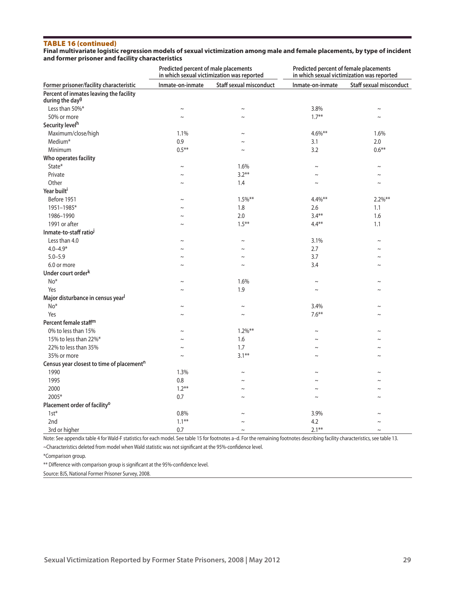#### Table 16 (continued)

**Final multivariate logistic regression models of sexual victimization among male and female placements, by type of incident and former prisoner and facility characteristics**

|                                                                        | Predicted percent of male placements<br>in which sexual victimization was reported |                                | Predicted percent of female placements<br>in which sexual victimization was reported |                                |  |
|------------------------------------------------------------------------|------------------------------------------------------------------------------------|--------------------------------|--------------------------------------------------------------------------------------|--------------------------------|--|
| Former prisoner/facility characteristic                                | Inmate-on-inmate                                                                   | <b>Staff sexual misconduct</b> | Inmate-on-inmate                                                                     | <b>Staff sexual misconduct</b> |  |
| Percent of inmates leaving the facility<br>during the day <sup>g</sup> |                                                                                    |                                |                                                                                      |                                |  |
| Less than 50%*                                                         | $\thicksim$                                                                        | $\sim$                         | 3.8%                                                                                 | $\sim$                         |  |
| 50% or more                                                            | $\sim$                                                                             | $\sim$                         | $1.7***$                                                                             |                                |  |
| Security level <sup>h</sup>                                            |                                                                                    |                                |                                                                                      |                                |  |
| Maximum/close/high                                                     | 1.1%                                                                               | $\sim$                         | $4.6\%**$                                                                            | 1.6%                           |  |
| Medium*                                                                | 0.9                                                                                | $\sim$                         | 3.1                                                                                  | 2.0                            |  |
| Minimum                                                                | $0.5***$                                                                           | $\sim$                         | 3.2                                                                                  | $0.6***$                       |  |
| Who operates facility                                                  |                                                                                    |                                |                                                                                      |                                |  |
| State*                                                                 | $\thicksim$                                                                        | 1.6%                           | $\thicksim$                                                                          | $\sim$                         |  |
| Private                                                                | $\sim$                                                                             | $3.2***$                       | $\sim$                                                                               | $\sim$                         |  |
| Other                                                                  | $\sim$                                                                             | 1.4                            | $\sim$                                                                               | $\sim$                         |  |
| Year built <sup>i</sup>                                                |                                                                                    |                                |                                                                                      |                                |  |
| Before 1951                                                            | $\sim$                                                                             | $1.5\%$ **                     | $4.4\%**$                                                                            | $2.2\%$ **                     |  |
| 1951-1985*                                                             | $\sim$                                                                             | 1.8                            | 2.6                                                                                  | 1.1                            |  |
| 1986-1990                                                              | $\tilde{}$                                                                         | 2.0                            | $3.4***$                                                                             | 1.6                            |  |
| 1991 or after                                                          | $\sim$                                                                             | $1.5***$                       | $4.4**$                                                                              | 1.1                            |  |
| Inmate-to-staff ratio <sup>j</sup>                                     |                                                                                    |                                |                                                                                      |                                |  |
| Less than 4.0                                                          | $\tilde{}$                                                                         | $\sim$                         | 3.1%                                                                                 | $\sim$                         |  |
| $4.0 - 4.9*$                                                           | $\sim$                                                                             | $\sim$                         | 2.7                                                                                  | $\sim$                         |  |
| $5.0 - 5.9$                                                            | $\sim$                                                                             | $\sim$                         | 3.7                                                                                  | $\sim$                         |  |
| 6.0 or more                                                            | $\sim$                                                                             | $\sim$                         | 3.4                                                                                  |                                |  |
| Under court order <sup>k</sup>                                         |                                                                                    |                                |                                                                                      |                                |  |
| No*                                                                    | $\sim$                                                                             | 1.6%                           | $\sim$                                                                               | $\sim$                         |  |
| Yes                                                                    | $\tilde{}$                                                                         | 1.9                            | $\sim$                                                                               | $\sim$                         |  |
| Major disturbance in census year <sup>l</sup>                          |                                                                                    |                                |                                                                                      |                                |  |
| $No*$                                                                  | $\sim$                                                                             | $\tilde{}$                     | 3.4%                                                                                 | $\sim$                         |  |
| Yes                                                                    | $\tilde{}$                                                                         | $\sim$                         | $7.6***$                                                                             |                                |  |
| Percent female staff <sup>m</sup>                                      |                                                                                    |                                |                                                                                      |                                |  |
| 0% to less than 15%                                                    | $\sim$                                                                             | $1.2\%$ **                     | $\sim$                                                                               | $\sim$                         |  |
| 15% to less than 22%*                                                  | $\tilde{}$                                                                         | 1.6                            | $\sim$                                                                               |                                |  |
| 22% to less than 35%                                                   | $\sim$                                                                             | 1.7                            | $\sim$                                                                               | $\sim$                         |  |
| 35% or more                                                            | $\sim$                                                                             | $3.1***$                       | $\sim$                                                                               | $\sim$                         |  |
| Census year closest to time of placement <sup>n</sup>                  |                                                                                    |                                |                                                                                      |                                |  |
| 1990                                                                   | 1.3%                                                                               | $\thicksim$                    | $\sim$                                                                               | $\sim$                         |  |
| 1995                                                                   | 0.8                                                                                | $\sim$                         | $\sim$                                                                               |                                |  |
| 2000                                                                   | $1.2***$                                                                           | $\sim$                         | $\sim$                                                                               | $\sim$                         |  |
| 2005*                                                                  | 0.7                                                                                | $\sim$                         | $\sim$                                                                               | $\sim$                         |  |
| Placement order of facility <sup>o</sup>                               |                                                                                    |                                |                                                                                      |                                |  |
| $1st*$                                                                 | 0.8%                                                                               |                                | 3.9%                                                                                 |                                |  |
| 2nd                                                                    | $1.1***$                                                                           |                                | 4.2                                                                                  |                                |  |
| 3rd or higher                                                          | 0.7                                                                                | $\sim$                         | $2.1***$                                                                             | $\sim$                         |  |

Note: See appendix table 4 for Wald-F statistics for each model. See table 15 for footnotes a–d. For the remaining footnotes describing facility characteristics, see table 13.

~Characteristics deleted from model when Wald statistic was not significant at the 95%-confidence level.

\*Comparison group.

\*\* Difference with comparison group is significant at the 95%-confidence level.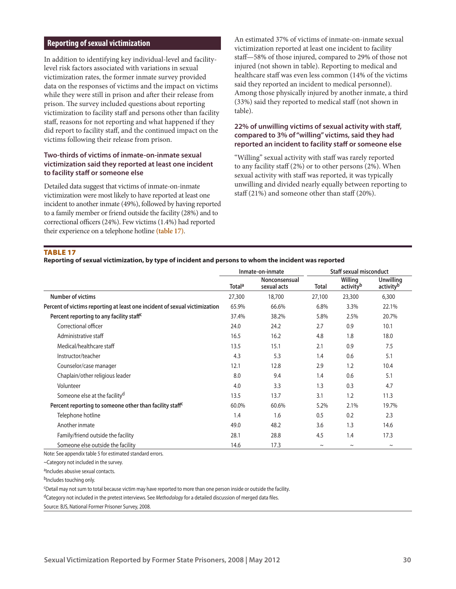#### **Reporting of sexual victimization**

In addition to identifying key individual-level and facilitylevel risk factors associated with variations in sexual victimization rates, the former inmate survey provided data on the responses of victims and the impact on victims while they were still in prison and after their release from prison. The survey included questions about reporting victimization to facility staff and persons other than facility staff, reasons for not reporting and what happened if they did report to facility staff, and the continued impact on the victims following their release from prison.

## **Two-thirds of victims of inmate-on-inmate sexual victimization said they reported at least one incident to facility staff or someone else**

Detailed data suggest that victims of inmate-on-inmate victimization were most likely to have reported at least one incident to another inmate (49%), followed by having reported to a family member or friend outside the facility (28%) and to correctional officers (24%). Few victims (1.4%) had reported their experience on a telephone hotline **(table 17)**.

An estimated 37% of victims of inmate-on-inmate sexual victimization reported at least one incident to facility staff—58% of those injured, compared to 29% of those not injured (not shown in table). Reporting to medical and healthcare staff was even less common (14% of the victims said they reported an incident to medical personnel). Among those physically injured by another inmate, a third (33%) said they reported to medical staff (not shown in table).

## **22% of unwilling victims of sexual activity with staff, compared to 3% of "willing" victims, said they had reported an incident to facility staff or someone else**

"Willing" sexual activity with staff was rarely reported to any facility staff (2%) or to other persons (2%). When sexual activity with staff was reported, it was typically unwilling and divided nearly equally between reporting to staff (21%) and someone other than staff (20%).

#### **TABLE 17**

#### **Reporting of sexual victimization, by type of incident and persons to whom the incident was reported**

|                                                                            |                    | Inmate-on-inmate             | <b>Staff sexual misconduct</b> |                                  |                                           |
|----------------------------------------------------------------------------|--------------------|------------------------------|--------------------------------|----------------------------------|-------------------------------------------|
|                                                                            | Total <sup>a</sup> | Nonconsensual<br>sexual acts | Total                          | Willing<br>activity <sup>b</sup> | <b>Unwilling</b><br>activity <sup>b</sup> |
| <b>Number of victims</b>                                                   | 27,300             | 18,700                       | 27,100                         | 23,300                           | 6,300                                     |
| Percent of victims reporting at least one incident of sexual victimization | 65.9%              | 66.6%                        | 6.8%                           | 3.3%                             | 22.1%                                     |
| Percent reporting to any facility staff <sup>c</sup>                       | 37.4%              | 38.2%                        | 5.8%                           | 2.5%                             | 20.7%                                     |
| Correctional officer                                                       | 24.0               | 24.2                         | 2.7                            | 0.9                              | 10.1                                      |
| Administrative staff                                                       | 16.5               | 16.2                         | 4.8                            | 1.8                              | 18.0                                      |
| Medical/healthcare staff                                                   | 13.5               | 15.1                         | 2.1                            | 0.9                              | 7.5                                       |
| Instructor/teacher                                                         | 4.3                | 5.3                          | 1.4                            | 0.6                              | 5.1                                       |
| Counselor/case manager                                                     | 12.1               | 12.8                         | 2.9                            | 1.2                              | 10.4                                      |
| Chaplain/other religious leader                                            | 8.0                | 9.4                          | 1.4                            | 0.6                              | 5.1                                       |
| Volunteer                                                                  | 4.0                | 3.3                          | 1.3                            | 0.3                              | 4.7                                       |
| Someone else at the facility <sup>d</sup>                                  | 13.5               | 13.7                         | 3.1                            | 1.2                              | 11.3                                      |
| Percent reporting to someone other than facility staff <sup>c</sup>        | 60.0%              | 60.6%                        | 5.2%                           | 2.1%                             | 19.7%                                     |
| Telephone hotline                                                          | 1.4                | 1.6                          | 0.5                            | 0.2                              | 2.3                                       |
| Another inmate                                                             | 49.0               | 48.2                         | 3.6                            | 1.3                              | 14.6                                      |
| Family/friend outside the facility                                         | 28.1               | 28.8                         | 4.5                            | 1.4                              | 17.3                                      |
| Someone else outside the facility                                          | 14.6               | 17.3                         | $\sim$                         | $\sim$                           | $\tilde{}$                                |

Note: See appendix table 5 for estimated standard errors.

~Category not included in the survey.

aIncludes abusive sexual contacts.

bIncludes touching only.

cDetail may not sum to total because victim may have reported to more than one person inside or outside the facility.

dCategory not included in the pretest interviews. See *Methodology* for a detailed discussion of merged data files.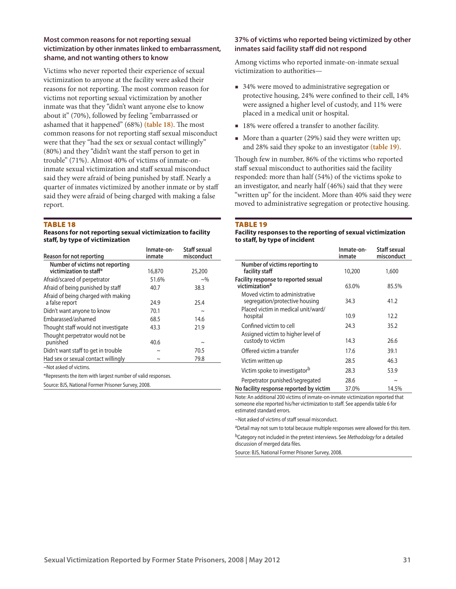#### **Most common reasons for not reporting sexual victimization by other inmates linked to embarrassment, shame, and not wanting others to know**

Victims who never reported their experience of sexual victimization to anyone at the facility were asked their reasons for not reporting. The most common reason for victims not reporting sexual victimization by another inmate was that they "didn't want anyone else to know about it" (70%), followed by feeling "embarrassed or ashamed that it happened" (68%) **(table 18)**. The most common reasons for not reporting staff sexual misconduct were that they "had the sex or sexual contact willingly" (80%) and they "didn't want the staff person to get in trouble" (71%). Almost 40% of victims of inmate-oninmate sexual victimization and staff sexual misconduct said they were afraid of being punished by staff. Nearly a quarter of inmates victimized by another inmate or by staff said they were afraid of being charged with making a false report.

#### TABLE 18

#### **Reasons for not reporting sexual victimization to facility staff, by type of victimization**

| Reason for not reporting                                   | Inmate-on-<br>inmate | Staff sexual<br>misconduct |
|------------------------------------------------------------|----------------------|----------------------------|
| Number of victims not reporting<br>victimization to staff* | 16,870               | 25,200                     |
| Afraid/scared of perpetrator                               | 51.6%                | $\sim\!\%$                 |
| Afraid of being punished by staff                          | 40.7                 | 38.3                       |
| Afraid of being charged with making<br>a false report      | 24.9                 | 25.4                       |
| Didn't want anyone to know                                 | 70.1                 | $\sim$                     |
| Embarassed/ashamed                                         | 68.5                 | 14.6                       |
| Thought staff would not investigate                        | 43.3                 | 21.9                       |
| Thought perpetrator would not be<br>punished               | 40.6                 | $\tilde{}$                 |
| Didn't want staff to get in trouble                        | $\sim$               | 70.5                       |
| Had sex or sexual contact willingly                        | $\sim$               | 79.8                       |

~Not asked of victims.

\*Represents the item with largest number of valid responses.

Source: BJS, National Former Prisoner Survey, 2008.

#### **37% of victims who reported being victimized by other inmates said facility staff did not respond**

Among victims who reported inmate-on-inmate sexual victimization to authorities—

- 34% were moved to administrative segregation or protective housing, 24% were confined to their cell, 14% were assigned a higher level of custody, and 11% were placed in a medical unit or hospital.
- 18% were offered a transfer to another facility.
- More than a quarter (29%) said they were written up; and 28% said they spoke to an investigator **(table 19)**.

Though few in number, 86% of the victims who reported staff sexual misconduct to authorities said the facility responded: more than half (54%) of the victims spoke to an investigator, and nearly half (46%) said that they were "written up" for the incident. More than 40% said they were moved to administrative segregation or protective housing.

#### **TABLE 19**

#### **Facility responses to the reporting of sexual victimization to staff, by type of incident**

|                                                                                                         | Inmate-on-<br>inmate | Staff sexual<br>misconduct |
|---------------------------------------------------------------------------------------------------------|----------------------|----------------------------|
| Number of victims reporting to<br>facility staff                                                        | 10,200               | 1,600                      |
| Facility response to reported sexual<br>victimization <sup>a</sup>                                      | 63.0%                | 85.5%                      |
| Moved victim to administrative<br>segregation/protective housing<br>Placed victim in medical unit/ward/ | 34.3                 | 41.2                       |
| hospital                                                                                                | 10.9                 | 12.2                       |
| Confined victim to cell                                                                                 | 24.3                 | 35.2                       |
| Assigned victim to higher level of<br>custody to victim                                                 | 14.3                 | 26.6                       |
| Offered victim a transfer                                                                               | 17.6                 | 39.1                       |
| Victim written up                                                                                       | 28.5                 | 46.3                       |
| Victim spoke to investigator <sup>b</sup>                                                               | 28.3                 | 53.9                       |
| Perpetrator punished/segregated                                                                         | 28.6                 | $\sim$                     |
| No facility response reported by victim                                                                 | 37.0%                | 14.5%                      |

Note: An additional 200 victims of inmate-on-inmate victimization reported that someone else reported his/her victimization to staff. See appendix table 6 for estimated standard errors.

~Not asked of victims of staff sexual misconduct.

aDetail may not sum to total because multiple responses were allowed for this item. bCategory not included in the pretest interviews. See *Methodology* for a detailed discussion of merged data files.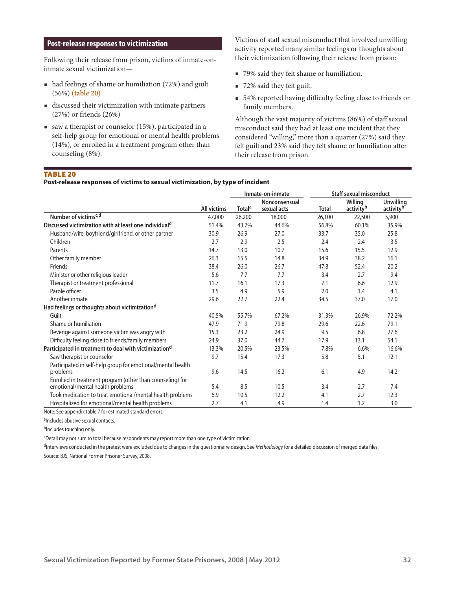## **Post-release responses to victimization**

Following their release from prison, victims of inmate-oninmate sexual victimization—

- had feelings of shame or humiliation (72%) and guilt (56%) **(table 20)**
- discussed their victimization with intimate partners (27%) or friends (26%)
- saw a therapist or counselor (15%), participated in a self-help group for emotional or mental health problems (14%), or enrolled in a treatment program other than counseling (8%).

Victims of staff sexual misconduct that involved unwilling activity reported many similar feelings or thoughts about their victimization following their release from prison:

- 79% said they felt shame or humiliation.
- 72% said they felt guilt.
- 54% reported having difficulty feeling close to friends or family members.

Although the vast majority of victims (86%) of staff sexual misconduct said they had at least one incident that they considered "willing," more than a quarter (27%) said they felt guilt and 23% said they felt shame or humiliation after their release from prison.

#### Table 20

**Post-release responses of victims to sexual victimization, by type of incident**

|                                                                                               |                    |                           | Inmate-on-inmate             | <b>Staff sexual misconduct</b> |                                  |                                           |  |
|-----------------------------------------------------------------------------------------------|--------------------|---------------------------|------------------------------|--------------------------------|----------------------------------|-------------------------------------------|--|
|                                                                                               | <b>All victims</b> | <b>Total</b> <sup>a</sup> | Nonconsensual<br>sexual acts | <b>Total</b>                   | Willing<br>activity <sup>b</sup> | <b>Unwilling</b><br>activity <sup>b</sup> |  |
| Number of victims <sup>c,d</sup>                                                              | 47,000             | 26,200                    | 18,000                       | 26,100                         | 22,500                           | 5,900                                     |  |
| Discussed victimization with at least one individual <sup>d</sup>                             | 51.4%              | 43.7%                     | 44.6%                        | 56.8%                          | 60.1%                            | 35.9%                                     |  |
| Husband/wife, boyfriend/girlfriend, or other partner                                          | 30.9               | 26.9                      | 27.0                         | 33.7                           | 35.0                             | 25.8                                      |  |
| Children                                                                                      | 2.7                | 2.9                       | 2.5                          | 2.4                            | 2.4                              | 3.5                                       |  |
| Parents                                                                                       | 14.7               | 13.0                      | 10.7                         | 15.6                           | 15.5                             | 12.9                                      |  |
| Other family member                                                                           | 26.3               | 15.5                      | 14.8                         | 34.9                           | 38.2                             | 16.1                                      |  |
| Friends                                                                                       | 38.4               | 26.0                      | 26.7                         | 47.8                           | 52.4                             | 20.2                                      |  |
| Minister or other religious leader                                                            | 5.6                | 7.7                       | 7.7                          | 3.4                            | 2.7                              | 9.4                                       |  |
| Therapist or treatment professional                                                           | 11.7               | 16.1                      | 17.3                         | 7.1                            | 6.6                              | 12.9                                      |  |
| Parole officer                                                                                | 3.5                | 4.9                       | 5.9                          | 2.0                            | 1.4                              | 4.1                                       |  |
| Another inmate                                                                                | 29.6               | 22.7                      | 22.4                         | 34.5                           | 37.0                             | 17.0                                      |  |
| Had feelings or thoughts about victimization <sup>d</sup>                                     |                    |                           |                              |                                |                                  |                                           |  |
| Guilt                                                                                         | 40.5%              | 55.7%                     | 67.2%                        | 31.3%                          | 26.9%                            | 72.2%                                     |  |
| Shame or humiliation                                                                          | 47.9               | 71.9                      | 79.8                         | 29.6                           | 22.6                             | 79.1                                      |  |
| Revenge against someone victim was angry with                                                 | 15.3               | 23.2                      | 24.9                         | 9.5                            | 6.8                              | 27.6                                      |  |
| Difficulty feeling close to friends/family members                                            | 24.9               | 37.0                      | 44.7                         | 17.9                           | 13.1                             | 54.1                                      |  |
| Participated in treatment to deal with victimization <sup>d</sup>                             | 13.3%              | 20.5%                     | 23.5%                        | 7.8%                           | 6.6%                             | 16.6%                                     |  |
| Saw therapist or counselor                                                                    | 9.7                | 15.4                      | 17.3                         | 5.8                            | 5.1                              | 12.1                                      |  |
| Participated in self-help group for emotional/mental health<br>problems                       | 9.6                | 14.5                      | 16.2                         | 6.1                            | 4.9                              | 14.2                                      |  |
| Enrolled in treatment program (other than counseling) for<br>emotional/mental health problems | 5.4                | 8.5                       | 10.5                         | 3.4                            | 2.7                              | 7.4                                       |  |
| Took medication to treat emotional/mental health problems                                     | 6.9                | 10.5                      | 12.2                         | 4.1                            | 2.7                              | 12.3                                      |  |
| Hospitalized for emotional/mental health problems                                             | 2.7                | 4.1                       | 4.9                          | 1.4                            | 1.2                              | 3.0                                       |  |

Note: See appendix table 7 for estimated standard errors.

aIncludes abusive sexual contacts.

bIncludes touching only.

cDetail may not sum to total because respondents may report more than one type of victimization.

d<sup>1</sup>nterviews conducted in the pretest were excluded due to changes in the questionnaire design. See Methodology for a detailed discussion of merged data files.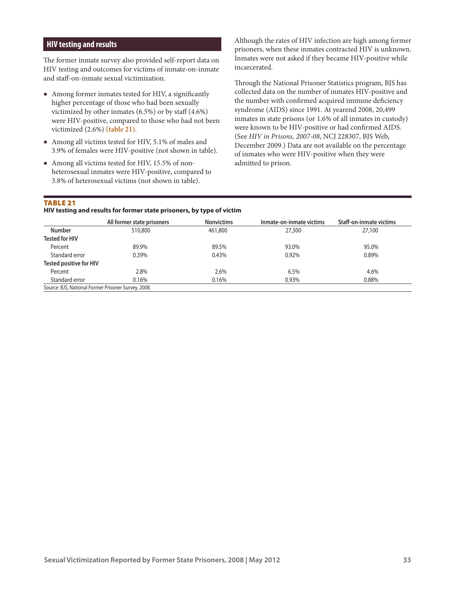## **HIV testing and results**

The former inmate survey also provided self-report data on HIV testing and outcomes for victims of inmate-on-inmate and staff-on-inmate sexual victimization.

- Among former inmates tested for HIV, a significantly higher percentage of those who had been sexually victimized by other inmates  $(6.5\%)$  or by staff  $(4.6\%)$ were HIV-positive, compared to those who had not been victimized (2.6%) **(table 21)**.
- Among all victims tested for HIV, 5.1% of males and 3.9% of females were HIV-positive (not shown in table).
- Among all victims tested for HIV, 15.5% of nonheterosexual inmates were HIV-positive, compared to 3.8% of heterosexual victims (not shown in table).

Although the rates of HIV infection are high among former prisoners, when these inmates contracted HIV is unknown. Inmates were not asked if they became HIV-positive while incarcerated.

Through the National Prisoner Statistics program, BJS has collected data on the number of inmates HIV-positive and the number with confirmed acquired immune deficiency syndrome (AIDS) since 1991. At yearend 2008, 20,499 inmates in state prisons (or 1.6% of all inmates in custody) were known to be HIV-positive or had confirmed AIDS. (See *HIV in Prisons, 2007-08*, NCJ 228307, BJS Web, December 2009.) Data are not available on the percentage of inmates who were HIV-positive when they were admitted to prison.

#### TABLE 21

#### **HIV testing and results for former state prisoners, by type of victim**

|                                                     | All former state prisoners | <b>Nonvictims</b> | Inmate-on-inmate victims | Staff-on-inmate victims |
|-----------------------------------------------------|----------------------------|-------------------|--------------------------|-------------------------|
| <b>Number</b>                                       | 510,800                    | 461,800           | 27,300                   | 27,100                  |
| <b>Tested for HIV</b>                               |                            |                   |                          |                         |
| Percent                                             | 89.9%                      | 89.5%             | 93.0%                    | 95.0%                   |
| Standard error                                      | $0.39\%$                   | 0.43%             | 0.92%                    | 0.89%                   |
| <b>Tested positive for HIV</b>                      |                            |                   |                          |                         |
| Percent                                             | 2.8%                       | 2.6%              | 6.5%                     | 4.6%                    |
| Standard error                                      | 0.16%                      | 0.16%             | 0.93%                    | 0.88%                   |
| Source: BJS, National Former Prisoner Survey, 2008. |                            |                   |                          |                         |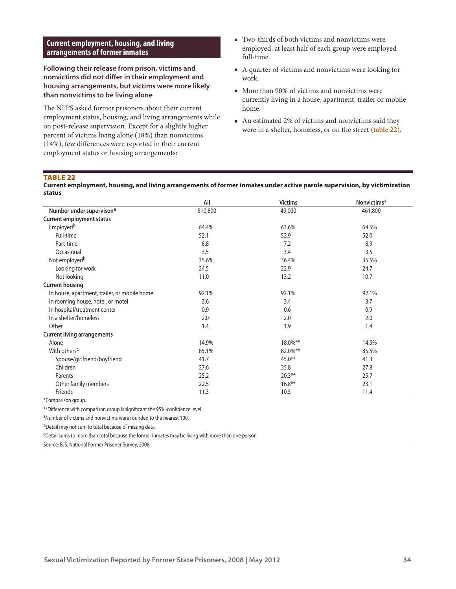## **Current employment, housing, and living arrangements of former inmates**

**Following their release from prison, victims and nonvictims did not differ in their employment and housing arrangements, but victims were more likely than nonvictims to be living alone** 

The NFPS asked former prisoners about their current employment status, housing, and living arrangements while on post-release supervision. Except for a slightly higher percent of victims living alone (18%) than nonvictims (14%), few differences were reported in their current employment status or housing arrangements:

- Two-thirds of both victims and nonvictims were employed; at least half of each group were employed full-time.
- A quarter of victims and nonvictims were looking for work.
- More than 90% of victims and nonvictims were currently living in a house, apartment, trailer or mobile home.
- An estimated 2% of victims and nonvictims said they were in a shelter, homeless, or on the street **(table 22)**.

#### TABLE 22

#### **Current employment, housing, and living arrangements of former inmates under active parole supervision, by victimization status**

|                                              | All     | <b>Victims</b> | Nonvictims* |
|----------------------------------------------|---------|----------------|-------------|
| Number under supervison <sup>a</sup>         | 510,800 | 49,000         | 461,800     |
| <b>Current employment status</b>             |         |                |             |
| Employed <sup>b</sup>                        | 64.4%   | 63.6%          | 64.5%       |
| Full-time                                    | 52.1    | 52.9           | 52.0        |
| Part-time                                    | 8.8     | 7.2            | 8.9         |
| Occasional                                   | 3.5     | 3.4            | 3.5         |
| Not employed <sup>b</sup>                    | 35.6%   | 36.4%          | 35.5%       |
| Looking for work                             | 24.5    | 22.9           | 24.7        |
| Not looking                                  | 11.0    | 13.2           | 10.7        |
| <b>Current housing</b>                       |         |                |             |
| In house, apartment, trailer, or mobile home | 92.1%   | 92.1%          | 92.1%       |
| In rooming house, hotel, or motel            | 3.6     | 3.4            | 3.7         |
| In hospital/treatment center                 | 0.9     | 0.6            | 0.9         |
| In a shelter/homeless                        | 2.0     | 2.0            | 2.0         |
| Other                                        | 1.4     | 1.9            | 1.4         |
| <b>Current living arrangements</b>           |         |                |             |
| Alone                                        | 14.9%   | 18.0%**        | 14.5%       |
| With others <sup>c</sup>                     | 85.1%   | 82.0%**        | 85.5%       |
| Spouse/girlfriend/boyfriend                  | 41.7    | $45.0**$       | 41.3        |
| Children                                     | 27.6    | 25.8           | 27.8        |
| Parents                                      | 25.2    | $20.3***$      | 25.7        |
| Other family members                         | 22.5    | $16.8***$      | 23.1        |
| Friends                                      | 11.3    | 10.5           | 11.4        |

\*Comparison group.

\*\*Difference with comparison group is significant the 95%-confidence level.

aNumber of victims and nonvictims were rounded to the nearest 100.

b<sub>Detail</sub> may not sum to total because of missing data.

cDetail sums to more than total because the former inmates may be living with more than one person.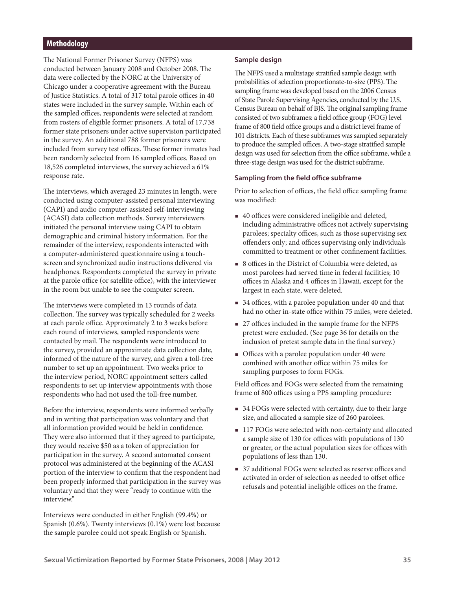#### **Methodology**

The National Former Prisoner Survey (NFPS) was conducted between January 2008 and October 2008. The data were collected by the NORC at the University of Chicago under a cooperative agreement with the Bureau of Justice Statistics. A total of 317 total parole offices in 40 states were included in the survey sample. Within each of the sampled offices, respondents were selected at random from rosters of eligible former prisoners. A total of 17,738 former state prisoners under active supervision participated in the survey. An additional 788 former prisoners were included from survey test offices. These former inmates had been randomly selected from 16 sampled offices. Based on 18,526 completed interviews, the survey achieved a 61% response rate.

The interviews, which averaged 23 minutes in length, were conducted using computer-assisted personal interviewing (CAPI) and audio computer-assisted self-interviewing (ACASI) data collection methods. Survey interviewers initiated the personal interview using CAPI to obtain demographic and criminal history information. For the remainder of the interview, respondents interacted with a computer-administered questionnaire using a touchscreen and synchronized audio instructions delivered via headphones. Respondents completed the survey in private at the parole office (or satellite office), with the interviewer in the room but unable to see the computer screen.

The interviews were completed in 13 rounds of data collection. The survey was typically scheduled for 2 weeks at each parole office. Approximately 2 to 3 weeks before each round of interviews, sampled respondents were contacted by mail. The respondents were introduced to the survey, provided an approximate data collection date, informed of the nature of the survey, and given a toll-free number to set up an appointment. Two weeks prior to the interview period, NORC appointment setters called respondents to set up interview appointments with those respondents who had not used the toll-free number.

Before the interview, respondents were informed verbally and in writing that participation was voluntary and that all information provided would be held in confidence. They were also informed that if they agreed to participate, they would receive \$50 as a token of appreciation for participation in the survey. A second automated consent protocol was administered at the beginning of the ACASI portion of the interview to confirm that the respondent had been properly informed that participation in the survey was voluntary and that they were "ready to continue with the interview."

Interviews were conducted in either English (99.4%) or Spanish (0.6%). Twenty interviews (0.1%) were lost because the sample parolee could not speak English or Spanish.

#### **Sample design**

The NFPS used a multistage stratified sample design with probabilities of selection proportionate-to-size (PPS). The sampling frame was developed based on the 2006 Census of State Parole Supervising Agencies, conducted by the U.S. Census Bureau on behalf of BJS. The original sampling frame consisted of two subframes: a field office group (FOG) level frame of 800 field office groups and a district level frame of 101 districts. Each of these subframes was sampled separately to produce the sampled offices. A two-stage stratified sample design was used for selection from the office subframe, while a three-stage design was used for the district subframe.

#### **Sampling from the field office subframe**

Prior to selection of offices, the field office sampling frame was modified:

- 40 offices were considered ineligible and deleted, including administrative offices not actively supervising parolees; specialty offices, such as those supervising sex offenders only; and offices supervising only individuals committed to treatment or other confinement facilities.
- 8 offices in the District of Columbia were deleted, as most parolees had served time in federal facilities; 10 offices in Alaska and 4 offices in Hawaii, except for the largest in each state, were deleted.
- 34 offices, with a parolee population under 40 and that had no other in-state office within 75 miles, were deleted.
- 27 offices included in the sample frame for the NFPS pretest were excluded. (See page 36 for details on the inclusion of pretest sample data in the final survey.)
- Offices with a parolee population under 40 were combined with another office within 75 miles for sampling purposes to form FOGs.

Field offices and FOGs were selected from the remaining frame of 800 offices using a PPS sampling procedure:

- 34 FOGs were selected with certainty, due to their large size, and allocated a sample size of 260 parolees.
- 117 FOGs were selected with non-certainty and allocated a sample size of 130 for offices with populations of 130 or greater, or the actual population sizes for offices with populations of less than 130.
- 37 additional FOGs were selected as reserve offices and activated in order of selection as needed to offset office refusals and potential ineligible offices on the frame.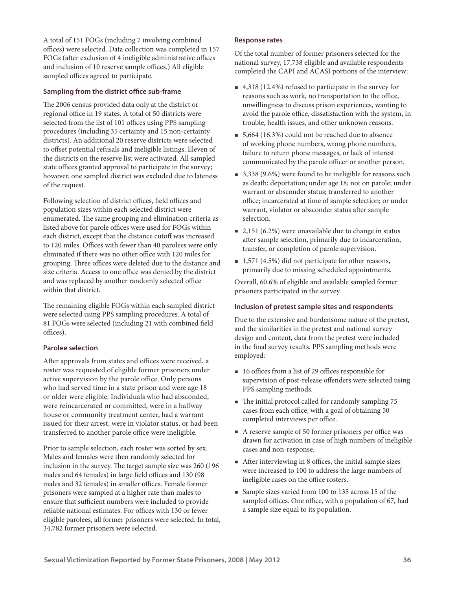A total of 151 FOGs (including 7 involving combined offices) were selected. Data collection was completed in 157 FOGs (after exclusion of 4 ineligible administrative offices and inclusion of 10 reserve sample offices.) All eligible sampled offices agreed to participate.

## **Sampling from the district office sub-frame**

The 2006 census provided data only at the district or regional office in 19 states. A total of 50 districts were selected from the list of 101 offices using PPS sampling procedures (including 35 certainty and 15 non-certainty districts). An additional 20 reserve districts were selected to offset potential refusals and ineligible listings. Eleven of the districts on the reserve list were activated. All sampled state offices granted approval to participate in the survey; however, one sampled district was excluded due to lateness of the request.

Following selection of district offices, field offices and population sizes within each selected district were enumerated. The same grouping and elimination criteria as listed above for parole offices were used for FOGs within each district, except that the distance cutoff was increased to 120 miles. Offices with fewer than 40 parolees were only eliminated if there was no other office with 120 miles for grouping. Three offices were deleted due to the distance and size criteria. Access to one office was denied by the district and was replaced by another randomly selected office within that district.

The remaining eligible FOGs within each sampled district were selected using PPS sampling procedures. A total of 81 FOGs were selected (including 21 with combined field offices).

## **Parolee selection**

After approvals from states and offices were received, a roster was requested of eligible former prisoners under active supervision by the parole office. Only persons who had served time in a state prison and were age 18 or older were eligible. Individuals who had absconded, were reincarcerated or committed, were in a halfway house or community treatment center, had a warrant issued for their arrest, were in violator status, or had been transferred to another parole office were ineligible.

Prior to sample selection, each roster was sorted by sex. Males and females were then randomly selected for inclusion in the survey. The target sample size was 260 (196 males and 64 females) in large field offices and 130 (98 males and 32 females) in smaller offices. Female former prisoners were sampled at a higher rate than males to ensure that sufficient numbers were included to provide reliable national estimates. For offices with 130 or fewer eligible parolees, all former prisoners were selected. In total, 34,782 former prisoners were selected.

#### **Response rates**

Of the total number of former prisoners selected for the national survey, 17,738 eligible and available respondents completed the CAPI and ACASI portions of the interview:

- 4,318 (12.4%) refused to participate in the survey for reasons such as work, no transportation to the office, unwillingness to discuss prison experiences, wanting to avoid the parole office, dissatisfaction with the system, in trouble, health issues, and other unknown reasons.
- 5,664 (16.3%) could not be reached due to absence of working phone numbers, wrong phone numbers, failure to return phone messages, or lack of interest communicated by the parole officer or another person.
- 3,338 (9.6%) were found to be ineligible for reasons such as death; deportation; under age 18; not on parole; under warrant or absconder status; transferred to another office; incarcerated at time of sample selection; or under warrant, violator or absconder status after sample selection.
- $\blacksquare$  2,151 (6.2%) were unavailable due to change in status after sample selection, primarily due to incarceration, transfer, or completion of parole supervision.
- $\blacksquare$  1,571 (4.5%) did not participate for other reasons, primarily due to missing scheduled appointments.

Overall, 60.6% of eligible and available sampled former prisoners participated in the survey.

## **Inclusion of pretest sample sites and respondents**

Due to the extensive and burdensome nature of the pretest, and the similarities in the pretest and national survey design and content, data from the pretest were included in the final survey results. PPS sampling methods were employed:

- 16 offices from a list of 29 offices responsible for supervision of post-release offenders were selected using PPS sampling methods.
- The initial protocol called for randomly sampling 75 cases from each office, with a goal of obtaining 50 completed interviews per office.
- A reserve sample of 50 former prisoners per office was drawn for activation in case of high numbers of ineligible cases and non-response.
- After interviewing in 8 offices, the initial sample sizes were increased to 100 to address the large numbers of ineligible cases on the office rosters.
- Sample sizes varied from 100 to 135 across 15 of the sampled offices. One office, with a population of 67, had a sample size equal to its population.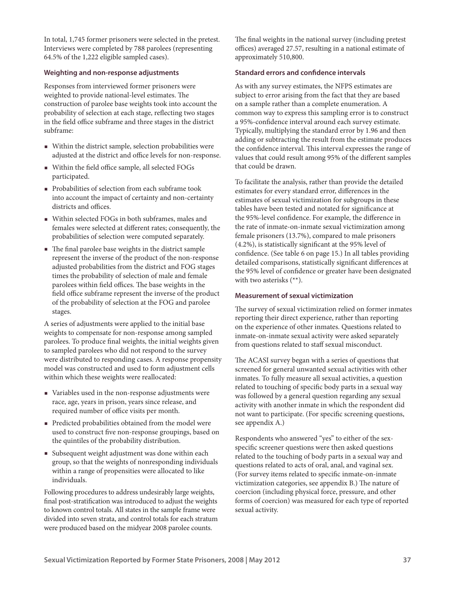In total, 1,745 former prisoners were selected in the pretest. Interviews were completed by 788 parolees (representing 64.5% of the 1,222 eligible sampled cases).

### **Weighting and non-response adjustments**

Responses from interviewed former prisoners were weighted to provide national-level estimates. The construction of parolee base weights took into account the probability of selection at each stage, reflecting two stages in the field office subframe and three stages in the district subframe:

- Within the district sample, selection probabilities were adjusted at the district and office levels for non-response.
- Within the field office sample, all selected FOGs participated.
- Probabilities of selection from each subframe took into account the impact of certainty and non-certainty districts and offices.
- Within selected FOGs in both subframes, males and females were selected at different rates; consequently, the probabilities of selection were computed separately.
- The final parolee base weights in the district sample represent the inverse of the product of the non-response adjusted probabilities from the district and FOG stages times the probability of selection of male and female parolees within field offices. The base weights in the field office subframe represent the inverse of the product of the probability of selection at the FOG and parolee stages.

A series of adjustments were applied to the initial base weights to compensate for non-response among sampled parolees. To produce final weights, the initial weights given to sampled parolees who did not respond to the survey were distributed to responding cases. A response propensity model was constructed and used to form adjustment cells within which these weights were reallocated:

- Variables used in the non-response adjustments were race, age, years in prison, years since release, and required number of office visits per month.
- Predicted probabilities obtained from the model were used to construct five non-response groupings, based on the quintiles of the probability distribution.
- Subsequent weight adjustment was done within each group, so that the weights of nonresponding individuals within a range of propensities were allocated to like individuals.

Following procedures to address undesirably large weights, final post-stratification was introduced to adjust the weights to known control totals. All states in the sample frame were divided into seven strata, and control totals for each stratum were produced based on the midyear 2008 parolee counts.

The final weights in the national survey (including pretest offices) averaged 27.57, resulting in a national estimate of approximately 510,800.

#### **Standard errors and confidence intervals**

As with any survey estimates, the NFPS estimates are subject to error arising from the fact that they are based on a sample rather than a complete enumeration. A common way to express this sampling error is to construct a 95%-confidence interval around each survey estimate. Typically, multiplying the standard error by 1.96 and then adding or subtracting the result from the estimate produces the confidence interval. This interval expresses the range of values that could result among 95% of the different samples that could be drawn.

To facilitate the analysis, rather than provide the detailed estimates for every standard error, differences in the estimates of sexual victimization for subgroups in these tables have been tested and notated for significance at the 95%-level confidence. For example, the difference in the rate of inmate-on-inmate sexual victimization among female prisoners (13.7%), compared to male prisoners (4.2%), is statistically significant at the 95% level of confidence. (See table 6 on page 15.) In all tables providing detailed comparisons, statistically significant differences at the 95% level of confidence or greater have been designated with two asterisks (\*\*).

#### **Measurement of sexual victimization**

The survey of sexual victimization relied on former inmates reporting their direct experience, rather than reporting on the experience of other inmates. Questions related to inmate-on-inmate sexual activity were asked separately from questions related to staff sexual misconduct.

The ACASI survey began with a series of questions that screened for general unwanted sexual activities with other inmates. To fully measure all sexual activities, a question related to touching of specific body parts in a sexual way was followed by a general question regarding any sexual activity with another inmate in which the respondent did not want to participate. (For specific screening questions, see appendix A.)

Respondents who answered "yes" to either of the sexspecific screener questions were then asked questions related to the touching of body parts in a sexual way and questions related to acts of oral, anal, and vaginal sex. (For survey items related to specific inmate-on-inmate victimization categories, see appendix B.) The nature of coercion (including physical force, pressure, and other forms of coercion) was measured for each type of reported sexual activity.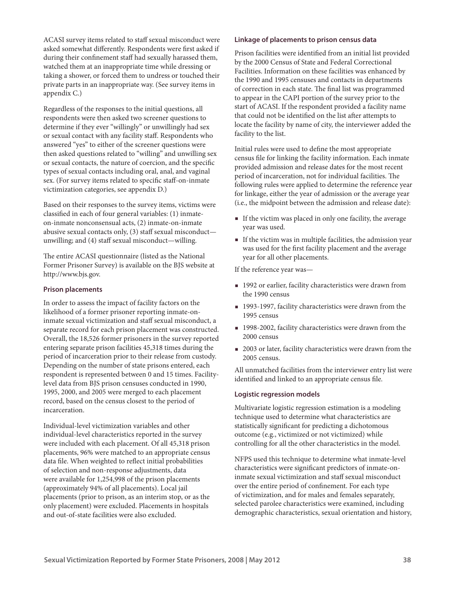ACASI survey items related to staff sexual misconduct were asked somewhat differently. Respondents were first asked if during their confinement staff had sexually harassed them, watched them at an inappropriate time while dressing or taking a shower, or forced them to undress or touched their private parts in an inappropriate way. (See survey items in appendix C.)

Regardless of the responses to the initial questions, all respondents were then asked two screener questions to determine if they ever "willingly" or unwillingly had sex or sexual contact with any facility staff. Respondents who answered "yes" to either of the screener questions were then asked questions related to "willing" and unwilling sex or sexual contacts, the nature of coercion, and the specific types of sexual contacts including oral, anal, and vaginal sex. (For survey items related to specific staff-on-inmate victimization categories, see appendix D.)

Based on their responses to the survey items, victims were classified in each of four general variables: (1) inmateon-inmate nonconsensual acts, (2) inmate-on-inmate abusive sexual contacts only, (3) staff sexual misconduct unwilling; and (4) staff sexual misconduct—willing.

The entire ACASI questionnaire (listed as the National Former Prisoner Survey) is available on the BJS website at http://www.bjs.gov.

#### **Prison placements**

In order to assess the impact of facility factors on the likelihood of a former prisoner reporting inmate-oninmate sexual victimization and staff sexual misconduct, a separate record for each prison placement was constructed. Overall, the 18,526 former prisoners in the survey reported entering separate prison facilities 45,318 times during the period of incarceration prior to their release from custody. Depending on the number of state prisons entered, each respondent is represented between 0 and 15 times. Facilitylevel data from BJS prison censuses conducted in 1990, 1995, 2000, and 2005 were merged to each placement record, based on the census closest to the period of incarceration.

Individual-level victimization variables and other individual-level characteristics reported in the survey were included with each placement. Of all 45,318 prison placements, 96% were matched to an appropriate census data file. When weighted to reflect initial probabilities of selection and non-response adjustments, data were available for 1,254,998 of the prison placements (approximately 94% of all placements). Local jail placements (prior to prison, as an interim stop, or as the only placement) were excluded. Placements in hospitals and out-of-state facilities were also excluded.

## **Linkage of placements to prison census data**

Prison facilities were identified from an initial list provided by the 2000 Census of State and Federal Correctional Facilities. Information on these facilities was enhanced by the 1990 and 1995 censuses and contacts in departments of correction in each state. The final list was programmed to appear in the CAPI portion of the survey prior to the start of ACASI. If the respondent provided a facility name that could not be identified on the list after attempts to locate the facility by name of city, the interviewer added the facility to the list.

Initial rules were used to define the most appropriate census file for linking the facility information. Each inmate provided admission and release dates for the most recent period of incarceration, not for individual facilities. The following rules were applied to determine the reference year for linkage, either the year of admission or the average year (i.e., the midpoint between the admission and release date):

- If the victim was placed in only one facility, the average year was used.
- $\blacksquare$  If the victim was in multiple facilities, the admission year was used for the first facility placement and the average year for all other placements.

If the reference year was—

- 1992 or earlier, facility characteristics were drawn from the 1990 census
- 1993-1997, facility characteristics were drawn from the 1995 census
- 1998-2002, facility characteristics were drawn from the 2000 census
- 2003 or later, facility characteristics were drawn from the 2005 census.

All unmatched facilities from the interviewer entry list were identified and linked to an appropriate census file.

## **Logistic regression models**

Multivariate logistic regression estimation is a modeling technique used to determine what characteristics are statistically significant for predicting a dichotomous outcome (e.g., victimized or not victimized) while controlling for all the other characteristics in the model.

NFPS used this technique to determine what inmate-level characteristics were significant predictors of inmate-oninmate sexual victimization and staff sexual misconduct over the entire period of confinement. For each type of victimization, and for males and females separately, selected parolee characteristics were examined, including demographic characteristics, sexual orientation and history,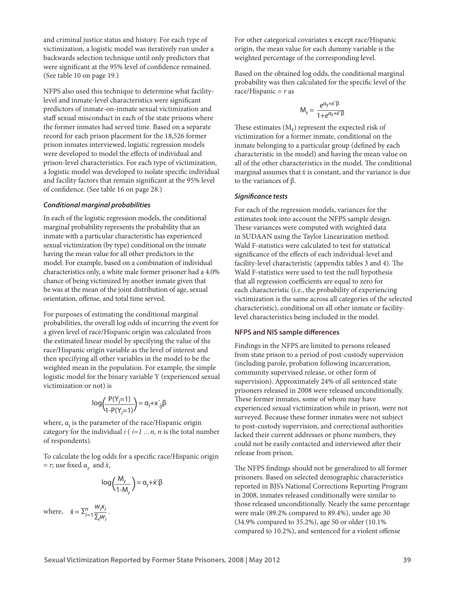and criminal justice status and history. For each type of victimization, a logistic model was iteratively run under a backwards selection technique until only predictors that were significant at the 95% level of confidence remained. (See table 10 on page 19.)

NFPS also used this technique to determine what facilitylevel and inmate-level characteristics were significant predictors of inmate-on-inmate sexual victimization and staff sexual misconduct in each of the state prisons where the former inmates had served time. Based on a separate record for each prison placement for the 18,526 former prison inmates interviewed, logistic regression models were developed to model the effects of individual and prison-level characteristics. For each type of victimization, a logistic model was developed to isolate specific individual and facility factors that remain significant at the 95% level of confidence. (See table 16 on page 28.)

#### *Conditional marginal probabilities*

In each of the logistic regression models, the conditional marginal probability represents the probability that an inmate with a particular characteristic has experienced sexual victimization (by type) conditional on the inmate having the mean value for all other predictors in the model. For example, based on a combination of individual characteristics only, a white male former prisoner had a 4.0% chance of being victimized by another inmate given that he was at the mean of the joint distribution of age, sexual orientation, offense, and total time served.

For purposes of estimating the conditional marginal probabilities, the overall log odds of incurring the event for a given level of race/Hispanic origin was calculated from the estimated linear model by specifying the value of the race/Hispanic origin variable as the level of interest and then specifying all other variables in the model to be the weighted mean in the population. For example, the simple logistic model for the binary variable Y (experienced sexual victimization or not) is

$$
\log\left(\frac{P(Y_j=1)}{1-P(Y_j=1)}\right) = \alpha_j + x'_{ij}\beta
$$

where,  $\alpha_i$  is the parameter of the race/Hispanic origin category for the individual *i* ( *i=1 …n, n* is the total number of respondents).

To calculate the log odds for a specific race/Hispanic origin  $= r$ ; use fixed  $\alpha_r$  and  $\bar{x}$ ,

$$
\log\left(\frac{M_r}{1-M_r}\right) = \alpha_r + \bar{x}'\beta
$$

where,  $\bar{x} = \sum_{i=1}^{n} \frac{W_i X_i}{\sum w_i}$  $\bar{x} = \sum_{i=1}^n \frac{n_i}{\sum_j w_i}.$  For other categorical covariates x except race/Hispanic origin, the mean value for each dummy variable is the weighted percentage of the corresponding level.

Based on the obtained log odds, the conditional marginal probability was then calculated for the specific level of the race/Hispanic = *r* as

$$
M_r = \frac{e^{\alpha_r + \bar{x}'\beta}}{1 + e^{\alpha_r + \bar{x}'\beta}}
$$

These estimates  $(M_r)$  represent the expected risk of victimization for a former inmate, conditional on the inmate belonging to a particular group (defined by each characteristic in the model) and having the mean value on all of the other characteristics in the model. The conditional marginal assumes that  $\bar{x}$  is constant, and the variance is due to the variances of  $β$ .

#### *Significance tests*

For each of the regression models, variances for the estimates took into account the NFPS sample design. These variances were computed with weighted data in SUDAAN using the Taylor Linearization method. Wald F-statistics were calculated to test for statistical significance of the effects of each individual-level and facility-level characteristic (appendix tables 3 and 4). The Wald F-statistics were used to test the null hypothesis that all regression coefficients are equal to zero for each characteristic (i.e., the probability of experiencing victimization is the same across all categories of the selected characteristic), conditional on all other inmate or facilitylevel characteristics being included in the model.

#### **NFPS and NIS sample differences**

Findings in the NFPS are limited to persons released from state prison to a period of post-custody supervision (including parole, probation following incarceration, community supervised release, or other form of supervision). Approximately 24% of all sentenced state prisoners released in 2008 were released unconditionally. These former inmates, some of whom may have experienced sexual victimization while in prison, were not surveyed. Because these former inmates were not subject to post-custody supervision, and correctional authorities lacked their current addresses or phone numbers, they could not be easily contacted and interviewed after their release from prison.

The NFPS findings should not be generalized to all former prisoners. Based on selected demographic characteristics reported in BJS's National Corrections Reporting Program in 2008, inmates released conditionally were similar to those released unconditionally. Nearly the same percentage were male (89.2% compared to 89.4%), under age 30 (34.9% compared to 35.2%), age 50 or older (10.1% compared to 10.2%), and sentenced for a violent offense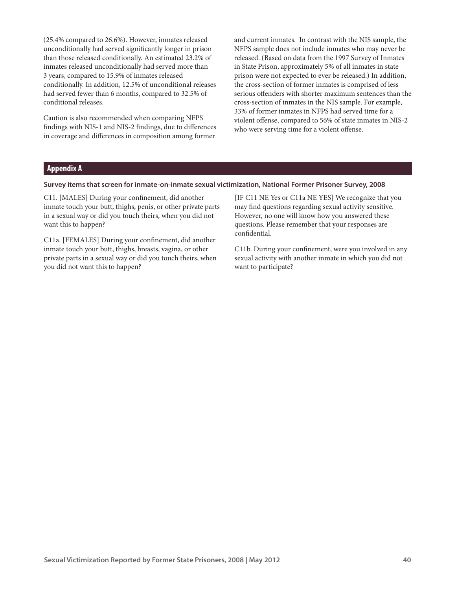(25.4% compared to 26.6%). However, inmates released unconditionally had served significantly longer in prison than those released conditionally. An estimated 23.2% of inmates released unconditionally had served more than 3 years, compared to 15.9% of inmates released conditionally. In addition, 12.5% of unconditional releases had served fewer than 6 months, compared to 32.5% of conditional releases.

Caution is also recommended when comparing NFPS findings with NIS-1 and NIS-2 findings, due to differences in coverage and differences in composition among former

and current inmates. In contrast with the NIS sample, the NFPS sample does not include inmates who may never be released. (Based on data from the 1997 Survey of Inmates in State Prison, approximately 5% of all inmates in state prison were not expected to ever be released.) In addition, the cross-section of former inmates is comprised of less serious offenders with shorter maximum sentences than the cross-section of inmates in the NIS sample. For example, 33% of former inmates in NFPS had served time for a violent offense, compared to 56% of state inmates in NIS-2 who were serving time for a violent offense.

## **Appendix A**

#### **Survey items that screen for inmate-on-inmate sexual victimization, National Former Prisoner Survey, 2008**

C11. [MALES] During your confinement, did another inmate touch your butt, thighs, penis, or other private parts in a sexual way or did you touch theirs, when you did not want this to happen?

C11a. [FEMALES] During your confinement, did another inmate touch your butt, thighs, breasts, vagina, or other private parts in a sexual way or did you touch theirs, when you did not want this to happen?

[IF C11 NE Yes or C11a NE YES] We recognize that you may find questions regarding sexual activity sensitive. However, no one will know how you answered these questions. Please remember that your responses are confidential.

C11b. During your confinement, were you involved in any sexual activity with another inmate in which you did not want to participate?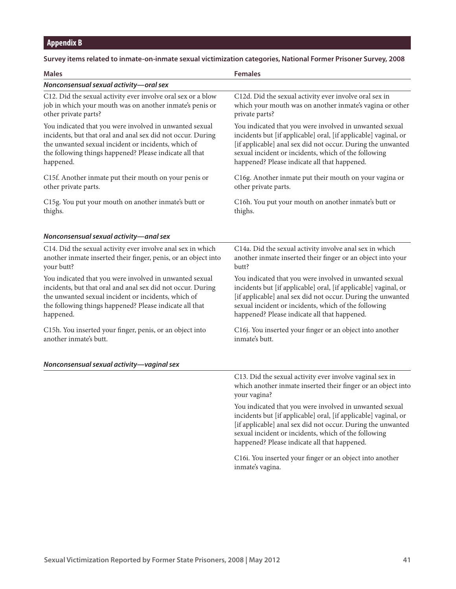# **Appendix B**

## **Survey items related to inmate-on-inmate sexual victimization categories, National Former Prisoner Survey, 2008**

| <b>Males</b>                                                   | <b>Females</b>                                                                                                                                                                                                                                    |
|----------------------------------------------------------------|---------------------------------------------------------------------------------------------------------------------------------------------------------------------------------------------------------------------------------------------------|
| Nonconsensual sexual activity-oral sex                         |                                                                                                                                                                                                                                                   |
| C12. Did the sexual activity ever involve oral sex or a blow   | C12d. Did the sexual activity ever involve oral sex in                                                                                                                                                                                            |
| job in which your mouth was on another inmate's penis or       | which your mouth was on another inmate's vagina or other                                                                                                                                                                                          |
| other private parts?                                           | private parts?                                                                                                                                                                                                                                    |
| You indicated that you were involved in unwanted sexual        | You indicated that you were involved in unwanted sexual                                                                                                                                                                                           |
| incidents, but that oral and anal sex did not occur. During    | incidents but [if applicable] oral, [if applicable] vaginal, or                                                                                                                                                                                   |
| the unwanted sexual incident or incidents, which of            | [if applicable] anal sex did not occur. During the unwanted                                                                                                                                                                                       |
| the following things happened? Please indicate all that        | sexual incident or incidents, which of the following                                                                                                                                                                                              |
| happened.                                                      | happened? Please indicate all that happened.                                                                                                                                                                                                      |
| C15f. Another inmate put their mouth on your penis or          | C16g. Another inmate put their mouth on your vagina or                                                                                                                                                                                            |
| other private parts.                                           | other private parts.                                                                                                                                                                                                                              |
| C15g. You put your mouth on another inmate's butt or           | C16h. You put your mouth on another inmate's butt or                                                                                                                                                                                              |
| thighs.                                                        | thighs.                                                                                                                                                                                                                                           |
| Nonconsensual sexual activity-anal sex                         |                                                                                                                                                                                                                                                   |
| C14. Did the sexual activity ever involve anal sex in which    | C14a. Did the sexual activity involve anal sex in which                                                                                                                                                                                           |
| another inmate inserted their finger, penis, or an object into | another inmate inserted their finger or an object into your                                                                                                                                                                                       |
| your butt?                                                     | butt?                                                                                                                                                                                                                                             |
| You indicated that you were involved in unwanted sexual        | You indicated that you were involved in unwanted sexual                                                                                                                                                                                           |
| incidents, but that oral and anal sex did not occur. During    | incidents but [if applicable] oral, [if applicable] vaginal, or                                                                                                                                                                                   |
| the unwanted sexual incident or incidents, which of            | [if applicable] anal sex did not occur. During the unwanted                                                                                                                                                                                       |
| the following things happened? Please indicate all that        | sexual incident or incidents, which of the following                                                                                                                                                                                              |
| happened.                                                      | happened? Please indicate all that happened.                                                                                                                                                                                                      |
| C15h. You inserted your finger, penis, or an object into       | C16j. You inserted your finger or an object into another                                                                                                                                                                                          |
| another inmate's butt.                                         | inmate's butt.                                                                                                                                                                                                                                    |
| Nonconsensual sexual activity-vaginal sex                      |                                                                                                                                                                                                                                                   |
|                                                                | C13. Did the sexual activity ever involve vaginal sex in<br>which another inmate inserted their finger or an object into<br>your vagina?                                                                                                          |
|                                                                | You indicated that you were involved in unwanted sexual<br>incidents but [if applicable] oral, [if applicable] vaginal, or<br>[if applicable] anal sex did not occur. During the unwanted<br>sexual incident or incidents, which of the following |

C16i. You inserted your finger or an object into another inmate's vagina.

happened? Please indicate all that happened.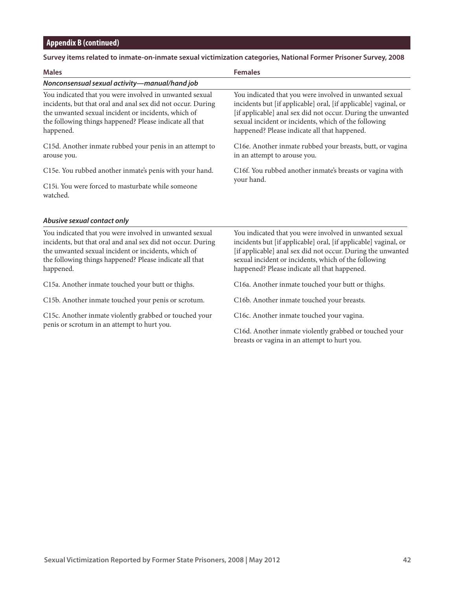# **Survey items related to inmate-on-inmate sexual victimization categories, National Former Prisoner Survey, 2008**

| <b>Males</b>                                                                                                                                                                                                                                          | <b>Females</b>                                                                                                                                                                                                                                                                                    |  |  |
|-------------------------------------------------------------------------------------------------------------------------------------------------------------------------------------------------------------------------------------------------------|---------------------------------------------------------------------------------------------------------------------------------------------------------------------------------------------------------------------------------------------------------------------------------------------------|--|--|
| Nonconsensual sexual activity-manual/hand job                                                                                                                                                                                                         |                                                                                                                                                                                                                                                                                                   |  |  |
| You indicated that you were involved in unwanted sexual<br>incidents, but that oral and anal sex did not occur. During<br>the unwanted sexual incident or incidents, which of<br>the following things happened? Please indicate all that<br>happened. | You indicated that you were involved in unwanted sexual<br>incidents but [if applicable] oral, [if applicable] vaginal, or<br>[if applicable] anal sex did not occur. During the unwanted<br>sexual incident or incidents, which of the following<br>happened? Please indicate all that happened. |  |  |
| C15d. Another inmate rubbed your penis in an attempt to<br>arouse you.                                                                                                                                                                                | C16e. Another inmate rubbed your breasts, butt, or vagina<br>in an attempt to arouse you.                                                                                                                                                                                                         |  |  |
| C15e. You rubbed another inmate's penis with your hand.                                                                                                                                                                                               | C16f. You rubbed another inmate's breasts or vagina with<br>your hand.                                                                                                                                                                                                                            |  |  |
| C15i. You were forced to masturbate while someone<br>watched.                                                                                                                                                                                         |                                                                                                                                                                                                                                                                                                   |  |  |
| Abusive sexual contact only                                                                                                                                                                                                                           |                                                                                                                                                                                                                                                                                                   |  |  |
| You indicated that you were involved in unwanted sexual<br>incidents, but that oral and anal sex did not occur. During<br>the unwanted sexual incident or incidents, which of<br>the following things happened? Please indicate all that<br>happened. | You indicated that you were involved in unwanted sexual<br>incidents but [if applicable] oral, [if applicable] vaginal, or<br>[if applicable] anal sex did not occur. During the unwanted<br>sexual incident or incidents, which of the following<br>happened? Please indicate all that happened. |  |  |
| C15a. Another inmate touched your butt or thighs.                                                                                                                                                                                                     | C16a. Another inmate touched your butt or thighs.                                                                                                                                                                                                                                                 |  |  |
| C15b. Another inmate touched your penis or scrotum.                                                                                                                                                                                                   | C16b. Another inmate touched your breasts.                                                                                                                                                                                                                                                        |  |  |
| C15c. Another inmate violently grabbed or touched your                                                                                                                                                                                                | C16c. Another inmate touched your vagina.                                                                                                                                                                                                                                                         |  |  |

penis or scrotum in an attempt to hurt you.

C16d. Another inmate violently grabbed or touched your breasts or vagina in an attempt to hurt you.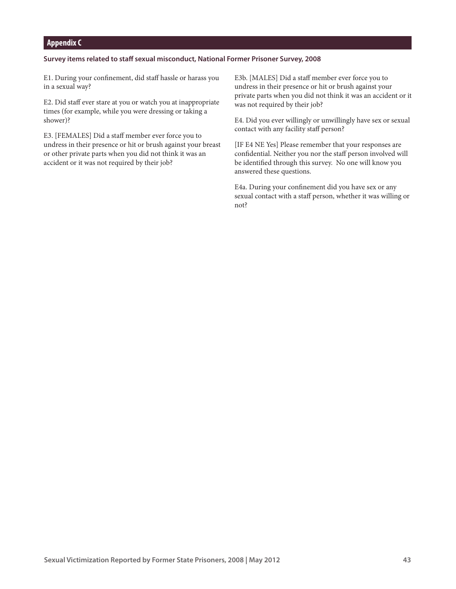## **Appendix C**

#### **Survey items related to staff sexual misconduct, National Former Prisoner Survey, 2008**

E1. During your confinement, did staff hassle or harass you in a sexual way?

E2. Did staff ever stare at you or watch you at inappropriate times (for example, while you were dressing or taking a shower)?

E3. [FEMALES] Did a staff member ever force you to undress in their presence or hit or brush against your breast or other private parts when you did not think it was an accident or it was not required by their job?

E3b. [MALES] Did a staff member ever force you to undress in their presence or hit or brush against your private parts when you did not think it was an accident or it was not required by their job?

E4. Did you ever willingly or unwillingly have sex or sexual contact with any facility staff person?

[IF E4 NE Yes] Please remember that your responses are confidential. Neither you nor the staff person involved will be identified through this survey. No one will know you answered these questions.

E4a. During your confinement did you have sex or any sexual contact with a staff person, whether it was willing or not?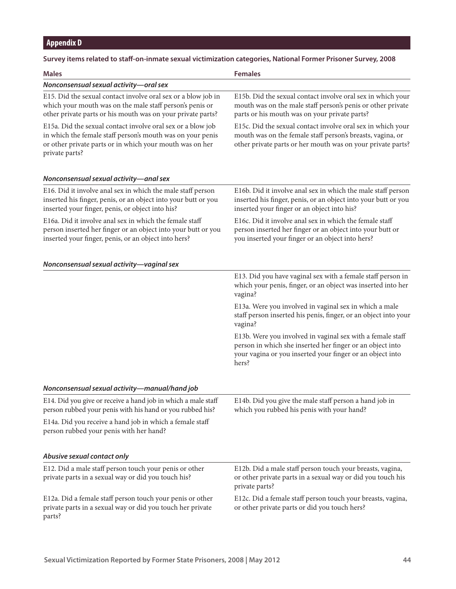# **Appendix D**

| Survey items related to staff-on-inmate sexual victimization categories, National Former Prisoner Survey, 2008 |  |
|----------------------------------------------------------------------------------------------------------------|--|
|----------------------------------------------------------------------------------------------------------------|--|

| <b>Males</b>                                                                                                                                                                                            | <b>Females</b>                                                                                                                                                                                |
|---------------------------------------------------------------------------------------------------------------------------------------------------------------------------------------------------------|-----------------------------------------------------------------------------------------------------------------------------------------------------------------------------------------------|
| Nonconsensual sexual activity-oral sex                                                                                                                                                                  |                                                                                                                                                                                               |
| E15. Did the sexual contact involve oral sex or a blow job in<br>which your mouth was on the male staff person's penis or<br>other private parts or his mouth was on your private parts?                | E15b. Did the sexual contact involve oral sex in which your<br>mouth was on the male staff person's penis or other private<br>parts or his mouth was on your private parts?                   |
| E15a. Did the sexual contact involve oral sex or a blow job<br>in which the female staff person's mouth was on your penis<br>or other private parts or in which your mouth was on her<br>private parts? | E15c. Did the sexual contact involve oral sex in which your<br>mouth was on the female staff person's breasts, vagina, or<br>other private parts or her mouth was on your private parts?      |
| Nonconsensual sexual activity-anal sex                                                                                                                                                                  |                                                                                                                                                                                               |
| E16. Did it involve anal sex in which the male staff person<br>inserted his finger, penis, or an object into your butt or you<br>inserted your finger, penis, or object into his?                       | E16b. Did it involve anal sex in which the male staff person<br>inserted his finger, penis, or an object into your butt or you<br>inserted your finger or an object into his?                 |
| E16a. Did it involve anal sex in which the female staff<br>person inserted her finger or an object into your butt or you<br>inserted your finger, penis, or an object into hers?                        | E16c. Did it involve anal sex in which the female staff<br>person inserted her finger or an object into your butt or<br>you inserted your finger or an object into hers?                      |
| Nonconsensual sexual activity-vaginal sex                                                                                                                                                               |                                                                                                                                                                                               |
|                                                                                                                                                                                                         | E13. Did you have vaginal sex with a female staff person in<br>which your penis, finger, or an object was inserted into her<br>vagina?                                                        |
|                                                                                                                                                                                                         | E13a. Were you involved in vaginal sex in which a male<br>staff person inserted his penis, finger, or an object into your<br>vagina?                                                          |
|                                                                                                                                                                                                         | E13b. Were you involved in vaginal sex with a female staff<br>person in which she inserted her finger or an object into<br>your vagina or you inserted your finger or an object into<br>hers? |
| Nonconsensual sexual activity-manual/hand job                                                                                                                                                           |                                                                                                                                                                                               |
| E14. Did you give or receive a hand job in which a male staff<br>person rubbed your penis with his hand or you rubbed his?                                                                              | E14b. Did you give the male staff person a hand job in<br>which you rubbed his penis with your hand?                                                                                          |
| E14a. Did you receive a hand job in which a female staff<br>person rubbed your penis with her hand?                                                                                                     |                                                                                                                                                                                               |
| Abusive sexual contact only                                                                                                                                                                             |                                                                                                                                                                                               |
| E12. Did a male staff person touch your penis or other<br>private parts in a sexual way or did you touch his?                                                                                           | E12b. Did a male staff person touch your breasts, vagina,<br>or other private parts in a sexual way or did you touch his<br>private parts?                                                    |
| E12a. Did a female staff person touch your penis or other<br>private parts in a sexual way or did you touch her private<br>parts?                                                                       | E12c. Did a female staff person touch your breasts, vagina,<br>or other private parts or did you touch hers?                                                                                  |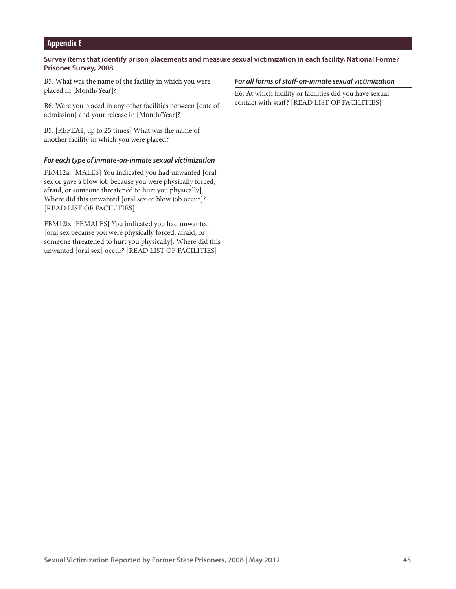## **Appendix E**

## **Survey items that identify prison placements and measure sexual victimization in each facility, National Former Prisoner Survey, 2008**

B5. What was the name of the facility in which you were placed in [Month/Year]?

B6. Were you placed in any other facilities between [date of admission] and your release in [Month/Year]?

B5. [REPEAT, up to 25 times] What was the name of another facility in which you were placed?

#### *For each type of inmate-on-inmate sexual victimization*

FBM12a. [MALES] You indicated you had unwanted [oral sex or gave a blow job because you were physically forced, afraid, or someone threatened to hurt you physically]. Where did this unwanted [oral sex or blow job occur]? [READ LIST OF FACILITIES]

FBM12b. [FEMALES] You indicated you had unwanted [oral sex because you were physically forced, afraid, or someone threatened to hurt you physically]. Where did this unwanted [oral sex] occur? [READ LIST OF FACILITIES]

#### *For all forms of staff-on-inmate sexual victimization*

E6. At which facility or facilities did you have sexual contact with staff? [READ LIST OF FACILITIES]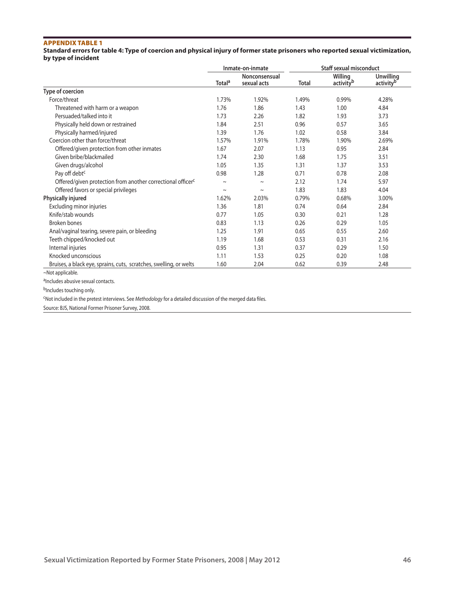**Standard errors for table 4: Type of coercion and physical injury of former state prisoners who reported sexual victimization, by type of incident**

|                                                                         | Inmate-on-inmate   |                              | <b>Staff sexual misconduct</b> |                                  |                                           |  |
|-------------------------------------------------------------------------|--------------------|------------------------------|--------------------------------|----------------------------------|-------------------------------------------|--|
|                                                                         | Total <sup>a</sup> | Nonconsensual<br>sexual acts | <b>Total</b>                   | Willing<br>activity <sup>b</sup> | <b>Unwilling</b><br>activity <sup>b</sup> |  |
| Type of coercion                                                        |                    |                              |                                |                                  |                                           |  |
| Force/threat                                                            | 1.73%              | 1.92%                        | 1.49%                          | 0.99%                            | 4.28%                                     |  |
| Threatened with harm or a weapon                                        | 1.76               | 1.86                         | 1.43                           | 1.00                             | 4.84                                      |  |
| Persuaded/talked into it                                                | 1.73               | 2.26                         | 1.82                           | 1.93                             | 3.73                                      |  |
| Physically held down or restrained                                      | 1.84               | 2.51                         | 0.96                           | 0.57                             | 3.65                                      |  |
| Physically harmed/injured                                               | 1.39               | 1.76                         | 1.02                           | 0.58                             | 3.84                                      |  |
| Coercion other than force/threat                                        | 1.57%              | 1.91%                        | 1.78%                          | 1.90%                            | 2.69%                                     |  |
| Offered/given protection from other inmates                             | 1.67               | 2.07                         | 1.13                           | 0.95                             | 2.84                                      |  |
| Given bribe/blackmailed                                                 | 1.74               | 2.30                         | 1.68                           | 1.75                             | 3.51                                      |  |
| Given drugs/alcohol                                                     | 1.05               | 1.35                         | 1.31                           | 1.37                             | 3.53                                      |  |
| Pay off debt <sup>c</sup>                                               | 0.98               | 1.28                         | 0.71                           | 0.78                             | 2.08                                      |  |
| Offered/given protection from another correctional officer <sup>c</sup> | $\tilde{}$         | $\tilde{}$                   | 2.12                           | 1.74                             | 5.97                                      |  |
| Offered favors or special privileges                                    | $\tilde{}$         | $\tilde{}$                   | 1.83                           | 1.83                             | 4.04                                      |  |
| Physically injured                                                      | 1.62%              | 2.03%                        | 0.79%                          | 0.68%                            | 3.00%                                     |  |
| Excluding minor injuries                                                | 1.36               | 1.81                         | 0.74                           | 0.64                             | 2.84                                      |  |
| Knife/stab wounds                                                       | 0.77               | 1.05                         | 0.30                           | 0.21                             | 1.28                                      |  |
| <b>Broken bones</b>                                                     | 0.83               | 1.13                         | 0.26                           | 0.29                             | 1.05                                      |  |
| Anal/vaginal tearing, severe pain, or bleeding                          | 1.25               | 1.91                         | 0.65                           | 0.55                             | 2.60                                      |  |
| Teeth chipped/knocked out                                               | 1.19               | 1.68                         | 0.53                           | 0.31                             | 2.16                                      |  |
| Internal injuries                                                       | 0.95               | 1.31                         | 0.37                           | 0.29                             | 1.50                                      |  |
| Knocked unconscious                                                     | 1.11               | 1.53                         | 0.25                           | 0.20                             | 1.08                                      |  |
| Bruises, a black eye, sprains, cuts, scratches, swelling, or welts      | 1.60               | 2.04                         | 0.62                           | 0.39                             | 2.48                                      |  |

<sup>~</sup>Not applicable.

aIncludes abusive sexual contacts.

b<sub>Includes</sub> touching only.

cNot included in the pretest interviews. See *Methodology* for a detailed discussion of the merged data files.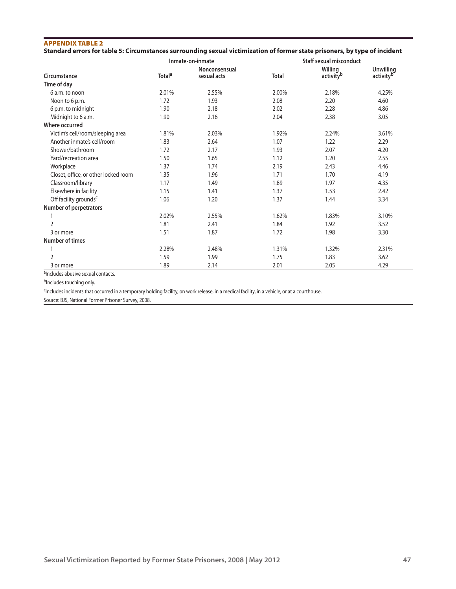## Appendix Table 2 **Standard errors for table 5: Circumstances surrounding sexual victimization of former state prisoners, by type of incident**

|                                      |                           | Inmate-on-inmate             |              | <b>Staff sexual misconduct</b>          |                               |
|--------------------------------------|---------------------------|------------------------------|--------------|-----------------------------------------|-------------------------------|
| Circumstance                         | <b>Total</b> <sup>a</sup> | Nonconsensual<br>sexual acts | <b>Total</b> | <b>Willing</b><br>activity <sup>b</sup> | <b>Unwilling</b><br>activityb |
| Time of day                          |                           |                              |              |                                         |                               |
| 6 a.m. to noon                       | 2.01%                     | 2.55%                        | 2.00%        | 2.18%                                   | 4.25%                         |
| Noon to 6 p.m.                       | 1.72                      | 1.93                         | 2.08         | 2.20                                    | 4.60                          |
| 6 p.m. to midnight                   | 1.90                      | 2.18                         | 2.02         | 2.28                                    | 4.86                          |
| Midnight to 6 a.m.                   | 1.90                      | 2.16                         | 2.04         | 2.38                                    | 3.05                          |
| Where occurred                       |                           |                              |              |                                         |                               |
| Victim's cell/room/sleeping area     | 1.81%                     | 2.03%                        | 1.92%        | 2.24%                                   | 3.61%                         |
| Another inmate's cell/room           | 1.83                      | 2.64                         | 1.07         | 1.22                                    | 2.29                          |
| Shower/bathroom                      | 1.72                      | 2.17                         | 1.93         | 2.07                                    | 4.20                          |
| Yard/recreation area                 | 1.50                      | 1.65                         | 1.12         | 1.20                                    | 2.55                          |
| Workplace                            | 1.37                      | 1.74                         | 2.19         | 2.43                                    | 4.46                          |
| Closet, office, or other locked room | 1.35                      | 1.96                         | 1.71         | 1.70                                    | 4.19                          |
| Classroom/library                    | 1.17                      | 1.49                         | 1.89         | 1.97                                    | 4.35                          |
| Elsewhere in facility                | 1.15                      | 1.41                         | 1.37         | 1.53                                    | 2.42                          |
| Off facility grounds <sup>c</sup>    | 1.06                      | 1.20                         | 1.37         | 1.44                                    | 3.34                          |
| Number of perpetrators               |                           |                              |              |                                         |                               |
|                                      | 2.02%                     | 2.55%                        | 1.62%        | 1.83%                                   | 3.10%                         |
| 2                                    | 1.81                      | 2.41                         | 1.84         | 1.92                                    | 3.52                          |
| 3 or more                            | 1.51                      | 1.87                         | 1.72         | 1.98                                    | 3.30                          |
| <b>Number of times</b>               |                           |                              |              |                                         |                               |
|                                      | 2.28%                     | 2.48%                        | 1.31%        | 1.32%                                   | 2.31%                         |
| $\overline{2}$                       | 1.59                      | 1.99                         | 1.75         | 1.83                                    | 3.62                          |
| 3 or more                            | 1.89                      | 2.14                         | 2.01         | 2.05                                    | 4.29                          |

aIncludes abusive sexual contacts.

bIncludes touching only.

<sup>c</sup>Includes incidents that occurred in a temporary holding facility, on work release, in a medical facility, in a vehicle, or at a courthouse.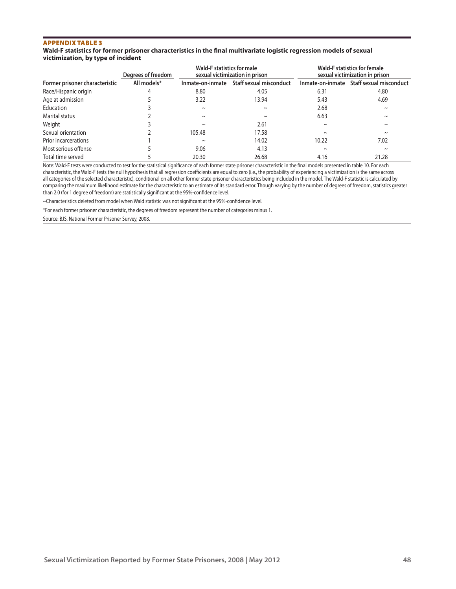#### **Wald-F statistics for former prisoner characteristics in the final multivariate logistic regression models of sexual victimization, by type of incident**

|                                | Degrees of freedom | Wald-F statistics for male | sexual victimization in prison |            | <b>Wald-F statistics for female</b><br>sexual victimization in prison |
|--------------------------------|--------------------|----------------------------|--------------------------------|------------|-----------------------------------------------------------------------|
| Former prisoner characteristic | All models*        | Inmate-on-inmate           | <b>Staff sexual misconduct</b> |            | Inmate-on-inmate Staff sexual misconduct                              |
| Race/Hispanic origin           |                    | 8.80                       | 4.05                           | 6.31       | 4.80                                                                  |
| Age at admission               |                    | 3.22                       | 13.94                          | 5.43       | 4.69                                                                  |
| Education                      |                    | $\sim$                     | $\sim$                         | 2.68       | $\sim$                                                                |
| Marital status                 |                    | $\sim$                     | $\sim$                         | 6.63       | $\sim$                                                                |
| Weight                         |                    | $\sim$                     | 2.61                           | $\sim$     | $\sim$                                                                |
| Sexual orientation             |                    | 105.48                     | 17.58                          | $\tilde{}$ | $\sim$                                                                |
| Prior incarcerations           |                    | $\tilde{}$                 | 14.02                          | 10.22      | 7.02                                                                  |
| Most serious offense           |                    | 9.06                       | 4.13                           | $\sim$     | $\sim$                                                                |
| Total time served              |                    | 20.30                      | 26.68                          | 4.16       | 21.28                                                                 |

Note: Wald-F tests were conducted to test for the statistical significance of each former state prisoner characteristic in the final models presented in table 10. For each characteristic, the Wald-F tests the null hypothesis that all regression coefficients are equal to zero (i.e., the probability of experiencing a victimization is the same across all categories of the selected characteristic), conditional on all other former state prisoner characteristics being included in the model. The Wald-F statistic is calculated by comparing the maximum likelihood estimate for the characteristic to an estimate of its standard error. Though varying by the number of degrees of freedom, statistics greater than 2.0 (for 1 degree of freedom) are statistically significant at the 95%-confidence level.

~Characteristics deleted from model when Wald statistic was not significant at the 95%-confidence level.

\*For each former prisoner characteristic, the degrees of freedom represent the number of categories minus 1.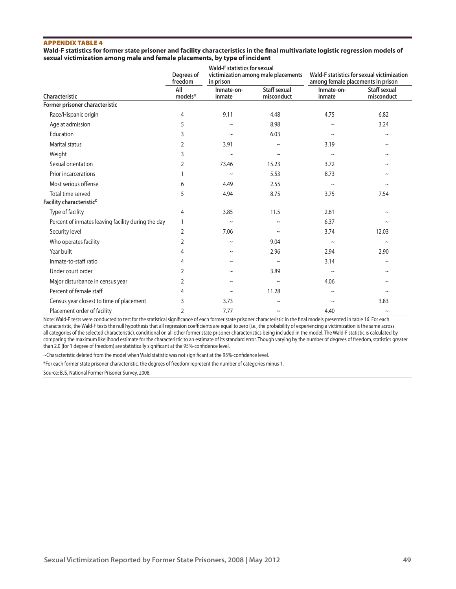**Wald-F statistics for former state prisoner and facility characteristics in the final multivariate logistic regression models of sexual victimization among male and female placements, by type of incident**

|                                                    | Degrees of<br>freedom | Wald-F statistics for sexual<br>in prison | victimization among male placements | Wald-F statistics for sexual victimization<br>among female placements in prison |                            |  |
|----------------------------------------------------|-----------------------|-------------------------------------------|-------------------------------------|---------------------------------------------------------------------------------|----------------------------|--|
| Characteristic                                     | All<br>models*        | Inmate-on-<br>inmate                      | <b>Staff sexual</b><br>misconduct   | Inmate-on-<br>inmate                                                            | Staff sexual<br>misconduct |  |
| Former prisoner characteristic                     |                       |                                           |                                     |                                                                                 |                            |  |
| Race/Hispanic origin                               | 4                     | 9.11                                      | 4.48                                | 4.75                                                                            | 6.82                       |  |
| Age at admission                                   | 5                     | $\sim$                                    | 8.98                                | $\tilde{}$                                                                      | 3.24                       |  |
| Education                                          | 3                     | $\sim$                                    | 6.03                                | $\tilde{}$                                                                      | $\sim$                     |  |
| <b>Marital status</b>                              | 2                     | 3.91                                      | $\tilde{}$                          | 3.19                                                                            | $\sim$                     |  |
| Weight                                             | 3                     | $\sim$                                    | $\sim$                              | $\sim$                                                                          | $\sim$                     |  |
| Sexual orientation                                 | $\overline{2}$        | 73.46                                     | 15.23                               | 3.72                                                                            | $\sim$                     |  |
| Prior incarcerations                               | 1                     | $\sim$                                    | 5.53                                | 8.73                                                                            | $\sim$                     |  |
| Most serious offense                               | 6                     | 4.49                                      | 2.55                                | $\sim$                                                                          | $\sim$                     |  |
| Total time served                                  | 5                     | 4.94                                      | 8.75                                | 3.75                                                                            | 7.54                       |  |
| Facility characteristic <sup>c</sup>               |                       |                                           |                                     |                                                                                 |                            |  |
| Type of facility                                   | 4                     | 3.85                                      | 11.5                                | 2.61                                                                            | $\sim$                     |  |
| Percent of inmates leaving facility during the day | 1                     | $\sim$                                    | $\tilde{}$                          | 6.37                                                                            | $\sim$                     |  |
| Security level                                     | $\overline{2}$        | 7.06                                      | $\sim$                              | 3.74                                                                            | 12.03                      |  |
| Who operates facility                              | $\overline{2}$        | $\sim$                                    | 9.04                                | $\sim$                                                                          | $\sim$                     |  |
| Year built                                         | 4                     | $\sim$                                    | 2.96                                | 2.94                                                                            | 2.90                       |  |
| Inmate-to-staff ratio                              | 4                     | $\sim$                                    | $\sim$                              | 3.14                                                                            | $\sim$                     |  |
| Under court order                                  | $\overline{2}$        | $\tilde{}$                                | 3.89                                | $\sim$                                                                          | $\sim$                     |  |
| Major disturbance in census year                   | $\overline{2}$        | $\sim$                                    | $\tilde{}$                          | 4.06                                                                            | $\thicksim$                |  |
| Percent of female staff                            | 4                     | $\sim$                                    | 11.28                               | $\sim$                                                                          |                            |  |
| Census year closest to time of placement           | 3                     | 3.73                                      | $\sim$                              | $\tilde{}$                                                                      | 3.83                       |  |
| Placement order of facility                        | 2                     | 7.77                                      | $\tilde{}$                          | 4.40                                                                            | $\sim$                     |  |

Note: Wald-F tests were conducted to test for the statistical significance of each former state prisoner characteristic in the final models presented in table 16. For each characteristic, the Wald-F tests the null hypothesis that all regression coefficients are equal to zero (i.e., the probability of experiencing a victimization is the same across all categories of the selected characteristic), conditional on all other former state prisoner characteristics being included in the model. The Wald-F statistic is calculated by comparing the maximum likelihood estimate for the characteristic to an estimate of its standard error. Though varying by the number of degrees of freedom, statistics greater than 2.0 (for 1 degree of freedom) are statistically significant at the 95%-confidence level.

~Characteristic deleted from the model when Wald statistic was not significant at the 95%-confidence level.

\*For each former state prisoner characteristic, the degrees of freedom represent the number of categories minus 1.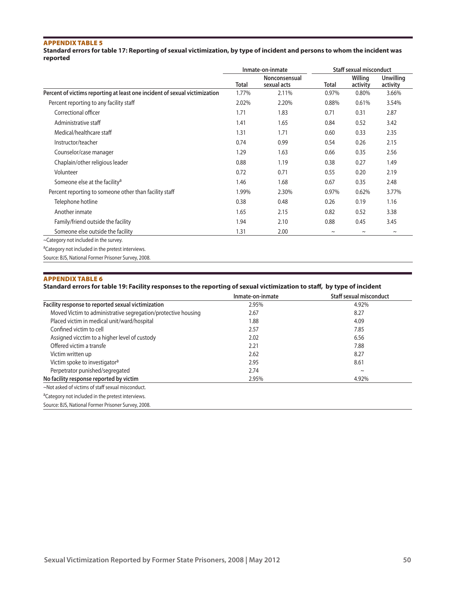**Standard errors for table 17: Reporting of sexual victimization, by type of incident and persons to whom the incident was reported**

|                                                                            |              | Inmate-on-inmate             |             | <b>Staff sexual misconduct</b> |                              |
|----------------------------------------------------------------------------|--------------|------------------------------|-------------|--------------------------------|------------------------------|
|                                                                            | <b>Total</b> | Nonconsensual<br>sexual acts | Total       | Willing<br>activity            | <b>Unwilling</b><br>activity |
| Percent of victims reporting at least one incident of sexual victimization | 1.77%        | 2.11%                        | 0.97%       | 0.80%                          | 3.66%                        |
| Percent reporting to any facility staff                                    | 2.02%        | 2.20%                        | 0.88%       | 0.61%                          | 3.54%                        |
| Correctional officer                                                       | 1.71         | 1.83                         | 0.71        | 0.31                           | 2.87                         |
| Administrative staff                                                       | 1.41         | 1.65                         | 0.84        | 0.52                           | 3.42                         |
| Medical/healthcare staff                                                   | 1.31         | 1.71                         | 0.60        | 0.33                           | 2.35                         |
| Instructor/teacher                                                         | 0.74         | 0.99                         | 0.54        | 0.26                           | 2.15                         |
| Counselor/case manager                                                     | 1.29         | 1.63                         | 0.66        | 0.35                           | 2.56                         |
| Chaplain/other religious leader                                            | 0.88         | 1.19                         | 0.38        | 0.27                           | 1.49                         |
| Volunteer                                                                  | 0.72         | 0.71                         | 0.55        | 0.20                           | 2.19                         |
| Someone else at the facility <sup>a</sup>                                  | 1.46         | 1.68                         | 0.67        | 0.35                           | 2.48                         |
| Percent reporting to someone other than facility staff                     | 1.99%        | 2.30%                        | 0.97%       | 0.62%                          | 3.77%                        |
| Telephone hotline                                                          | 0.38         | 0.48                         | 0.26        | 0.19                           | 1.16                         |
| Another inmate                                                             | 1.65         | 2.15                         | 0.82        | 0.52                           | 3.38                         |
| Family/friend outside the facility                                         | 1.94         | 2.10                         | 0.88        | 0.45                           | 3.45                         |
| Someone else outside the facility                                          | 1.31         | 2.00                         | $\thicksim$ | $\thicksim$                    | $\sim$                       |
| ~Category not included in the survey.                                      |              |                              |             |                                |                              |
| <sup>a</sup> Category not included in the pretest interviews.              |              |                              |             |                                |                              |
| Source: BJS, National Former Prisoner Survey, 2008.                        |              |                              |             |                                |                              |

## Appendix Table 6

#### **Standard errors for table 19: Facility responses to the reporting of sexual victimization to staff, by type of incident**

|                                                               | Inmate-on-inmate | <b>Staff sexual misconduct</b> |
|---------------------------------------------------------------|------------------|--------------------------------|
| Facility response to reported sexual victimization            | 2.95%            | 4.92%                          |
| Moved Victim to administrative segregation/protective housing | 2.67             | 8.27                           |
| Placed victim in medical unit/ward/hospital                   | 1.88             | 4.09                           |
| Confined victim to cell                                       | 2.57             | 7.85                           |
| Assigned vicctim to a higher level of custody                 | 2.02             | 6.56                           |
| Offered victim a transfe                                      | 2.21             | 7.88                           |
| Victim written up                                             | 2.62             | 8.27                           |
| Victim spoke to investigator <sup>a</sup>                     | 2.95             | 8.61                           |
| Perpetrator punished/segregated                               | 2.74             | $\sim$                         |
| No facility response reported by victim                       | 2.95%            | 4.92%                          |
| ~Not asked of victims of staff sexual misconduct.             |                  |                                |
| <sup>a</sup> Category not included in the pretest interviews. |                  |                                |
| Source: BJS, National Former Prisoner Survey, 2008.           |                  |                                |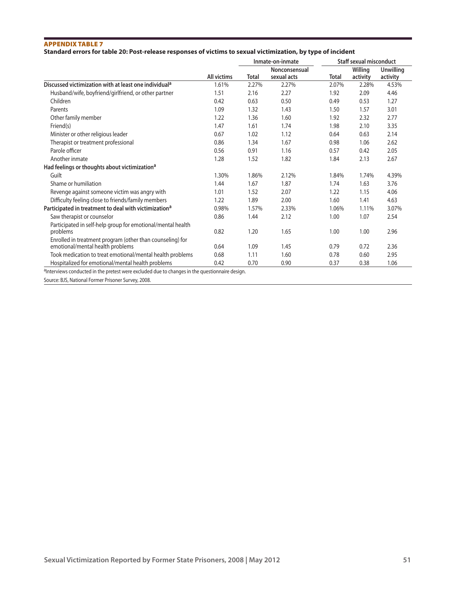## **Standard errors for table 20: Post-release responses of victims to sexual victimization, by type of incident**

|                                                                                               |                    |              | Inmate-on-inmate |       | <b>Staff sexual misconduct</b> |                  |
|-----------------------------------------------------------------------------------------------|--------------------|--------------|------------------|-------|--------------------------------|------------------|
|                                                                                               |                    |              | Nonconsensual    |       | Willing                        | <b>Unwilling</b> |
|                                                                                               | <b>All victims</b> | <b>Total</b> | sexual acts      | Total | activity                       | activity         |
| Discussed victimization with at least one individual <sup>a</sup>                             | 1.61%              | 2.27%        | 2.27%            | 2.07% | 2.28%                          | 4.53%            |
| Husband/wife, boyfriend/girlfriend, or other partner                                          | 1.51               | 2.16         | 2.27             | 1.92  | 2.09                           | 4.46             |
| Children                                                                                      | 0.42               | 0.63         | 0.50             | 0.49  | 0.53                           | 1.27             |
| Parents                                                                                       | 1.09               | 1.32         | 1.43             | 1.50  | 1.57                           | 3.01             |
| Other family member                                                                           | 1.22               | 1.36         | 1.60             | 1.92  | 2.32                           | 2.77             |
| Friend(s)                                                                                     | 1.47               | 1.61         | 1.74             | 1.98  | 2.10                           | 3.35             |
| Minister or other religious leader                                                            | 0.67               | 1.02         | 1.12             | 0.64  | 0.63                           | 2.14             |
| Therapist or treatment professional                                                           | 0.86               | 1.34         | 1.67             | 0.98  | 1.06                           | 2.62             |
| Parole officer                                                                                | 0.56               | 0.91         | 1.16             | 0.57  | 0.42                           | 2.05             |
| Another inmate                                                                                | 1.28               | 1.52         | 1.82             | 1.84  | 2.13                           | 2.67             |
| Had feelings or thoughts about victimization <sup>a</sup>                                     |                    |              |                  |       |                                |                  |
| Guilt                                                                                         | 1.30%              | 1.86%        | 2.12%            | 1.84% | 1.74%                          | 4.39%            |
| Shame or humiliation                                                                          | 1.44               | 1.67         | 1.87             | 1.74  | 1.63                           | 3.76             |
| Revenge against someone victim was angry with                                                 | 1.01               | 1.52         | 2.07             | 1.22  | 1.15                           | 4.06             |
| Difficulty feeling close to friends/family members                                            | 1.22               | 1.89         | 2.00             | 1.60  | 1.41                           | 4.63             |
| Participated in treatment to deal with victimization <sup>a</sup>                             | 0.98%              | 1.57%        | 2.33%            | 1.06% | 1.11%                          | 3.07%            |
| Saw therapist or counselor                                                                    | 0.86               | 1.44         | 2.12             | 1.00  | 1.07                           | 2.54             |
| Participated in self-help group for emotional/mental health<br>problems                       | 0.82               | 1.20         | 1.65             | 1.00  | 1.00                           | 2.96             |
| Enrolled in treatment program (other than counseling) for<br>emotional/mental health problems | 0.64               | 1.09         | 1.45             | 0.79  | 0.72                           | 2.36             |
| Took medication to treat emotional/mental health problems                                     | 0.68               | 1.11         | 1.60             | 0.78  | 0.60                           | 2.95             |
| Hospitalized for emotional/mental health problems                                             | 0.42               | 0.70         | 0.90             | 0.37  | 0.38                           | 1.06             |